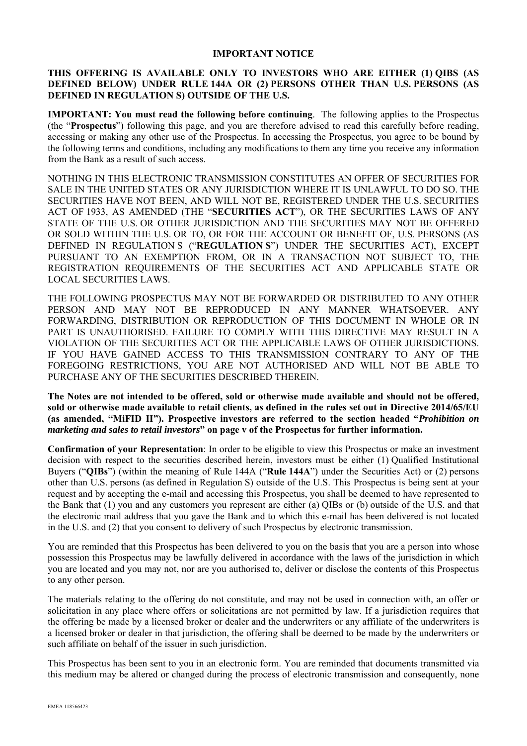#### **IMPORTANT NOTICE**

#### **THIS OFFERING IS AVAILABLE ONLY TO INVESTORS WHO ARE EITHER (1) QIBS (AS DEFINED BELOW) UNDER RULE 144A OR (2) PERSONS OTHER THAN U.S. PERSONS (AS DEFINED IN REGULATION S) OUTSIDE OF THE U.S.**

**IMPORTANT: You must read the following before continuing**. The following applies to the Prospectus (the "**Prospectus**") following this page, and you are therefore advised to read this carefully before reading, accessing or making any other use of the Prospectus. In accessing the Prospectus, you agree to be bound by the following terms and conditions, including any modifications to them any time you receive any information from the Bank as a result of such access.

NOTHING IN THIS ELECTRONIC TRANSMISSION CONSTITUTES AN OFFER OF SECURITIES FOR SALE IN THE UNITED STATES OR ANY JURISDICTION WHERE IT IS UNLAWFUL TO DO SO. THE SECURITIES HAVE NOT BEEN, AND WILL NOT BE, REGISTERED UNDER THE U.S. SECURITIES ACT OF 1933, AS AMENDED (THE "**SECURITIES ACT**"), OR THE SECURITIES LAWS OF ANY STATE OF THE U.S. OR OTHER JURISDICTION AND THE SECURITIES MAY NOT BE OFFERED OR SOLD WITHIN THE U.S. OR TO, OR FOR THE ACCOUNT OR BENEFIT OF, U.S. PERSONS (AS DEFINED IN REGULATION S ("**REGULATION S**") UNDER THE SECURITIES ACT), EXCEPT PURSUANT TO AN EXEMPTION FROM, OR IN A TRANSACTION NOT SUBJECT TO, THE REGISTRATION REQUIREMENTS OF THE SECURITIES ACT AND APPLICABLE STATE OR LOCAL SECURITIES LAWS.

THE FOLLOWING PROSPECTUS MAY NOT BE FORWARDED OR DISTRIBUTED TO ANY OTHER PERSON AND MAY NOT BE REPRODUCED IN ANY MANNER WHATSOEVER. ANY FORWARDING, DISTRIBUTION OR REPRODUCTION OF THIS DOCUMENT IN WHOLE OR IN PART IS UNAUTHORISED. FAILURE TO COMPLY WITH THIS DIRECTIVE MAY RESULT IN A VIOLATION OF THE SECURITIES ACT OR THE APPLICABLE LAWS OF OTHER JURISDICTIONS. IF YOU HAVE GAINED ACCESS TO THIS TRANSMISSION CONTRARY TO ANY OF THE FOREGOING RESTRICTIONS, YOU ARE NOT AUTHORISED AND WILL NOT BE ABLE TO PURCHASE ANY OF THE SECURITIES DESCRIBED THEREIN.

**The Notes are not intended to be offered, sold or otherwise made available and should not be offered, sold or otherwise made available to retail clients, as defined in the rules set out in Directive 2014/65/EU (as amended, "MiFID II"). Prospective investors are referred to the section headed "***Prohibition on marketing and sales to retail investors***" on page v of the Prospectus for further information.** 

**Confirmation of your Representation**: In order to be eligible to view this Prospectus or make an investment decision with respect to the securities described herein, investors must be either (1) Qualified Institutional Buyers ("**QIBs**") (within the meaning of Rule 144A ("**Rule 144A**") under the Securities Act) or (2) persons other than U.S. persons (as defined in Regulation S) outside of the U.S. This Prospectus is being sent at your request and by accepting the e-mail and accessing this Prospectus, you shall be deemed to have represented to the Bank that (1) you and any customers you represent are either (a) QIBs or (b) outside of the U.S. and that the electronic mail address that you gave the Bank and to which this e-mail has been delivered is not located in the U.S. and (2) that you consent to delivery of such Prospectus by electronic transmission.

You are reminded that this Prospectus has been delivered to you on the basis that you are a person into whose possession this Prospectus may be lawfully delivered in accordance with the laws of the jurisdiction in which you are located and you may not, nor are you authorised to, deliver or disclose the contents of this Prospectus to any other person.

The materials relating to the offering do not constitute, and may not be used in connection with, an offer or solicitation in any place where offers or solicitations are not permitted by law. If a jurisdiction requires that the offering be made by a licensed broker or dealer and the underwriters or any affiliate of the underwriters is a licensed broker or dealer in that jurisdiction, the offering shall be deemed to be made by the underwriters or such affiliate on behalf of the issuer in such jurisdiction.

This Prospectus has been sent to you in an electronic form. You are reminded that documents transmitted via this medium may be altered or changed during the process of electronic transmission and consequently, none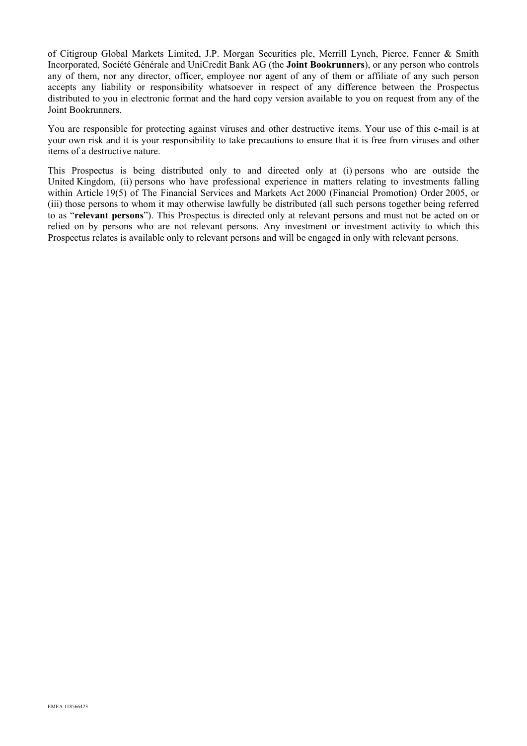of Citigroup Global Markets Limited, J.P. Morgan Securities plc, Merrill Lynch, Pierce, Fenner & Smith Incorporated, Société Générale and UniCredit Bank AG (the **Joint Bookrunners**), or any person who controls any of them, nor any director, officer, employee nor agent of any of them or affiliate of any such person accepts any liability or responsibility whatsoever in respect of any difference between the Prospectus distributed to you in electronic format and the hard copy version available to you on request from any of the Joint Bookrunners.

You are responsible for protecting against viruses and other destructive items. Your use of this e-mail is at your own risk and it is your responsibility to take precautions to ensure that it is free from viruses and other items of a destructive nature.

This Prospectus is being distributed only to and directed only at (i) persons who are outside the United Kingdom, (ii) persons who have professional experience in matters relating to investments falling within Article 19(5) of The Financial Services and Markets Act 2000 (Financial Promotion) Order 2005, or (iii) those persons to whom it may otherwise lawfully be distributed (all such persons together being referred to as "**relevant persons**"). This Prospectus is directed only at relevant persons and must not be acted on or relied on by persons who are not relevant persons. Any investment or investment activity to which this Prospectus relates is available only to relevant persons and will be engaged in only with relevant persons.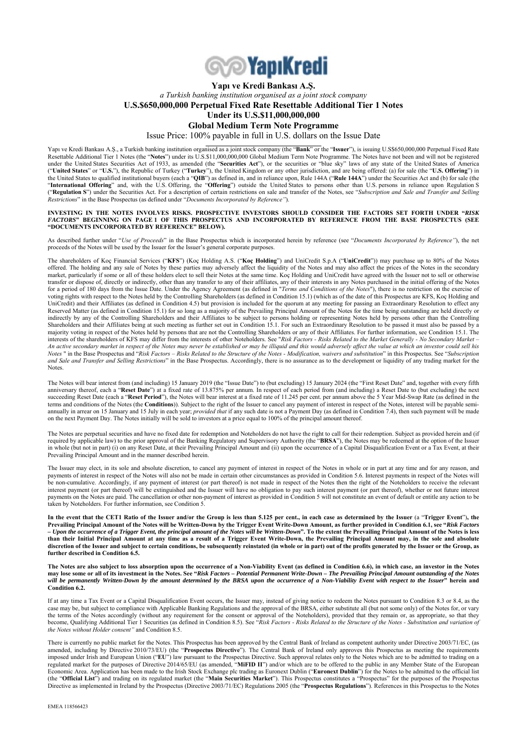

#### **Yapı ve Kredi Bankası A.Ş.**  *a Turkish banking institution organised as a joint stock company* **U.S.\$650,000,000 Perpetual Fixed Rate Resettable Additional Tier 1 Notes Under its U.S.\$11,000,000,000 Global Medium Term Note Programme**

Issue Price: 100% payable in full in U.S. dollars on the Issue Date

Yapı ve Kredi Bankası A.Ş., a Turkish banking institution organised as a joint stock company (the "**Bank**" or the "**Issuer**"), is issuing U.S\$650,000,000 Perpetual Fixed Rate Resettable Additional Tier 1 Notes (the "**Notes**") under its U.S.\$11,000,000,000 Global Medium Term Note Programme. The Notes have not been and will not be registered under the United States Securities Act of 1933, as amended (the "**Securities Act**"), or the securities or "blue sky" laws of any state of the United States of America ("**United States**" or "**U.S.**"), the Republic of Turkey ("**Turkey**"), the United Kingdom or any other jurisdiction, and are being offered: (a) for sale (the "**U.S. Offering**") in the United States to qualified institutional buyers (each a "**QIB**") as defined in, and in reliance upon, Rule 144A ("**Rule 144A**") under the Securities Act and (b) for sale (the "**International Offering**" and, with the U.S. Offering, the "**Offering**") outside the United States to persons other than U.S. persons in reliance upon Regulation S ("**Regulation S**") under the Securities Act. For a description of certain restrictions on sale and transfer of the Notes, see "*Subscription and Sale and Transfer and Selling Restrictions*" in the Base Prospectus (as defined under "*Documents Incorporated by Reference"*).

#### **INVESTING IN THE NOTES INVOLVES RISKS. PROSPECTIVE INVESTORS SHOULD CONSIDER THE FACTORS SET FORTH UNDER "***RISK FACTORS***" BEGINNING ON PAGE 1 OF THIS PROSPECTUS AND INCORPORATED BY REFERENCE FROM THE BASE PROSPECTUS (SEE "DOCUMENTS INCORPORATED BY REFERENCE" BELOW).**

As described further under "*Use of Proceeds*" in the Base Prospectus which is incorporated herein by reference (see "*Documents Incorporated by Reference"*), the net proceeds of the Notes will be used by the Issuer for the Issuer's general corporate purposes.

The shareholders of Koç Financial Services ("**KFS**") (Koç Holding A.S. ("**Koç Holding**") and UniCredit S.p.A ("**UniCredit**")) may purchase up to 80% of the Notes offered. The holding and any sale of Notes by these parties may adversely affect the liquidity of the Notes and may also affect the prices of the Notes in the secondary market, particularly if some or all of these holders elect to sell their Notes at the same time. Koç Holding and UniCredit have agreed with the Issuer not to sell or otherwise transfer or dispose of, directly or indirectly, other than any transfer to any of their affiliates, any of their interests in any Notes purchased in the initial offering of the Notes for a period of 180 days from the Issue Date. Under the Agency Agreement (as defined in "*Terms and Conditions of the Notes*"), there is no restriction on the exercise of voting rights with respect to the Notes held by the Controlling Shareholders (as defined in Condition 15.1) (which as of the date of this Prospectus are KFS, Koç Holding and UniCredit) and their Affiliates (as defined in Condition 4.5) but provision is included for the quorum at any meeting for passing an Extraordinary Resolution to effect any Reserved Matter (as defined in Condition 15.1) for so long as a majority of the Prevailing Principal Amount of the Notes for the time being outstanding are held directly or indirectly by any of the Controlling Shareholders and their Affiliates to be subject to persons holding or representing Notes held by persons other than the Controlling Shareholders and their Affiliates being at such meeting as further set out in Condition 15.1. For such an Extraordinary Resolution to be passed it must also be passed by a majority voting in respect of the Notes held by persons that are not the Controlling Shareholders or any of their Affiliates. For further information, see Condition 15.1. The interests of the shareholders of KFS may differ from the interests of other Noteholders. See "*Risk Factors - Risks Related to the Market Generally - No Secondary Market – An active secondary market in respect of the Notes may never be established or may be illiquid and this would adversely affect the value at which an investor could sell his Notes* " in the Base Prospectus and "*Risk Factors – Risks Related to the Structure of the Notes - Modification, waivers and substitution*" in this Prospectus. See "*Subscription*  and Sale and Transfer and Selling Restrictions" in the Base Prospectus. Accordingly, there is no assurance as to the development or liquidity of any trading market for the Notes.

The Notes will bear interest from (and including) 15 January 2019 (the "Issue Date") to (but excluding) 15 January 2024 (the "First Reset Date" and, together with every fifth anniversary thereof, each a "**Reset Date**") at a fixed rate of 13.875% per annum. In respect of each period from (and including) a Reset Date to (but excluding) the next succeeding Reset Date (each a "**Reset Period**"), the Notes will bear interest at a fixed rate of 11.245 per cent. per annum above the 5 Year Mid-Swap Rate (as defined in the terms and conditions of the Notes (the **Conditions**)). Subject to the right of the Issuer to cancel any payment of interest in respect of the Notes, interest will be payable semiannually in arrear on 15 January and 15 July in each year; *provided that* if any such date is not a Payment Day (as defined in Condition 7.4), then such payment will be made on the next Payment Day. The Notes initially will be sold to investors at a price equal to 100% of the principal amount thereof.

The Notes are perpetual securities and have no fixed date for redemption and Noteholders do not have the right to call for their redemption. Subject as provided herein and (if required by applicable law) to the prior approval of the Banking Regulatory and Supervisory Authority (the "**BRSA**"), the Notes may be redeemed at the option of the Issuer in whole (but not in part) (i) on any Reset Date, at their Prevailing Principal Amount and (ii) upon the occurrence of a Capital Disqualification Event or a Tax Event, at their Prevailing Principal Amount and in the manner described herein.

The Issuer may elect, in its sole and absolute discretion, to cancel any payment of interest in respect of the Notes in whole or in part at any time and for any reason, and payments of interest in respect of the Notes will also not be made in certain other circumstances as provided in Condition 5.6. Interest payments in respect of the Notes will be non-cumulative. Accordingly, if any payment of interest (or part thereof) is not made in respect of the Notes then the right of the Noteholders to receive the relevant interest payment (or part thereof) will be extinguished and the Issuer will have no obligation to pay such interest payment (or part thereof), whether or not future interest payments on the Notes are paid. The cancellation or other non-payment of interest as provided in Condition 5 will not constitute an event of default or entitle any action to be taken by Noteholders. For further information, see Condition 5.

**In the event that the CET1 Ratio of the Issuer and/or the Group is less than 5.125 per cent., in each case as determined by the Issuer** (a "**Trigger Event**")**, the Prevailing Principal Amount of the Notes will be Written-Down by the Trigger Event Write-Down Amount, as further provided in Condition 6.1, see "***Risk Factors – Upon the occurrence of a Trigger Event, the principal amount of the Notes will be Written-Down***". To the extent the Prevailing Principal Amount of the Notes is less than their Initial Principal Amount at any time as a result of a Trigger Event Write-Down, the Prevailing Principal Amount may, in the sole and absolute discretion of the Issuer and subject to certain conditions, be subsequently reinstated (in whole or in part) out of the profits generated by the Issuer or the Group, as further described in Condition 6.5.** 

**The Notes are also subject to loss absorption upon the occurrence of a Non-Viability Event (as defined in Condition 6.6), in which case, an investor in the Notes may lose some or all of its investment in the Notes. See "***Risk Factors – Potential Permanent Write-Down – The Prevailing Principal Amount outstanding of the Notes will be permanently Written-Down by the amount determined by the BRSA upon the occurrence of a Non-Viability Event with respect to the Issuer***" herein and Condition 6.2.** 

If at any time a Tax Event or a Capital Disqualification Event occurs, the Issuer may, instead of giving notice to redeem the Notes pursuant to Condition 8.3 or 8.4, as the case may be, but subject to compliance with Applicable Banking Regulations and the approval of the BRSA, either substitute all (but not some only) of the Notes for, or vary the terms of the Notes accordingly (without any requirement for the consent or approval of the Noteholders), provided that they remain or, as appropriate, so that they become, Qualifying Additional Tier 1 Securities (as defined in Condition 8.5). See "Risk Factors - Risks Related to the Structure of the Notes - Substitution and variation of *the Notes without Holder consent"* and Condition 8.5.

There is currently no public market for the Notes. This Prospectus has been approved by the Central Bank of Ireland as competent authority under Directive 2003/71/EC, (as amended, including by Directive 2010/73/EU) (the "**Prospectus Directive**"). The Central Bank of Ireland only approves this Prospectus as meeting the requirements imposed under Irish and European Union ("**EU**") law pursuant to the Prospectus Directive. Such approval relates only to the Notes which are to be admitted to trading on a regulated market for the purposes of Directive 2014/65/EU (as amended, "**MiFID II**") and/or which are to be offered to the public in any Member State of the European Economic Area. Application has been made to the Irish Stock Exchange plc trading as Euronext Dublin ("**Euronext Dublin**") for the Notes to be admitted to the official list (the "**Official List**") and trading on its regulated market (the "**Main Securities Market**"). This Prospectus constitutes a "Prospectus" for the purposes of the Prospectus Directive as implemented in Ireland by the Prospectus (Directive 2003/71/EC) Regulations 2005 (the "**Prospectus Regulations**"). References in this Prospectus to the Notes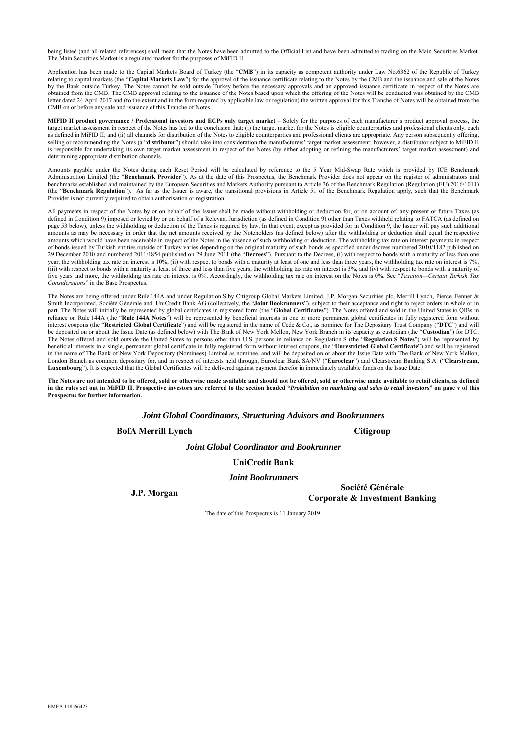being listed (and all related references) shall mean that the Notes have been admitted to the Official List and have been admitted to trading on the Main Securities Market. The Main Securities Market is a regulated market for the purposes of MiFID II.

Application has been made to the Capital Markets Board of Turkey (the "**CMB**") in its capacity as competent authority under Law No.6362 of the Republic of Turkey relating to capital markets (the "**Capital Markets Law**") for the approval of the issuance certificate relating to the Notes by the CMB and the issuance and sale of the Notes by the Bank outside Turkey. The Notes cannot be sold outside Turkey before the necessary approvals and an approved issuance certificate in respect of the Notes are obtained from the CMB. The CMB approval relating to the issuance of the Notes based upon which the offering of the Notes will be conducted was obtained by the CMB letter dated 24 April 2017 and (to the extent and in the form required by applicable law or regulation) the written approval for this Tranche of Notes will be obtained from the CMB on or before any sale and issuance of this Tranche of Notes.

**MIFID II product governance / Professional investors and ECPs only target market** – Solely for the purposes of each manufacturer's product approval process, the target market assessment in respect of the Notes has led to the conclusion that: (i) the target market for the Notes is eligible counterparties and professional clients only, each as defined in MiFID II; and (ii) all channels for distribution of the Notes to eligible counterparties and professional clients are appropriate. Any person subsequently offering, selling or recommending the Notes (a "distributor") should take into consideration the manufacturers' target market assessment; however, a distributor subject to MiFID II is responsible for undertaking its own target market assessment in respect of the Notes (by either adopting or refining the manufacturers' target market assessment) and determining appropriate distribution channels.

Amounts payable under the Notes during each Reset Period will be calculated by reference to the 5 Year Mid-Swap Rate which is provided by ICE Benchmark Administration Limited (the "**Benchmark Provider**"). As at the date of this Prospectus, the Benchmark Provider does not appear on the register of administrators and benchmarks established and maintained by the European Securities and Markets Authority pursuant to Article 36 of the Benchmark Regulation (Regulation (EU) 2016/1011) (the "**Benchmark Regulation**"). As far as the Issuer is aware, the transitional provisions in Article 51 of the Benchmark Regulation apply, such that the Benchmark Provider is not currently required to obtain authorisation or registration.

All payments in respect of the Notes by or on behalf of the Issuer shall be made without withholding or deduction for, or on account of, any present or future Taxes (as defined in Condition 9) imposed or levied by or on behalf of a Relevant Jurisdiction (as defined in Condition 9) other than Taxes withheld relating to FATCA (as defined on page 53 below), unless the withholding or deduction of the Taxes is required by law. In that event, except as provided for in Condition 9, the Issuer will pay such additional amounts as may be necessary in order that the net amounts received by the Noteholders (as defined below) after the withholding or deduction shall equal the respective amounts which would have been receivable in respect of the Notes in the absence of such withholding or deduction. The withholding tax rate on interest payments in respect of bonds issued by Turkish entities outside of Turkey varies depending on the original maturity of such bonds as specified under decrees numbered 2010/1182 published on 29 December 2010 and numbered 2011/1854 published on 29 June 2011 (the "**Decrees**"). Pursuant to the Decrees, (i) with respect to bonds with a maturity of less than one year, the withholding tax rate on interest is 10%, (ii) with respect to bonds with a maturity at least of one and less than three years, the withholding tax rate on interest is 7%, (iii) with respect to bonds with a maturity at least of three and less than five years, the withholding tax rate on interest is 3%, and (iv) with respect to bonds with a maturity of five years and more, the withholding tax rate on interest is 0%. Accordingly, the withholding tax rate on interest on the Notes is 0%. See "*Taxation—Certain Turkish Tax Considerations*" in the Base Prospectus.

The Notes are being offered under Rule 144A and under Regulation S by Citigroup Global Markets Limited, J.P. Morgan Securities plc, Merrill Lynch, Pierce, Fenner & Smith Incorporated, Société Générale and UniCredit Bank AG (collectively, the "**Joint Bookrunners**"), subject to their acceptance and right to reject orders in whole or in part. The Notes will initially be represented by global certificates in registered form (the "**Global Certificates**"). The Notes offered and sold in the United States to QIBs in reliance on Rule 144A (the "**Rule 144A Notes**") will be represented by beneficial interests in one or more permanent global certificates in fully registered form without interest coupons (the "**Restricted Global Certificate**") and will be registered in the name of Cede & Co., as nominee for The Depositary Trust Company ("**DTC**") and will be deposited on or about the Issue Date (as defined below) with The Bank of New York Mellon, New York Branch in its capacity as custodian (the "**Custodian**") for DTC. The Notes offered and sold outside the United States to persons other than U.S. persons in reliance on Regulation S (the "**Regulation S Notes**") will be represented by beneficial interests in a single, permanent global certificate in fully registered form without interest coupons, the "**Unrestricted Global Certificate**") and will be registered in the name of The Bank of New York Depository (Nominees) Limited as nominee, and will be deposited on or about the Issue Date with The Bank of New York Mellon, London Branch as common depositary for, and in respect of interests held through, Euroclear Bank SA/NV ("**Euroclear**") and Clearstream Banking S.A. ("**Clearstream, Luxembourg**"). It is expected that the Global Certificates will be delivered against payment therefor in immediately available funds on the Issue Date.

The Notes are not intended to be offered, sold or otherwise made available and should not be offered, sold or otherwise made available to retail clients, as defined **in the rules set out in MiFID II. Prospective investors are referred to the section headed "***Prohibition on marketing and sales to retail investors***" on page v of this Prospectus for further information.**

*Joint Global Coordinators, Structuring Advisors and Bookrunners* 

**BofA Merrill Lynch** Citigroup

*Joint Global Coordinator and Bookrunner* 

#### **UniCredit Bank**

#### *Joint Bookrunners*

**J.P. Morgan Société Générale Corporate & Investment Banking** 

The date of this Prospectus is 11 January 2019.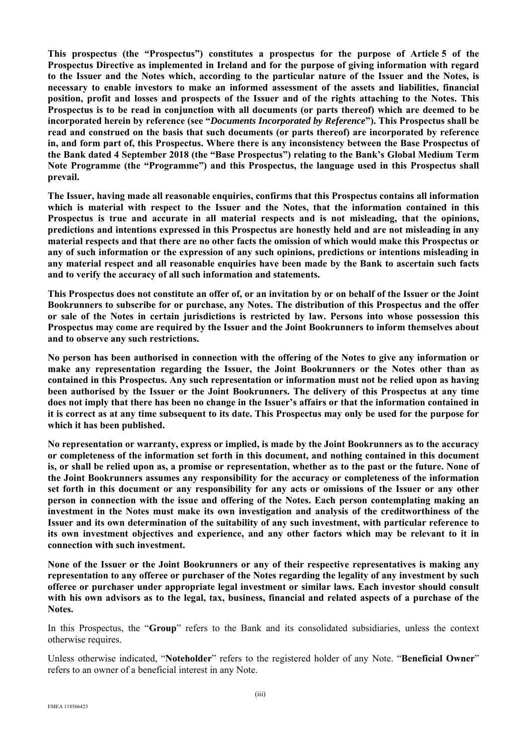**This prospectus (the "Prospectus") constitutes a prospectus for the purpose of Article 5 of the Prospectus Directive as implemented in Ireland and for the purpose of giving information with regard to the Issuer and the Notes which, according to the particular nature of the Issuer and the Notes, is necessary to enable investors to make an informed assessment of the assets and liabilities, financial position, profit and losses and prospects of the Issuer and of the rights attaching to the Notes. This Prospectus is to be read in conjunction with all documents (or parts thereof) which are deemed to be incorporated herein by reference (see "***Documents Incorporated by Reference***"). This Prospectus shall be read and construed on the basis that such documents (or parts thereof) are incorporated by reference in, and form part of, this Prospectus. Where there is any inconsistency between the Base Prospectus of the Bank dated 4 September 2018 (the "Base Prospectus") relating to the Bank's Global Medium Term Note Programme (the "Programme") and this Prospectus, the language used in this Prospectus shall prevail.** 

**The Issuer, having made all reasonable enquiries, confirms that this Prospectus contains all information which is material with respect to the Issuer and the Notes, that the information contained in this Prospectus is true and accurate in all material respects and is not misleading, that the opinions, predictions and intentions expressed in this Prospectus are honestly held and are not misleading in any material respects and that there are no other facts the omission of which would make this Prospectus or any of such information or the expression of any such opinions, predictions or intentions misleading in any material respect and all reasonable enquiries have been made by the Bank to ascertain such facts and to verify the accuracy of all such information and statements.**

**This Prospectus does not constitute an offer of, or an invitation by or on behalf of the Issuer or the Joint Bookrunners to subscribe for or purchase, any Notes. The distribution of this Prospectus and the offer or sale of the Notes in certain jurisdictions is restricted by law. Persons into whose possession this Prospectus may come are required by the Issuer and the Joint Bookrunners to inform themselves about and to observe any such restrictions.**

**No person has been authorised in connection with the offering of the Notes to give any information or make any representation regarding the Issuer, the Joint Bookrunners or the Notes other than as contained in this Prospectus. Any such representation or information must not be relied upon as having been authorised by the Issuer or the Joint Bookrunners. The delivery of this Prospectus at any time does not imply that there has been no change in the Issuer's affairs or that the information contained in it is correct as at any time subsequent to its date. This Prospectus may only be used for the purpose for which it has been published.**

**No representation or warranty, express or implied, is made by the Joint Bookrunners as to the accuracy or completeness of the information set forth in this document, and nothing contained in this document is, or shall be relied upon as, a promise or representation, whether as to the past or the future. None of the Joint Bookrunners assumes any responsibility for the accuracy or completeness of the information set forth in this document or any responsibility for any acts or omissions of the Issuer or any other person in connection with the issue and offering of the Notes. Each person contemplating making an investment in the Notes must make its own investigation and analysis of the creditworthiness of the Issuer and its own determination of the suitability of any such investment, with particular reference to its own investment objectives and experience, and any other factors which may be relevant to it in connection with such investment.** 

**None of the Issuer or the Joint Bookrunners or any of their respective representatives is making any representation to any offeree or purchaser of the Notes regarding the legality of any investment by such offeree or purchaser under appropriate legal investment or similar laws. Each investor should consult with his own advisors as to the legal, tax, business, financial and related aspects of a purchase of the Notes.**

In this Prospectus, the "**Group**" refers to the Bank and its consolidated subsidiaries, unless the context otherwise requires.

Unless otherwise indicated, "**Noteholder**" refers to the registered holder of any Note. "**Beneficial Owner**" refers to an owner of a beneficial interest in any Note.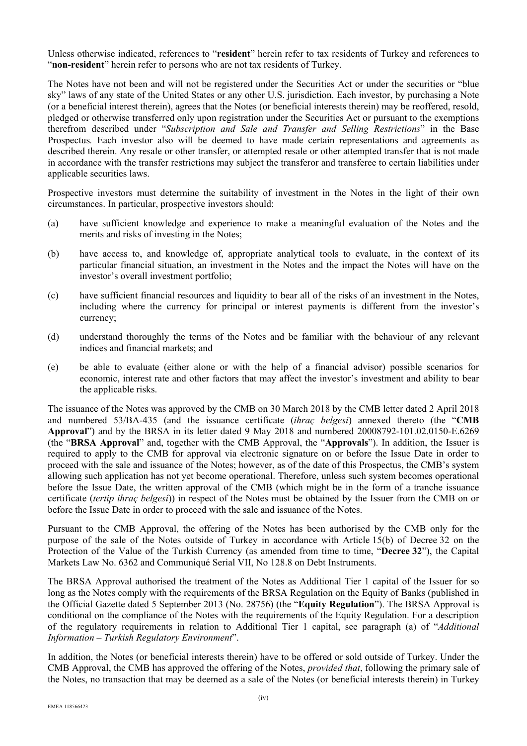Unless otherwise indicated, references to "**resident**" herein refer to tax residents of Turkey and references to "**non-resident**" herein refer to persons who are not tax residents of Turkey.

The Notes have not been and will not be registered under the Securities Act or under the securities or "blue sky" laws of any state of the United States or any other U.S. jurisdiction. Each investor, by purchasing a Note (or a beneficial interest therein), agrees that the Notes (or beneficial interests therein) may be reoffered, resold, pledged or otherwise transferred only upon registration under the Securities Act or pursuant to the exemptions therefrom described under "*Subscription and Sale and Transfer and Selling Restrictions*" in the Base Prospectus*.* Each investor also will be deemed to have made certain representations and agreements as described therein. Any resale or other transfer, or attempted resale or other attempted transfer that is not made in accordance with the transfer restrictions may subject the transferor and transferee to certain liabilities under applicable securities laws.

Prospective investors must determine the suitability of investment in the Notes in the light of their own circumstances. In particular, prospective investors should:

- (a) have sufficient knowledge and experience to make a meaningful evaluation of the Notes and the merits and risks of investing in the Notes;
- (b) have access to, and knowledge of, appropriate analytical tools to evaluate, in the context of its particular financial situation, an investment in the Notes and the impact the Notes will have on the investor's overall investment portfolio;
- (c) have sufficient financial resources and liquidity to bear all of the risks of an investment in the Notes, including where the currency for principal or interest payments is different from the investor's currency;
- (d) understand thoroughly the terms of the Notes and be familiar with the behaviour of any relevant indices and financial markets; and
- (e) be able to evaluate (either alone or with the help of a financial advisor) possible scenarios for economic, interest rate and other factors that may affect the investor's investment and ability to bear the applicable risks.

The issuance of the Notes was approved by the CMB on 30 March 2018 by the CMB letter dated 2 April 2018 and numbered 53/BA-435 (and the issuance certificate (*ihraç belgesi*) annexed thereto (the "**CMB Approval**") and by the BRSA in its letter dated 9 May 2018 and numbered 20008792-101.02.0150-E.6269 (the "**BRSA Approval**" and, together with the CMB Approval, the "**Approvals**"). In addition, the Issuer is required to apply to the CMB for approval via electronic signature on or before the Issue Date in order to proceed with the sale and issuance of the Notes; however, as of the date of this Prospectus, the CMB's system allowing such application has not yet become operational. Therefore, unless such system becomes operational before the Issue Date, the written approval of the CMB (which might be in the form of a tranche issuance certificate (*tertip ihraç belgesi*)) in respect of the Notes must be obtained by the Issuer from the CMB on or before the Issue Date in order to proceed with the sale and issuance of the Notes.

Pursuant to the CMB Approval, the offering of the Notes has been authorised by the CMB only for the purpose of the sale of the Notes outside of Turkey in accordance with Article 15(b) of Decree 32 on the Protection of the Value of the Turkish Currency (as amended from time to time, "**Decree 32**"), the Capital Markets Law No. 6362 and Communiqué Serial VII, No 128.8 on Debt Instruments.

The BRSA Approval authorised the treatment of the Notes as Additional Tier 1 capital of the Issuer for so long as the Notes comply with the requirements of the BRSA Regulation on the Equity of Banks (published in the Official Gazette dated 5 September 2013 (No. 28756) (the "**Equity Regulation**"). The BRSA Approval is conditional on the compliance of the Notes with the requirements of the Equity Regulation. For a description of the regulatory requirements in relation to Additional Tier 1 capital, see paragraph (a) of "*Additional Information – Turkish Regulatory Environment*".

In addition, the Notes (or beneficial interests therein) have to be offered or sold outside of Turkey. Under the CMB Approval, the CMB has approved the offering of the Notes, *provided that*, following the primary sale of the Notes, no transaction that may be deemed as a sale of the Notes (or beneficial interests therein) in Turkey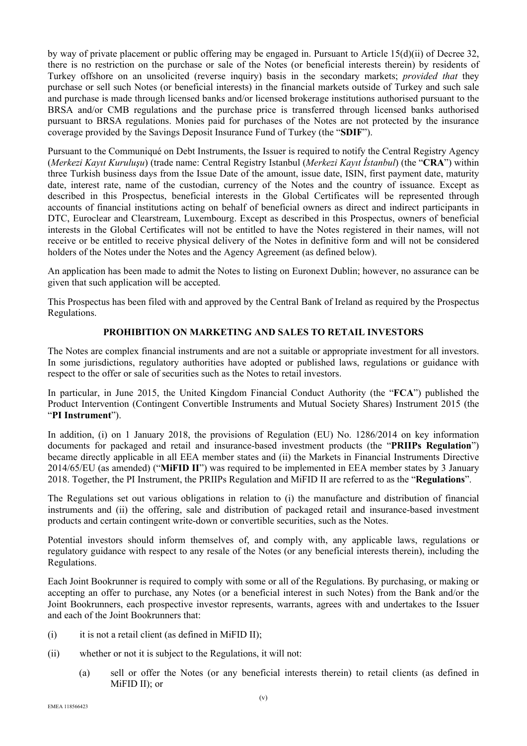by way of private placement or public offering may be engaged in. Pursuant to Article 15(d)(ii) of Decree 32, there is no restriction on the purchase or sale of the Notes (or beneficial interests therein) by residents of Turkey offshore on an unsolicited (reverse inquiry) basis in the secondary markets; *provided that* they purchase or sell such Notes (or beneficial interests) in the financial markets outside of Turkey and such sale and purchase is made through licensed banks and/or licensed brokerage institutions authorised pursuant to the BRSA and/or CMB regulations and the purchase price is transferred through licensed banks authorised pursuant to BRSA regulations. Monies paid for purchases of the Notes are not protected by the insurance coverage provided by the Savings Deposit Insurance Fund of Turkey (the "**SDIF**").

Pursuant to the Communiqué on Debt Instruments, the Issuer is required to notify the Central Registry Agency (*Merkezi Kayıt Kuruluşu*) (trade name: Central Registry Istanbul (*Merkezi Kayıt İstanbul*) (the "**CRA**") within three Turkish business days from the Issue Date of the amount, issue date, ISIN, first payment date, maturity date, interest rate, name of the custodian, currency of the Notes and the country of issuance. Except as described in this Prospectus, beneficial interests in the Global Certificates will be represented through accounts of financial institutions acting on behalf of beneficial owners as direct and indirect participants in DTC, Euroclear and Clearstream, Luxembourg. Except as described in this Prospectus, owners of beneficial interests in the Global Certificates will not be entitled to have the Notes registered in their names, will not receive or be entitled to receive physical delivery of the Notes in definitive form and will not be considered holders of the Notes under the Notes and the Agency Agreement (as defined below).

An application has been made to admit the Notes to listing on Euronext Dublin; however, no assurance can be given that such application will be accepted.

This Prospectus has been filed with and approved by the Central Bank of Ireland as required by the Prospectus Regulations.

# **PROHIBITION ON MARKETING AND SALES TO RETAIL INVESTORS**

The Notes are complex financial instruments and are not a suitable or appropriate investment for all investors. In some jurisdictions, regulatory authorities have adopted or published laws, regulations or guidance with respect to the offer or sale of securities such as the Notes to retail investors.

In particular, in June 2015, the United Kingdom Financial Conduct Authority (the "**FCA**") published the Product Intervention (Contingent Convertible Instruments and Mutual Society Shares) Instrument 2015 (the "**PI Instrument**").

In addition, (i) on 1 January 2018, the provisions of Regulation (EU) No. 1286/2014 on key information documents for packaged and retail and insurance-based investment products (the "**PRIIPs Regulation**") became directly applicable in all EEA member states and (ii) the Markets in Financial Instruments Directive 2014/65/EU (as amended) ("**MiFID II**") was required to be implemented in EEA member states by 3 January 2018. Together, the PI Instrument, the PRIIPs Regulation and MiFID II are referred to as the "**Regulations**".

The Regulations set out various obligations in relation to (i) the manufacture and distribution of financial instruments and (ii) the offering, sale and distribution of packaged retail and insurance-based investment products and certain contingent write-down or convertible securities, such as the Notes.

Potential investors should inform themselves of, and comply with, any applicable laws, regulations or regulatory guidance with respect to any resale of the Notes (or any beneficial interests therein), including the Regulations.

Each Joint Bookrunner is required to comply with some or all of the Regulations. By purchasing, or making or accepting an offer to purchase, any Notes (or a beneficial interest in such Notes) from the Bank and/or the Joint Bookrunners, each prospective investor represents, warrants, agrees with and undertakes to the Issuer and each of the Joint Bookrunners that:

- (i) it is not a retail client (as defined in MiFID II);
- (ii) whether or not it is subject to the Regulations, it will not:
	- (a) sell or offer the Notes (or any beneficial interests therein) to retail clients (as defined in MiFID II); or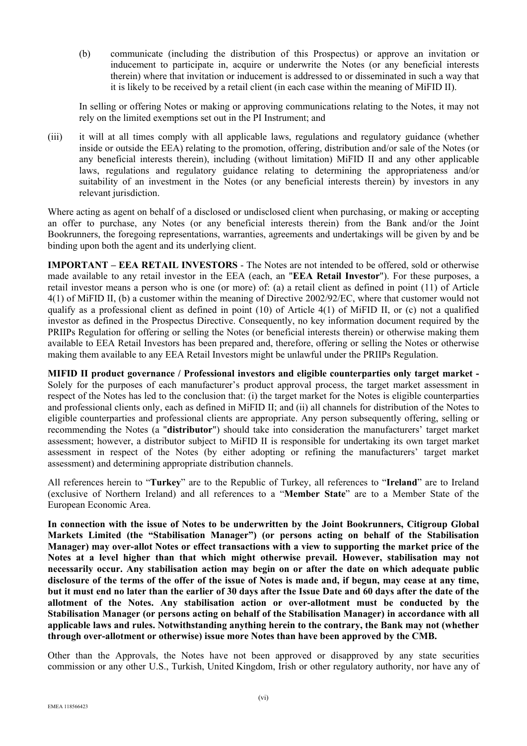(b) communicate (including the distribution of this Prospectus) or approve an invitation or inducement to participate in, acquire or underwrite the Notes (or any beneficial interests therein) where that invitation or inducement is addressed to or disseminated in such a way that it is likely to be received by a retail client (in each case within the meaning of MiFID II).

In selling or offering Notes or making or approving communications relating to the Notes, it may not rely on the limited exemptions set out in the PI Instrument; and

(iii) it will at all times comply with all applicable laws, regulations and regulatory guidance (whether inside or outside the EEA) relating to the promotion, offering, distribution and/or sale of the Notes (or any beneficial interests therein), including (without limitation) MiFID II and any other applicable laws, regulations and regulatory guidance relating to determining the appropriateness and/or suitability of an investment in the Notes (or any beneficial interests therein) by investors in any relevant jurisdiction.

Where acting as agent on behalf of a disclosed or undisclosed client when purchasing, or making or accepting an offer to purchase, any Notes (or any beneficial interests therein) from the Bank and/or the Joint Bookrunners, the foregoing representations, warranties, agreements and undertakings will be given by and be binding upon both the agent and its underlying client.

**IMPORTANT – EEA RETAIL INVESTORS** - The Notes are not intended to be offered, sold or otherwise made available to any retail investor in the EEA (each, an "**EEA Retail Investor**"). For these purposes, a retail investor means a person who is one (or more) of: (a) a retail client as defined in point (11) of Article 4(1) of MiFID II, (b) a customer within the meaning of Directive 2002/92/EC, where that customer would not qualify as a professional client as defined in point (10) of Article 4(1) of MiFID II, or (c) not a qualified investor as defined in the Prospectus Directive. Consequently, no key information document required by the PRIIPs Regulation for offering or selling the Notes (or beneficial interests therein) or otherwise making them available to EEA Retail Investors has been prepared and, therefore, offering or selling the Notes or otherwise making them available to any EEA Retail Investors might be unlawful under the PRIIPs Regulation.

**MIFID II product governance / Professional investors and eligible counterparties only target market -**  Solely for the purposes of each manufacturer's product approval process, the target market assessment in respect of the Notes has led to the conclusion that: (i) the target market for the Notes is eligible counterparties and professional clients only, each as defined in MiFID II; and (ii) all channels for distribution of the Notes to eligible counterparties and professional clients are appropriate. Any person subsequently offering, selling or recommending the Notes (a "**distributor**") should take into consideration the manufacturers' target market assessment; however, a distributor subject to MiFID II is responsible for undertaking its own target market assessment in respect of the Notes (by either adopting or refining the manufacturers' target market assessment) and determining appropriate distribution channels.

All references herein to "**Turkey**" are to the Republic of Turkey, all references to "**Ireland**" are to Ireland (exclusive of Northern Ireland) and all references to a "**Member State**" are to a Member State of the European Economic Area.

**In connection with the issue of Notes to be underwritten by the Joint Bookrunners, Citigroup Global Markets Limited (the "Stabilisation Manager") (or persons acting on behalf of the Stabilisation Manager) may over-allot Notes or effect transactions with a view to supporting the market price of the Notes at a level higher than that which might otherwise prevail. However, stabilisation may not necessarily occur. Any stabilisation action may begin on or after the date on which adequate public disclosure of the terms of the offer of the issue of Notes is made and, if begun, may cease at any time, but it must end no later than the earlier of 30 days after the Issue Date and 60 days after the date of the allotment of the Notes. Any stabilisation action or over-allotment must be conducted by the Stabilisation Manager (or persons acting on behalf of the Stabilisation Manager) in accordance with all applicable laws and rules. Notwithstanding anything herein to the contrary, the Bank may not (whether through over-allotment or otherwise) issue more Notes than have been approved by the CMB.**

Other than the Approvals, the Notes have not been approved or disapproved by any state securities commission or any other U.S., Turkish, United Kingdom, Irish or other regulatory authority, nor have any of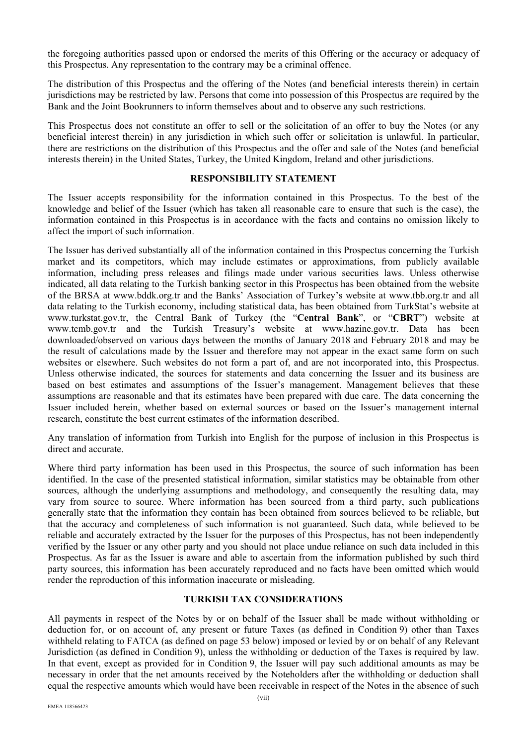the foregoing authorities passed upon or endorsed the merits of this Offering or the accuracy or adequacy of this Prospectus. Any representation to the contrary may be a criminal offence.

The distribution of this Prospectus and the offering of the Notes (and beneficial interests therein) in certain jurisdictions may be restricted by law. Persons that come into possession of this Prospectus are required by the Bank and the Joint Bookrunners to inform themselves about and to observe any such restrictions.

This Prospectus does not constitute an offer to sell or the solicitation of an offer to buy the Notes (or any beneficial interest therein) in any jurisdiction in which such offer or solicitation is unlawful. In particular, there are restrictions on the distribution of this Prospectus and the offer and sale of the Notes (and beneficial interests therein) in the United States, Turkey, the United Kingdom, Ireland and other jurisdictions.

#### **RESPONSIBILITY STATEMENT**

The Issuer accepts responsibility for the information contained in this Prospectus. To the best of the knowledge and belief of the Issuer (which has taken all reasonable care to ensure that such is the case), the information contained in this Prospectus is in accordance with the facts and contains no omission likely to affect the import of such information.

The Issuer has derived substantially all of the information contained in this Prospectus concerning the Turkish market and its competitors, which may include estimates or approximations, from publicly available information, including press releases and filings made under various securities laws. Unless otherwise indicated, all data relating to the Turkish banking sector in this Prospectus has been obtained from the website of the BRSA at www.bddk.org.tr and the Banks' Association of Turkey's website at www.tbb.org.tr and all data relating to the Turkish economy, including statistical data, has been obtained from TurkStat's website at www.turkstat.gov.tr, the Central Bank of Turkey (the "**Central Bank**", or "**CBRT**") website at www.tcmb.gov.tr and the Turkish Treasury's website at www.hazine.gov.tr. Data has been downloaded/observed on various days between the months of January 2018 and February 2018 and may be the result of calculations made by the Issuer and therefore may not appear in the exact same form on such websites or elsewhere. Such websites do not form a part of, and are not incorporated into, this Prospectus. Unless otherwise indicated, the sources for statements and data concerning the Issuer and its business are based on best estimates and assumptions of the Issuer's management. Management believes that these assumptions are reasonable and that its estimates have been prepared with due care. The data concerning the Issuer included herein, whether based on external sources or based on the Issuer's management internal research, constitute the best current estimates of the information described.

Any translation of information from Turkish into English for the purpose of inclusion in this Prospectus is direct and accurate.

Where third party information has been used in this Prospectus, the source of such information has been identified. In the case of the presented statistical information, similar statistics may be obtainable from other sources, although the underlying assumptions and methodology, and consequently the resulting data, may vary from source to source. Where information has been sourced from a third party, such publications generally state that the information they contain has been obtained from sources believed to be reliable, but that the accuracy and completeness of such information is not guaranteed. Such data, while believed to be reliable and accurately extracted by the Issuer for the purposes of this Prospectus, has not been independently verified by the Issuer or any other party and you should not place undue reliance on such data included in this Prospectus. As far as the Issuer is aware and able to ascertain from the information published by such third party sources, this information has been accurately reproduced and no facts have been omitted which would render the reproduction of this information inaccurate or misleading.

#### **TURKISH TAX CONSIDERATIONS**

All payments in respect of the Notes by or on behalf of the Issuer shall be made without withholding or deduction for, or on account of, any present or future Taxes (as defined in Condition 9) other than Taxes withheld relating to FATCA (as defined on page 53 below) imposed or levied by or on behalf of any Relevant Jurisdiction (as defined in Condition 9), unless the withholding or deduction of the Taxes is required by law. In that event, except as provided for in Condition 9, the Issuer will pay such additional amounts as may be necessary in order that the net amounts received by the Noteholders after the withholding or deduction shall equal the respective amounts which would have been receivable in respect of the Notes in the absence of such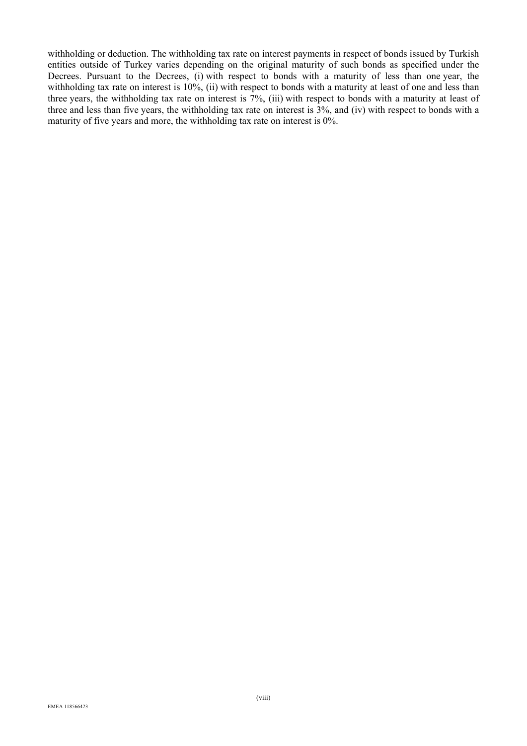withholding or deduction. The withholding tax rate on interest payments in respect of bonds issued by Turkish entities outside of Turkey varies depending on the original maturity of such bonds as specified under the Decrees. Pursuant to the Decrees, (i) with respect to bonds with a maturity of less than one year, the withholding tax rate on interest is 10%, (ii) with respect to bonds with a maturity at least of one and less than three years, the withholding tax rate on interest is  $7\%$ , (iii) with respect to bonds with a maturity at least of three and less than five years, the withholding tax rate on interest is 3%, and (iv) with respect to bonds with a maturity of five years and more, the withholding tax rate on interest is 0%.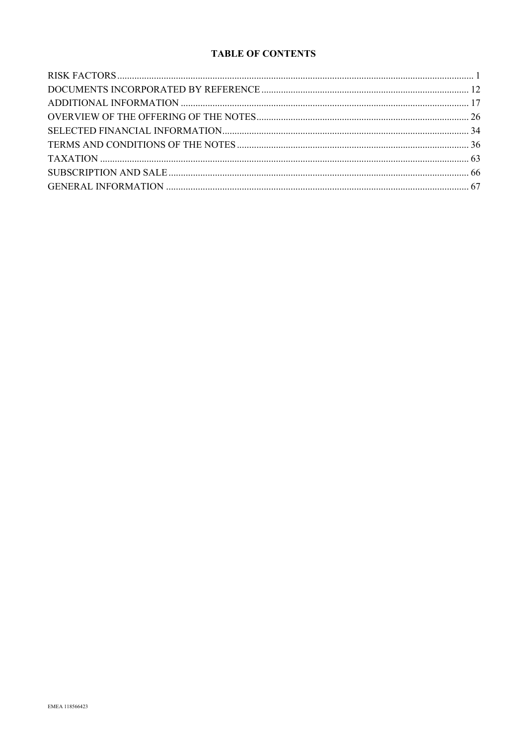# **TABLE OF CONTENTS**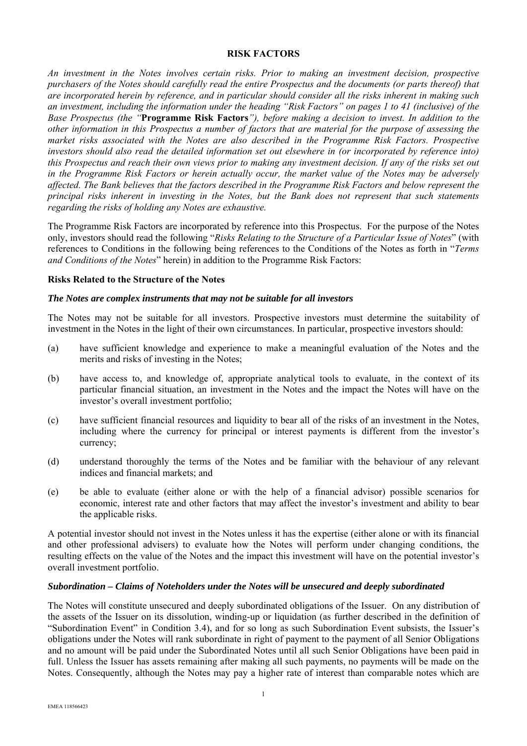#### **RISK FACTORS**

*An investment in the Notes involves certain risks. Prior to making an investment decision, prospective purchasers of the Notes should carefully read the entire Prospectus and the documents (or parts thereof) that are incorporated herein by reference, and in particular should consider all the risks inherent in making such an investment, including the information under the heading "Risk Factors" on pages 1 to 41 (inclusive) of the Base Prospectus (the "***Programme Risk Factors***"), before making a decision to invest. In addition to the other information in this Prospectus a number of factors that are material for the purpose of assessing the market risks associated with the Notes are also described in the Programme Risk Factors. Prospective investors should also read the detailed information set out elsewhere in (or incorporated by reference into) this Prospectus and reach their own views prior to making any investment decision. If any of the risks set out in the Programme Risk Factors or herein actually occur, the market value of the Notes may be adversely affected. The Bank believes that the factors described in the Programme Risk Factors and below represent the principal risks inherent in investing in the Notes, but the Bank does not represent that such statements regarding the risks of holding any Notes are exhaustive.* 

The Programme Risk Factors are incorporated by reference into this Prospectus. For the purpose of the Notes only, investors should read the following "*Risks Relating to the Structure of a Particular Issue of Notes*" (with references to Conditions in the following being references to the Conditions of the Notes as forth in "*Terms and Conditions of the Notes*" herein) in addition to the Programme Risk Factors:

#### **Risks Related to the Structure of the Notes**

#### *The Notes are complex instruments that may not be suitable for all investors*

The Notes may not be suitable for all investors. Prospective investors must determine the suitability of investment in the Notes in the light of their own circumstances. In particular, prospective investors should:

- (a) have sufficient knowledge and experience to make a meaningful evaluation of the Notes and the merits and risks of investing in the Notes;
- (b) have access to, and knowledge of, appropriate analytical tools to evaluate, in the context of its particular financial situation, an investment in the Notes and the impact the Notes will have on the investor's overall investment portfolio;
- (c) have sufficient financial resources and liquidity to bear all of the risks of an investment in the Notes, including where the currency for principal or interest payments is different from the investor's currency;
- (d) understand thoroughly the terms of the Notes and be familiar with the behaviour of any relevant indices and financial markets; and
- (e) be able to evaluate (either alone or with the help of a financial advisor) possible scenarios for economic, interest rate and other factors that may affect the investor's investment and ability to bear the applicable risks.

A potential investor should not invest in the Notes unless it has the expertise (either alone or with its financial and other professional advisers) to evaluate how the Notes will perform under changing conditions, the resulting effects on the value of the Notes and the impact this investment will have on the potential investor's overall investment portfolio.

#### *Subordination – Claims of Noteholders under the Notes will be unsecured and deeply subordinated*

The Notes will constitute unsecured and deeply subordinated obligations of the Issuer. On any distribution of the assets of the Issuer on its dissolution, winding-up or liquidation (as further described in the definition of "Subordination Event" in Condition 3.4), and for so long as such Subordination Event subsists, the Issuer's obligations under the Notes will rank subordinate in right of payment to the payment of all Senior Obligations and no amount will be paid under the Subordinated Notes until all such Senior Obligations have been paid in full. Unless the Issuer has assets remaining after making all such payments, no payments will be made on the Notes. Consequently, although the Notes may pay a higher rate of interest than comparable notes which are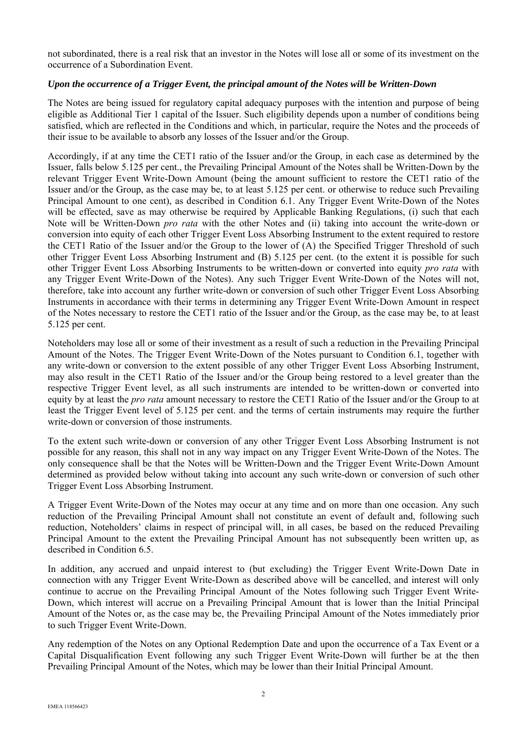not subordinated, there is a real risk that an investor in the Notes will lose all or some of its investment on the occurrence of a Subordination Event.

#### *Upon the occurrence of a Trigger Event, the principal amount of the Notes will be Written-Down*

The Notes are being issued for regulatory capital adequacy purposes with the intention and purpose of being eligible as Additional Tier 1 capital of the Issuer. Such eligibility depends upon a number of conditions being satisfied, which are reflected in the Conditions and which, in particular, require the Notes and the proceeds of their issue to be available to absorb any losses of the Issuer and/or the Group.

Accordingly, if at any time the CET1 ratio of the Issuer and/or the Group, in each case as determined by the Issuer, falls below 5.125 per cent., the Prevailing Principal Amount of the Notes shall be Written-Down by the relevant Trigger Event Write-Down Amount (being the amount sufficient to restore the CET1 ratio of the Issuer and/or the Group, as the case may be, to at least 5.125 per cent. or otherwise to reduce such Prevailing Principal Amount to one cent), as described in Condition 6.1. Any Trigger Event Write-Down of the Notes will be effected, save as may otherwise be required by Applicable Banking Regulations, (i) such that each Note will be Written-Down *pro rata* with the other Notes and (ii) taking into account the write-down or conversion into equity of each other Trigger Event Loss Absorbing Instrument to the extent required to restore the CET1 Ratio of the Issuer and/or the Group to the lower of (A) the Specified Trigger Threshold of such other Trigger Event Loss Absorbing Instrument and (B) 5.125 per cent. (to the extent it is possible for such other Trigger Event Loss Absorbing Instruments to be written-down or converted into equity *pro rata* with any Trigger Event Write-Down of the Notes). Any such Trigger Event Write-Down of the Notes will not, therefore, take into account any further write-down or conversion of such other Trigger Event Loss Absorbing Instruments in accordance with their terms in determining any Trigger Event Write-Down Amount in respect of the Notes necessary to restore the CET1 ratio of the Issuer and/or the Group, as the case may be, to at least 5.125 per cent.

Noteholders may lose all or some of their investment as a result of such a reduction in the Prevailing Principal Amount of the Notes. The Trigger Event Write-Down of the Notes pursuant to Condition 6.1, together with any write-down or conversion to the extent possible of any other Trigger Event Loss Absorbing Instrument, may also result in the CET1 Ratio of the Issuer and/or the Group being restored to a level greater than the respective Trigger Event level, as all such instruments are intended to be written-down or converted into equity by at least the *pro rata* amount necessary to restore the CET1 Ratio of the Issuer and/or the Group to at least the Trigger Event level of 5.125 per cent. and the terms of certain instruments may require the further write-down or conversion of those instruments.

To the extent such write-down or conversion of any other Trigger Event Loss Absorbing Instrument is not possible for any reason, this shall not in any way impact on any Trigger Event Write-Down of the Notes. The only consequence shall be that the Notes will be Written-Down and the Trigger Event Write-Down Amount determined as provided below without taking into account any such write-down or conversion of such other Trigger Event Loss Absorbing Instrument.

A Trigger Event Write-Down of the Notes may occur at any time and on more than one occasion. Any such reduction of the Prevailing Principal Amount shall not constitute an event of default and, following such reduction, Noteholders' claims in respect of principal will, in all cases, be based on the reduced Prevailing Principal Amount to the extent the Prevailing Principal Amount has not subsequently been written up, as described in Condition 6.5.

In addition, any accrued and unpaid interest to (but excluding) the Trigger Event Write-Down Date in connection with any Trigger Event Write-Down as described above will be cancelled, and interest will only continue to accrue on the Prevailing Principal Amount of the Notes following such Trigger Event Write-Down, which interest will accrue on a Prevailing Principal Amount that is lower than the Initial Principal Amount of the Notes or, as the case may be, the Prevailing Principal Amount of the Notes immediately prior to such Trigger Event Write-Down.

Any redemption of the Notes on any Optional Redemption Date and upon the occurrence of a Tax Event or a Capital Disqualification Event following any such Trigger Event Write-Down will further be at the then Prevailing Principal Amount of the Notes, which may be lower than their Initial Principal Amount.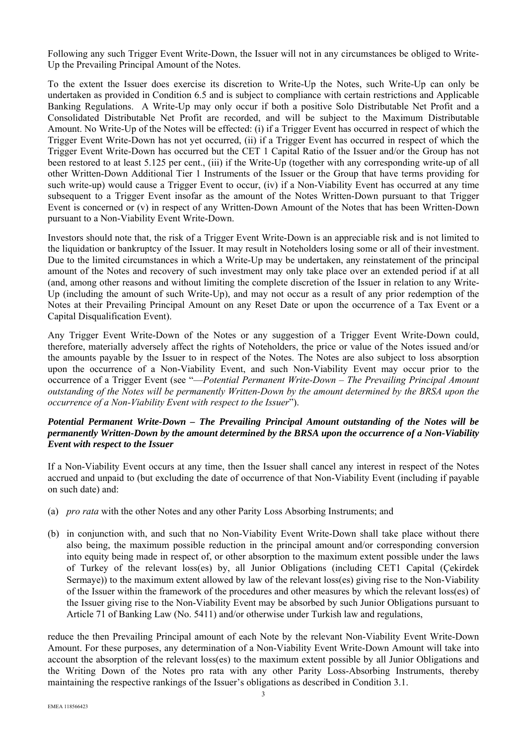Following any such Trigger Event Write-Down, the Issuer will not in any circumstances be obliged to Write-Up the Prevailing Principal Amount of the Notes.

To the extent the Issuer does exercise its discretion to Write-Up the Notes, such Write-Up can only be undertaken as provided in Condition 6.5 and is subject to compliance with certain restrictions and Applicable Banking Regulations. A Write-Up may only occur if both a positive Solo Distributable Net Profit and a Consolidated Distributable Net Profit are recorded, and will be subject to the Maximum Distributable Amount. No Write-Up of the Notes will be effected: (i) if a Trigger Event has occurred in respect of which the Trigger Event Write-Down has not yet occurred, (ii) if a Trigger Event has occurred in respect of which the Trigger Event Write-Down has occurred but the CET 1 Capital Ratio of the Issuer and/or the Group has not been restored to at least 5.125 per cent., (iii) if the Write-Up (together with any corresponding write-up of all other Written-Down Additional Tier 1 Instruments of the Issuer or the Group that have terms providing for such write-up) would cause a Trigger Event to occur, (iv) if a Non-Viability Event has occurred at any time subsequent to a Trigger Event insofar as the amount of the Notes Written-Down pursuant to that Trigger Event is concerned or (v) in respect of any Written-Down Amount of the Notes that has been Written-Down pursuant to a Non-Viability Event Write-Down.

Investors should note that, the risk of a Trigger Event Write-Down is an appreciable risk and is not limited to the liquidation or bankruptcy of the Issuer. It may result in Noteholders losing some or all of their investment. Due to the limited circumstances in which a Write-Up may be undertaken, any reinstatement of the principal amount of the Notes and recovery of such investment may only take place over an extended period if at all (and, among other reasons and without limiting the complete discretion of the Issuer in relation to any Write-Up (including the amount of such Write-Up), and may not occur as a result of any prior redemption of the Notes at their Prevailing Principal Amount on any Reset Date or upon the occurrence of a Tax Event or a Capital Disqualification Event).

Any Trigger Event Write-Down of the Notes or any suggestion of a Trigger Event Write-Down could, therefore, materially adversely affect the rights of Noteholders, the price or value of the Notes issued and/or the amounts payable by the Issuer to in respect of the Notes. The Notes are also subject to loss absorption upon the occurrence of a Non-Viability Event, and such Non-Viability Event may occur prior to the occurrence of a Trigger Event (see "—*Potential Permanent Write-Down – The Prevailing Principal Amount outstanding of the Notes will be permanently Written-Down by the amount determined by the BRSA upon the occurrence of a Non-Viability Event with respect to the Issuer*").

### *Potential Permanent Write-Down – The Prevailing Principal Amount outstanding of the Notes will be permanently Written-Down by the amount determined by the BRSA upon the occurrence of a Non-Viability Event with respect to the Issuer*

If a Non-Viability Event occurs at any time, then the Issuer shall cancel any interest in respect of the Notes accrued and unpaid to (but excluding the date of occurrence of that Non-Viability Event (including if payable on such date) and:

- (a) *pro rata* with the other Notes and any other Parity Loss Absorbing Instruments; and
- (b) in conjunction with, and such that no Non-Viability Event Write-Down shall take place without there also being, the maximum possible reduction in the principal amount and/or corresponding conversion into equity being made in respect of, or other absorption to the maximum extent possible under the laws of Turkey of the relevant loss(es) by, all Junior Obligations (including CET1 Capital (Çekirdek Sermaye)) to the maximum extent allowed by law of the relevant loss(es) giving rise to the Non-Viability of the Issuer within the framework of the procedures and other measures by which the relevant loss(es) of the Issuer giving rise to the Non-Viability Event may be absorbed by such Junior Obligations pursuant to Article 71 of Banking Law (No. 5411) and/or otherwise under Turkish law and regulations,

reduce the then Prevailing Principal amount of each Note by the relevant Non-Viability Event Write-Down Amount. For these purposes, any determination of a Non-Viability Event Write-Down Amount will take into account the absorption of the relevant loss(es) to the maximum extent possible by all Junior Obligations and the Writing Down of the Notes pro rata with any other Parity Loss-Absorbing Instruments, thereby maintaining the respective rankings of the Issuer's obligations as described in Condition 3.1.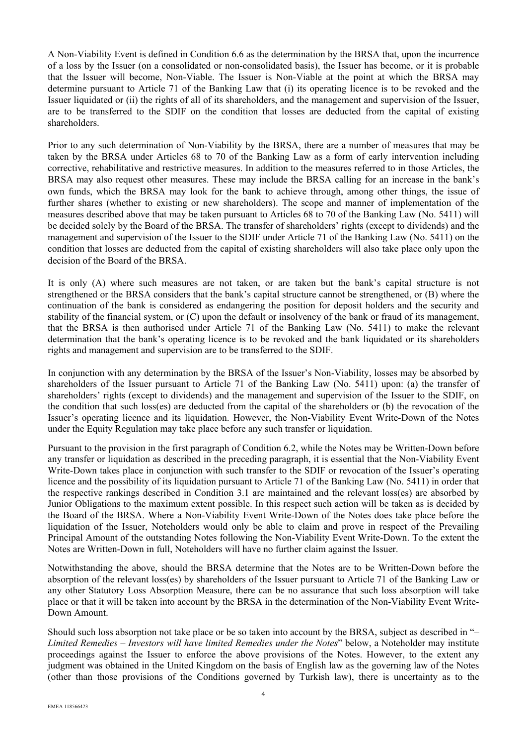A Non-Viability Event is defined in Condition 6.6 as the determination by the BRSA that, upon the incurrence of a loss by the Issuer (on a consolidated or non-consolidated basis), the Issuer has become, or it is probable that the Issuer will become, Non-Viable. The Issuer is Non-Viable at the point at which the BRSA may determine pursuant to Article 71 of the Banking Law that (i) its operating licence is to be revoked and the Issuer liquidated or (ii) the rights of all of its shareholders, and the management and supervision of the Issuer, are to be transferred to the SDIF on the condition that losses are deducted from the capital of existing shareholders.

Prior to any such determination of Non-Viability by the BRSA, there are a number of measures that may be taken by the BRSA under Articles 68 to 70 of the Banking Law as a form of early intervention including corrective, rehabilitative and restrictive measures. In addition to the measures referred to in those Articles, the BRSA may also request other measures. These may include the BRSA calling for an increase in the bank's own funds, which the BRSA may look for the bank to achieve through, among other things, the issue of further shares (whether to existing or new shareholders). The scope and manner of implementation of the measures described above that may be taken pursuant to Articles 68 to 70 of the Banking Law (No. 5411) will be decided solely by the Board of the BRSA. The transfer of shareholders' rights (except to dividends) and the management and supervision of the Issuer to the SDIF under Article 71 of the Banking Law (No. 5411) on the condition that losses are deducted from the capital of existing shareholders will also take place only upon the decision of the Board of the BRSA.

It is only (A) where such measures are not taken, or are taken but the bank's capital structure is not strengthened or the BRSA considers that the bank's capital structure cannot be strengthened, or (B) where the continuation of the bank is considered as endangering the position for deposit holders and the security and stability of the financial system, or (C) upon the default or insolvency of the bank or fraud of its management, that the BRSA is then authorised under Article 71 of the Banking Law (No. 5411) to make the relevant determination that the bank's operating licence is to be revoked and the bank liquidated or its shareholders rights and management and supervision are to be transferred to the SDIF.

In conjunction with any determination by the BRSA of the Issuer's Non-Viability, losses may be absorbed by shareholders of the Issuer pursuant to Article 71 of the Banking Law (No. 5411) upon: (a) the transfer of shareholders' rights (except to dividends) and the management and supervision of the Issuer to the SDIF, on the condition that such loss(es) are deducted from the capital of the shareholders or (b) the revocation of the Issuer's operating licence and its liquidation. However, the Non-Viability Event Write-Down of the Notes under the Equity Regulation may take place before any such transfer or liquidation.

Pursuant to the provision in the first paragraph of Condition 6.2, while the Notes may be Written-Down before any transfer or liquidation as described in the preceding paragraph, it is essential that the Non-Viability Event Write-Down takes place in conjunction with such transfer to the SDIF or revocation of the Issuer's operating licence and the possibility of its liquidation pursuant to Article 71 of the Banking Law (No. 5411) in order that the respective rankings described in Condition 3.1 are maintained and the relevant loss(es) are absorbed by Junior Obligations to the maximum extent possible. In this respect such action will be taken as is decided by the Board of the BRSA. Where a Non-Viability Event Write-Down of the Notes does take place before the liquidation of the Issuer, Noteholders would only be able to claim and prove in respect of the Prevailing Principal Amount of the outstanding Notes following the Non-Viability Event Write-Down. To the extent the Notes are Written-Down in full, Noteholders will have no further claim against the Issuer.

Notwithstanding the above, should the BRSA determine that the Notes are to be Written-Down before the absorption of the relevant loss(es) by shareholders of the Issuer pursuant to Article 71 of the Banking Law or any other Statutory Loss Absorption Measure, there can be no assurance that such loss absorption will take place or that it will be taken into account by the BRSA in the determination of the Non-Viability Event Write-Down Amount.

Should such loss absorption not take place or be so taken into account by the BRSA, subject as described in "– *Limited Remedies – Investors will have limited Remedies under the Notes*" below, a Noteholder may institute proceedings against the Issuer to enforce the above provisions of the Notes. However, to the extent any judgment was obtained in the United Kingdom on the basis of English law as the governing law of the Notes (other than those provisions of the Conditions governed by Turkish law), there is uncertainty as to the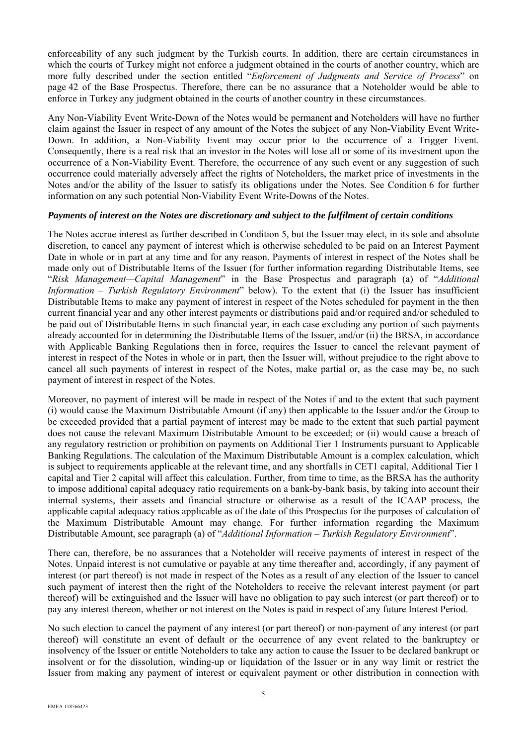enforceability of any such judgment by the Turkish courts. In addition, there are certain circumstances in which the courts of Turkey might not enforce a judgment obtained in the courts of another country, which are more fully described under the section entitled "*Enforcement of Judgments and Service of Process*" on page 42 of the Base Prospectus. Therefore, there can be no assurance that a Noteholder would be able to enforce in Turkey any judgment obtained in the courts of another country in these circumstances.

Any Non-Viability Event Write-Down of the Notes would be permanent and Noteholders will have no further claim against the Issuer in respect of any amount of the Notes the subject of any Non-Viability Event Write-Down. In addition, a Non-Viability Event may occur prior to the occurrence of a Trigger Event. Consequently, there is a real risk that an investor in the Notes will lose all or some of its investment upon the occurrence of a Non-Viability Event. Therefore, the occurrence of any such event or any suggestion of such occurrence could materially adversely affect the rights of Noteholders, the market price of investments in the Notes and/or the ability of the Issuer to satisfy its obligations under the Notes. See Condition 6 for further information on any such potential Non-Viability Event Write-Downs of the Notes.

#### *Payments of interest on the Notes are discretionary and subject to the fulfilment of certain conditions*

The Notes accrue interest as further described in Condition 5, but the Issuer may elect, in its sole and absolute discretion, to cancel any payment of interest which is otherwise scheduled to be paid on an Interest Payment Date in whole or in part at any time and for any reason. Payments of interest in respect of the Notes shall be made only out of Distributable Items of the Issuer (for further information regarding Distributable Items, see "*Risk Management—Capital Management*" in the Base Prospectus and paragraph (a) of "*Additional Information – Turkish Regulatory Environment*" below). To the extent that (i) the Issuer has insufficient Distributable Items to make any payment of interest in respect of the Notes scheduled for payment in the then current financial year and any other interest payments or distributions paid and/or required and/or scheduled to be paid out of Distributable Items in such financial year, in each case excluding any portion of such payments already accounted for in determining the Distributable Items of the Issuer, and/or (ii) the BRSA, in accordance with Applicable Banking Regulations then in force, requires the Issuer to cancel the relevant payment of interest in respect of the Notes in whole or in part, then the Issuer will, without prejudice to the right above to cancel all such payments of interest in respect of the Notes, make partial or, as the case may be, no such payment of interest in respect of the Notes.

Moreover, no payment of interest will be made in respect of the Notes if and to the extent that such payment (i) would cause the Maximum Distributable Amount (if any) then applicable to the Issuer and/or the Group to be exceeded provided that a partial payment of interest may be made to the extent that such partial payment does not cause the relevant Maximum Distributable Amount to be exceeded; or (ii) would cause a breach of any regulatory restriction or prohibition on payments on Additional Tier 1 Instruments pursuant to Applicable Banking Regulations. The calculation of the Maximum Distributable Amount is a complex calculation, which is subject to requirements applicable at the relevant time, and any shortfalls in CET1 capital, Additional Tier 1 capital and Tier 2 capital will affect this calculation. Further, from time to time, as the BRSA has the authority to impose additional capital adequacy ratio requirements on a bank-by-bank basis, by taking into account their internal systems, their assets and financial structure or otherwise as a result of the ICAAP process, the applicable capital adequacy ratios applicable as of the date of this Prospectus for the purposes of calculation of the Maximum Distributable Amount may change. For further information regarding the Maximum Distributable Amount, see paragraph (a) of "*Additional Information – Turkish Regulatory Environment*".

There can, therefore, be no assurances that a Noteholder will receive payments of interest in respect of the Notes. Unpaid interest is not cumulative or payable at any time thereafter and, accordingly, if any payment of interest (or part thereof) is not made in respect of the Notes as a result of any election of the Issuer to cancel such payment of interest then the right of the Noteholders to receive the relevant interest payment (or part thereof) will be extinguished and the Issuer will have no obligation to pay such interest (or part thereof) or to pay any interest thereon, whether or not interest on the Notes is paid in respect of any future Interest Period.

No such election to cancel the payment of any interest (or part thereof) or non-payment of any interest (or part thereof) will constitute an event of default or the occurrence of any event related to the bankruptcy or insolvency of the Issuer or entitle Noteholders to take any action to cause the Issuer to be declared bankrupt or insolvent or for the dissolution, winding-up or liquidation of the Issuer or in any way limit or restrict the Issuer from making any payment of interest or equivalent payment or other distribution in connection with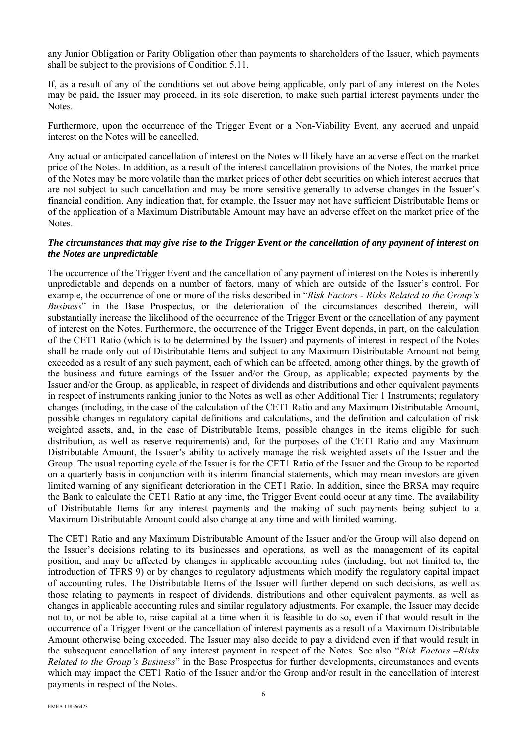any Junior Obligation or Parity Obligation other than payments to shareholders of the Issuer, which payments shall be subject to the provisions of Condition 5.11.

If, as a result of any of the conditions set out above being applicable, only part of any interest on the Notes may be paid, the Issuer may proceed, in its sole discretion, to make such partial interest payments under the Notes.

Furthermore, upon the occurrence of the Trigger Event or a Non-Viability Event, any accrued and unpaid interest on the Notes will be cancelled.

Any actual or anticipated cancellation of interest on the Notes will likely have an adverse effect on the market price of the Notes. In addition, as a result of the interest cancellation provisions of the Notes, the market price of the Notes may be more volatile than the market prices of other debt securities on which interest accrues that are not subject to such cancellation and may be more sensitive generally to adverse changes in the Issuer's financial condition. Any indication that, for example, the Issuer may not have sufficient Distributable Items or of the application of a Maximum Distributable Amount may have an adverse effect on the market price of the Notes.

#### *The circumstances that may give rise to the Trigger Event or the cancellation of any payment of interest on the Notes are unpredictable*

The occurrence of the Trigger Event and the cancellation of any payment of interest on the Notes is inherently unpredictable and depends on a number of factors, many of which are outside of the Issuer's control. For example, the occurrence of one or more of the risks described in "*Risk Factors - Risks Related to the Group's Business*" in the Base Prospectus, or the deterioration of the circumstances described therein, will substantially increase the likelihood of the occurrence of the Trigger Event or the cancellation of any payment of interest on the Notes. Furthermore, the occurrence of the Trigger Event depends, in part, on the calculation of the CET1 Ratio (which is to be determined by the Issuer) and payments of interest in respect of the Notes shall be made only out of Distributable Items and subject to any Maximum Distributable Amount not being exceeded as a result of any such payment, each of which can be affected, among other things, by the growth of the business and future earnings of the Issuer and/or the Group, as applicable; expected payments by the Issuer and/or the Group, as applicable, in respect of dividends and distributions and other equivalent payments in respect of instruments ranking junior to the Notes as well as other Additional Tier 1 Instruments; regulatory changes (including, in the case of the calculation of the CET1 Ratio and any Maximum Distributable Amount, possible changes in regulatory capital definitions and calculations, and the definition and calculation of risk weighted assets, and, in the case of Distributable Items, possible changes in the items eligible for such distribution, as well as reserve requirements) and, for the purposes of the CET1 Ratio and any Maximum Distributable Amount, the Issuer's ability to actively manage the risk weighted assets of the Issuer and the Group. The usual reporting cycle of the Issuer is for the CET1 Ratio of the Issuer and the Group to be reported on a quarterly basis in conjunction with its interim financial statements, which may mean investors are given limited warning of any significant deterioration in the CET1 Ratio. In addition, since the BRSA may require the Bank to calculate the CET1 Ratio at any time, the Trigger Event could occur at any time. The availability of Distributable Items for any interest payments and the making of such payments being subject to a Maximum Distributable Amount could also change at any time and with limited warning.

The CET1 Ratio and any Maximum Distributable Amount of the Issuer and/or the Group will also depend on the Issuer's decisions relating to its businesses and operations, as well as the management of its capital position, and may be affected by changes in applicable accounting rules (including, but not limited to, the introduction of TFRS 9) or by changes to regulatory adjustments which modify the regulatory capital impact of accounting rules. The Distributable Items of the Issuer will further depend on such decisions, as well as those relating to payments in respect of dividends, distributions and other equivalent payments, as well as changes in applicable accounting rules and similar regulatory adjustments. For example, the Issuer may decide not to, or not be able to, raise capital at a time when it is feasible to do so, even if that would result in the occurrence of a Trigger Event or the cancellation of interest payments as a result of a Maximum Distributable Amount otherwise being exceeded. The Issuer may also decide to pay a dividend even if that would result in the subsequent cancellation of any interest payment in respect of the Notes. See also "*Risk Factors –Risks Related to the Group's Business*" in the Base Prospectus for further developments, circumstances and events which may impact the CET1 Ratio of the Issuer and/or the Group and/or result in the cancellation of interest payments in respect of the Notes.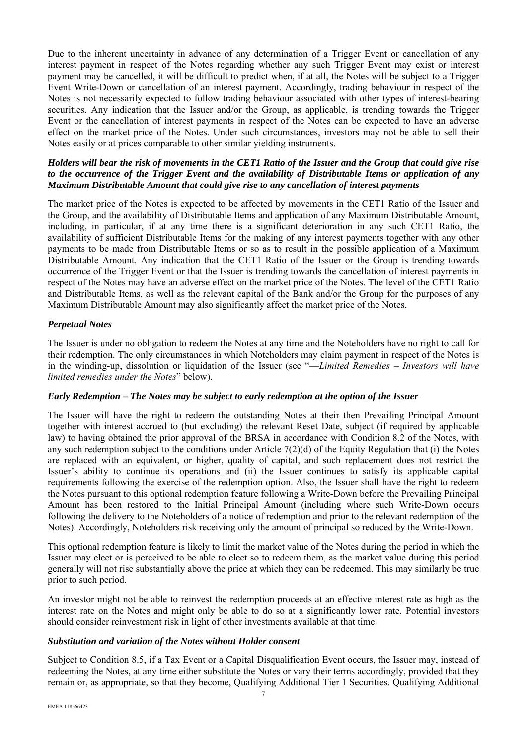Due to the inherent uncertainty in advance of any determination of a Trigger Event or cancellation of any interest payment in respect of the Notes regarding whether any such Trigger Event may exist or interest payment may be cancelled, it will be difficult to predict when, if at all, the Notes will be subject to a Trigger Event Write-Down or cancellation of an interest payment. Accordingly, trading behaviour in respect of the Notes is not necessarily expected to follow trading behaviour associated with other types of interest-bearing securities. Any indication that the Issuer and/or the Group, as applicable, is trending towards the Trigger Event or the cancellation of interest payments in respect of the Notes can be expected to have an adverse effect on the market price of the Notes. Under such circumstances, investors may not be able to sell their Notes easily or at prices comparable to other similar yielding instruments.

#### *Holders will bear the risk of movements in the CET1 Ratio of the Issuer and the Group that could give rise to the occurrence of the Trigger Event and the availability of Distributable Items or application of any Maximum Distributable Amount that could give rise to any cancellation of interest payments*

The market price of the Notes is expected to be affected by movements in the CET1 Ratio of the Issuer and the Group, and the availability of Distributable Items and application of any Maximum Distributable Amount, including, in particular, if at any time there is a significant deterioration in any such CET1 Ratio, the availability of sufficient Distributable Items for the making of any interest payments together with any other payments to be made from Distributable Items or so as to result in the possible application of a Maximum Distributable Amount. Any indication that the CET1 Ratio of the Issuer or the Group is trending towards occurrence of the Trigger Event or that the Issuer is trending towards the cancellation of interest payments in respect of the Notes may have an adverse effect on the market price of the Notes. The level of the CET1 Ratio and Distributable Items, as well as the relevant capital of the Bank and/or the Group for the purposes of any Maximum Distributable Amount may also significantly affect the market price of the Notes.

# *Perpetual Notes*

The Issuer is under no obligation to redeem the Notes at any time and the Noteholders have no right to call for their redemption. The only circumstances in which Noteholders may claim payment in respect of the Notes is in the winding-up, dissolution or liquidation of the Issuer (see "—*Limited Remedies – Investors will have limited remedies under the Notes*" below).

#### *Early Redemption – The Notes may be subject to early redemption at the option of the Issuer*

The Issuer will have the right to redeem the outstanding Notes at their then Prevailing Principal Amount together with interest accrued to (but excluding) the relevant Reset Date, subject (if required by applicable law) to having obtained the prior approval of the BRSA in accordance with Condition 8.2 of the Notes, with any such redemption subject to the conditions under Article  $7(2)(d)$  of the Equity Regulation that (i) the Notes are replaced with an equivalent, or higher, quality of capital, and such replacement does not restrict the Issuer's ability to continue its operations and (ii) the Issuer continues to satisfy its applicable capital requirements following the exercise of the redemption option. Also, the Issuer shall have the right to redeem the Notes pursuant to this optional redemption feature following a Write-Down before the Prevailing Principal Amount has been restored to the Initial Principal Amount (including where such Write-Down occurs following the delivery to the Noteholders of a notice of redemption and prior to the relevant redemption of the Notes). Accordingly, Noteholders risk receiving only the amount of principal so reduced by the Write-Down.

This optional redemption feature is likely to limit the market value of the Notes during the period in which the Issuer may elect or is perceived to be able to elect so to redeem them, as the market value during this period generally will not rise substantially above the price at which they can be redeemed. This may similarly be true prior to such period.

An investor might not be able to reinvest the redemption proceeds at an effective interest rate as high as the interest rate on the Notes and might only be able to do so at a significantly lower rate. Potential investors should consider reinvestment risk in light of other investments available at that time.

#### *Substitution and variation of the Notes without Holder consent*

Subject to Condition 8.5, if a Tax Event or a Capital Disqualification Event occurs, the Issuer may, instead of redeeming the Notes, at any time either substitute the Notes or vary their terms accordingly, provided that they remain or, as appropriate, so that they become, Qualifying Additional Tier 1 Securities. Qualifying Additional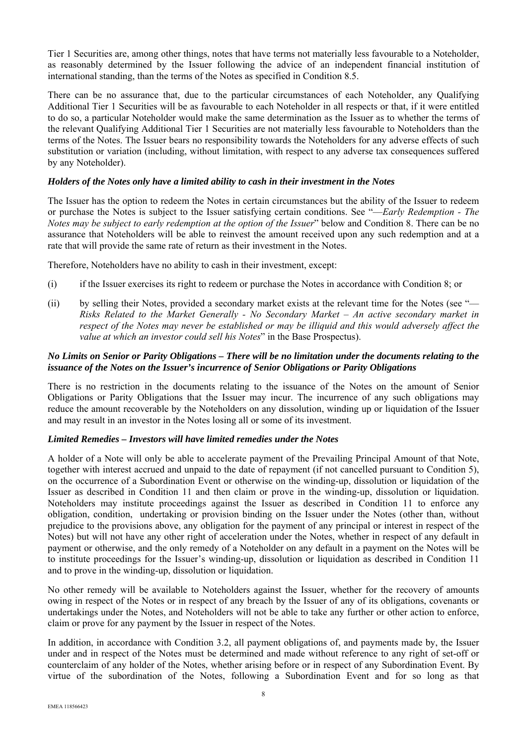Tier 1 Securities are, among other things, notes that have terms not materially less favourable to a Noteholder, as reasonably determined by the Issuer following the advice of an independent financial institution of international standing, than the terms of the Notes as specified in Condition 8.5.

There can be no assurance that, due to the particular circumstances of each Noteholder, any Qualifying Additional Tier 1 Securities will be as favourable to each Noteholder in all respects or that, if it were entitled to do so, a particular Noteholder would make the same determination as the Issuer as to whether the terms of the relevant Qualifying Additional Tier 1 Securities are not materially less favourable to Noteholders than the terms of the Notes. The Issuer bears no responsibility towards the Noteholders for any adverse effects of such substitution or variation (including, without limitation, with respect to any adverse tax consequences suffered by any Noteholder).

#### *Holders of the Notes only have a limited ability to cash in their investment in the Notes*

The Issuer has the option to redeem the Notes in certain circumstances but the ability of the Issuer to redeem or purchase the Notes is subject to the Issuer satisfying certain conditions. See "—*Early Redemption - The Notes may be subject to early redemption at the option of the Issuer*" below and Condition 8. There can be no assurance that Noteholders will be able to reinvest the amount received upon any such redemption and at a rate that will provide the same rate of return as their investment in the Notes.

Therefore, Noteholders have no ability to cash in their investment, except:

- (i) if the Issuer exercises its right to redeem or purchase the Notes in accordance with Condition 8; or
- (ii) by selling their Notes, provided a secondary market exists at the relevant time for the Notes (see "— *Risks Related to the Market Generally - No Secondary Market – An active secondary market in respect of the Notes may never be established or may be illiquid and this would adversely affect the value at which an investor could sell his Notes*" in the Base Prospectus).

# *No Limits on Senior or Parity Obligations – There will be no limitation under the documents relating to the issuance of the Notes on the Issuer's incurrence of Senior Obligations or Parity Obligations*

There is no restriction in the documents relating to the issuance of the Notes on the amount of Senior Obligations or Parity Obligations that the Issuer may incur. The incurrence of any such obligations may reduce the amount recoverable by the Noteholders on any dissolution, winding up or liquidation of the Issuer and may result in an investor in the Notes losing all or some of its investment.

#### *Limited Remedies – Investors will have limited remedies under the Notes*

A holder of a Note will only be able to accelerate payment of the Prevailing Principal Amount of that Note, together with interest accrued and unpaid to the date of repayment (if not cancelled pursuant to Condition 5), on the occurrence of a Subordination Event or otherwise on the winding-up, dissolution or liquidation of the Issuer as described in Condition 11 and then claim or prove in the winding-up, dissolution or liquidation. Noteholders may institute proceedings against the Issuer as described in Condition 11 to enforce any obligation, condition, undertaking or provision binding on the Issuer under the Notes (other than, without prejudice to the provisions above, any obligation for the payment of any principal or interest in respect of the Notes) but will not have any other right of acceleration under the Notes, whether in respect of any default in payment or otherwise, and the only remedy of a Noteholder on any default in a payment on the Notes will be to institute proceedings for the Issuer's winding-up, dissolution or liquidation as described in Condition 11 and to prove in the winding-up, dissolution or liquidation.

No other remedy will be available to Noteholders against the Issuer, whether for the recovery of amounts owing in respect of the Notes or in respect of any breach by the Issuer of any of its obligations, covenants or undertakings under the Notes, and Noteholders will not be able to take any further or other action to enforce, claim or prove for any payment by the Issuer in respect of the Notes.

In addition, in accordance with Condition 3.2, all payment obligations of, and payments made by, the Issuer under and in respect of the Notes must be determined and made without reference to any right of set-off or counterclaim of any holder of the Notes, whether arising before or in respect of any Subordination Event. By virtue of the subordination of the Notes, following a Subordination Event and for so long as that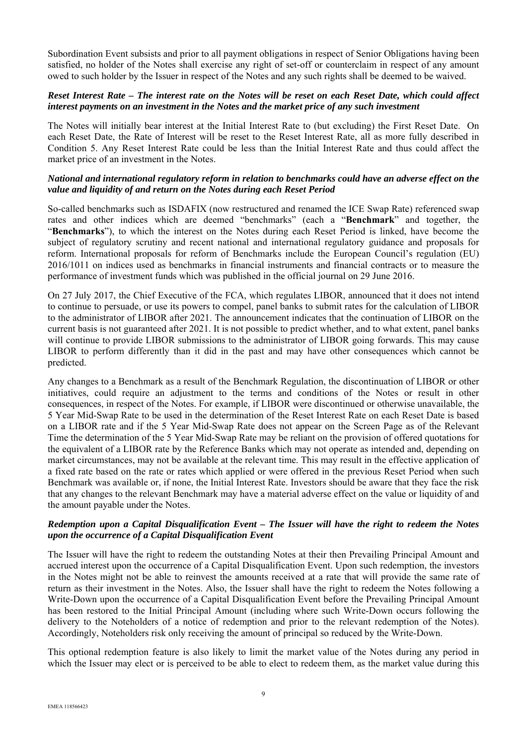Subordination Event subsists and prior to all payment obligations in respect of Senior Obligations having been satisfied, no holder of the Notes shall exercise any right of set-off or counterclaim in respect of any amount owed to such holder by the Issuer in respect of the Notes and any such rights shall be deemed to be waived.

# *Reset Interest Rate – The interest rate on the Notes will be reset on each Reset Date, which could affect interest payments on an investment in the Notes and the market price of any such investment*

The Notes will initially bear interest at the Initial Interest Rate to (but excluding) the First Reset Date. On each Reset Date, the Rate of Interest will be reset to the Reset Interest Rate, all as more fully described in Condition 5. Any Reset Interest Rate could be less than the Initial Interest Rate and thus could affect the market price of an investment in the Notes.

#### *National and international regulatory reform in relation to benchmarks could have an adverse effect on the value and liquidity of and return on the Notes during each Reset Period*

So-called benchmarks such as ISDAFIX (now restructured and renamed the ICE Swap Rate) referenced swap rates and other indices which are deemed "benchmarks" (each a "**Benchmark**" and together, the "**Benchmarks**"), to which the interest on the Notes during each Reset Period is linked, have become the subject of regulatory scrutiny and recent national and international regulatory guidance and proposals for reform. International proposals for reform of Benchmarks include the European Council's regulation (EU) 2016/1011 on indices used as benchmarks in financial instruments and financial contracts or to measure the performance of investment funds which was published in the official journal on 29 June 2016.

On 27 July 2017, the Chief Executive of the FCA, which regulates LIBOR, announced that it does not intend to continue to persuade, or use its powers to compel, panel banks to submit rates for the calculation of LIBOR to the administrator of LIBOR after 2021. The announcement indicates that the continuation of LIBOR on the current basis is not guaranteed after 2021. It is not possible to predict whether, and to what extent, panel banks will continue to provide LIBOR submissions to the administrator of LIBOR going forwards. This may cause LIBOR to perform differently than it did in the past and may have other consequences which cannot be predicted.

Any changes to a Benchmark as a result of the Benchmark Regulation, the discontinuation of LIBOR or other initiatives, could require an adjustment to the terms and conditions of the Notes or result in other consequences, in respect of the Notes. For example, if LIBOR were discontinued or otherwise unavailable, the 5 Year Mid-Swap Rate to be used in the determination of the Reset Interest Rate on each Reset Date is based on a LIBOR rate and if the 5 Year Mid-Swap Rate does not appear on the Screen Page as of the Relevant Time the determination of the 5 Year Mid-Swap Rate may be reliant on the provision of offered quotations for the equivalent of a LIBOR rate by the Reference Banks which may not operate as intended and, depending on market circumstances, may not be available at the relevant time. This may result in the effective application of a fixed rate based on the rate or rates which applied or were offered in the previous Reset Period when such Benchmark was available or, if none, the Initial Interest Rate. Investors should be aware that they face the risk that any changes to the relevant Benchmark may have a material adverse effect on the value or liquidity of and the amount payable under the Notes.

# *Redemption upon a Capital Disqualification Event – The Issuer will have the right to redeem the Notes upon the occurrence of a Capital Disqualification Event*

The Issuer will have the right to redeem the outstanding Notes at their then Prevailing Principal Amount and accrued interest upon the occurrence of a Capital Disqualification Event. Upon such redemption, the investors in the Notes might not be able to reinvest the amounts received at a rate that will provide the same rate of return as their investment in the Notes. Also, the Issuer shall have the right to redeem the Notes following a Write-Down upon the occurrence of a Capital Disqualification Event before the Prevailing Principal Amount has been restored to the Initial Principal Amount (including where such Write-Down occurs following the delivery to the Noteholders of a notice of redemption and prior to the relevant redemption of the Notes). Accordingly, Noteholders risk only receiving the amount of principal so reduced by the Write-Down.

This optional redemption feature is also likely to limit the market value of the Notes during any period in which the Issuer may elect or is perceived to be able to elect to redeem them, as the market value during this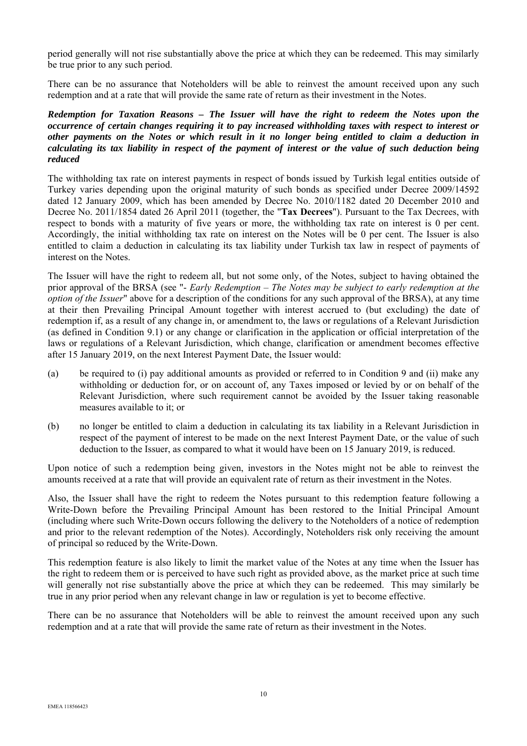period generally will not rise substantially above the price at which they can be redeemed. This may similarly be true prior to any such period.

There can be no assurance that Noteholders will be able to reinvest the amount received upon any such redemption and at a rate that will provide the same rate of return as their investment in the Notes.

#### *Redemption for Taxation Reasons – The Issuer will have the right to redeem the Notes upon the occurrence of certain changes requiring it to pay increased withholding taxes with respect to interest or other payments on the Notes or which result in it no longer being entitled to claim a deduction in calculating its tax liability in respect of the payment of interest or the value of such deduction being reduced*

The withholding tax rate on interest payments in respect of bonds issued by Turkish legal entities outside of Turkey varies depending upon the original maturity of such bonds as specified under Decree 2009/14592 dated 12 January 2009, which has been amended by Decree No. 2010/1182 dated 20 December 2010 and Decree No. 2011/1854 dated 26 April 2011 (together, the "**Tax Decrees**"). Pursuant to the Tax Decrees, with respect to bonds with a maturity of five years or more, the withholding tax rate on interest is 0 per cent. Accordingly, the initial withholding tax rate on interest on the Notes will be 0 per cent. The Issuer is also entitled to claim a deduction in calculating its tax liability under Turkish tax law in respect of payments of interest on the Notes.

The Issuer will have the right to redeem all, but not some only, of the Notes, subject to having obtained the prior approval of the BRSA (see "- *Early Redemption – The Notes may be subject to early redemption at the option of the Issuer*" above for a description of the conditions for any such approval of the BRSA), at any time at their then Prevailing Principal Amount together with interest accrued to (but excluding) the date of redemption if, as a result of any change in, or amendment to, the laws or regulations of a Relevant Jurisdiction (as defined in Condition 9.1) or any change or clarification in the application or official interpretation of the laws or regulations of a Relevant Jurisdiction, which change, clarification or amendment becomes effective after 15 January 2019, on the next Interest Payment Date, the Issuer would:

- (a) be required to (i) pay additional amounts as provided or referred to in Condition 9 and (ii) make any withholding or deduction for, or on account of, any Taxes imposed or levied by or on behalf of the Relevant Jurisdiction, where such requirement cannot be avoided by the Issuer taking reasonable measures available to it; or
- (b) no longer be entitled to claim a deduction in calculating its tax liability in a Relevant Jurisdiction in respect of the payment of interest to be made on the next Interest Payment Date, or the value of such deduction to the Issuer, as compared to what it would have been on 15 January 2019, is reduced.

Upon notice of such a redemption being given, investors in the Notes might not be able to reinvest the amounts received at a rate that will provide an equivalent rate of return as their investment in the Notes.

Also, the Issuer shall have the right to redeem the Notes pursuant to this redemption feature following a Write-Down before the Prevailing Principal Amount has been restored to the Initial Principal Amount (including where such Write-Down occurs following the delivery to the Noteholders of a notice of redemption and prior to the relevant redemption of the Notes). Accordingly, Noteholders risk only receiving the amount of principal so reduced by the Write-Down.

This redemption feature is also likely to limit the market value of the Notes at any time when the Issuer has the right to redeem them or is perceived to have such right as provided above, as the market price at such time will generally not rise substantially above the price at which they can be redeemed. This may similarly be true in any prior period when any relevant change in law or regulation is yet to become effective.

There can be no assurance that Noteholders will be able to reinvest the amount received upon any such redemption and at a rate that will provide the same rate of return as their investment in the Notes.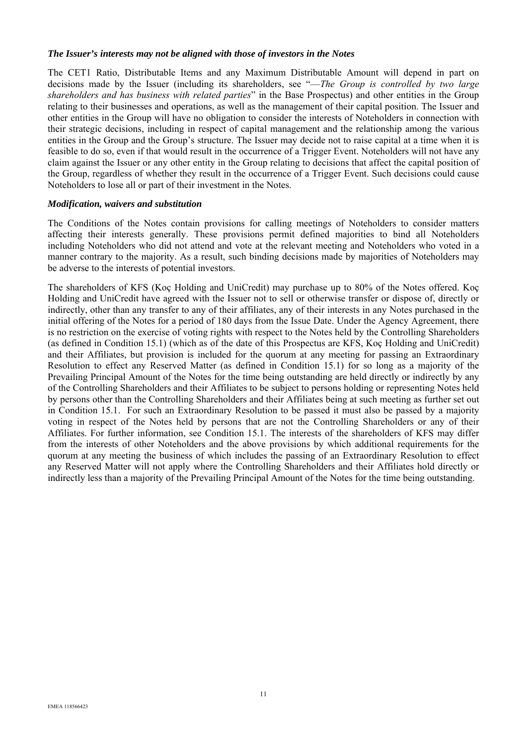#### *The Issuer's interests may not be aligned with those of investors in the Notes*

The CET1 Ratio, Distributable Items and any Maximum Distributable Amount will depend in part on decisions made by the Issuer (including its shareholders, see "—*The Group is controlled by two large shareholders and has business with related parties*" in the Base Prospectus) and other entities in the Group relating to their businesses and operations, as well as the management of their capital position. The Issuer and other entities in the Group will have no obligation to consider the interests of Noteholders in connection with their strategic decisions, including in respect of capital management and the relationship among the various entities in the Group and the Group's structure. The Issuer may decide not to raise capital at a time when it is feasible to do so, even if that would result in the occurrence of a Trigger Event. Noteholders will not have any claim against the Issuer or any other entity in the Group relating to decisions that affect the capital position of the Group, regardless of whether they result in the occurrence of a Trigger Event. Such decisions could cause Noteholders to lose all or part of their investment in the Notes.

#### *Modification, waivers and substitution*

The Conditions of the Notes contain provisions for calling meetings of Noteholders to consider matters affecting their interests generally. These provisions permit defined majorities to bind all Noteholders including Noteholders who did not attend and vote at the relevant meeting and Noteholders who voted in a manner contrary to the majority. As a result, such binding decisions made by majorities of Noteholders may be adverse to the interests of potential investors.

The shareholders of KFS (Koç Holding and UniCredit) may purchase up to 80% of the Notes offered. Koç Holding and UniCredit have agreed with the Issuer not to sell or otherwise transfer or dispose of, directly or indirectly, other than any transfer to any of their affiliates, any of their interests in any Notes purchased in the initial offering of the Notes for a period of 180 days from the Issue Date. Under the Agency Agreement, there is no restriction on the exercise of voting rights with respect to the Notes held by the Controlling Shareholders (as defined in Condition 15.1) (which as of the date of this Prospectus are KFS, Koç Holding and UniCredit) and their Affiliates, but provision is included for the quorum at any meeting for passing an Extraordinary Resolution to effect any Reserved Matter (as defined in Condition 15.1) for so long as a majority of the Prevailing Principal Amount of the Notes for the time being outstanding are held directly or indirectly by any of the Controlling Shareholders and their Affiliates to be subject to persons holding or representing Notes held by persons other than the Controlling Shareholders and their Affiliates being at such meeting as further set out in Condition 15.1. For such an Extraordinary Resolution to be passed it must also be passed by a majority voting in respect of the Notes held by persons that are not the Controlling Shareholders or any of their Affiliates. For further information, see Condition 15.1. The interests of the shareholders of KFS may differ from the interests of other Noteholders and the above provisions by which additional requirements for the quorum at any meeting the business of which includes the passing of an Extraordinary Resolution to effect any Reserved Matter will not apply where the Controlling Shareholders and their Affiliates hold directly or indirectly less than a majority of the Prevailing Principal Amount of the Notes for the time being outstanding.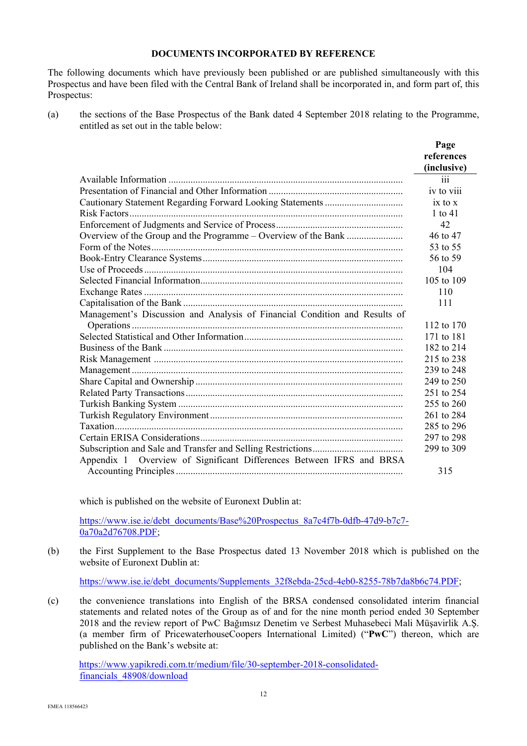# **DOCUMENTS INCORPORATED BY REFERENCE**

The following documents which have previously been published or are published simultaneously with this Prospectus and have been filed with the Central Bank of Ireland shall be incorporated in, and form part of, this Prospectus:

(a) the sections of the Base Prospectus of the Bank dated 4 September 2018 relating to the Programme, entitled as set out in the table below:

|                                                                            | Page<br>references<br>(inclusive) |
|----------------------------------------------------------------------------|-----------------------------------|
|                                                                            | iii                               |
|                                                                            | iv to viii                        |
|                                                                            | $ix$ to $x$                       |
|                                                                            | 1 to $41$                         |
|                                                                            | 42                                |
| Overview of the Group and the Programme - Overview of the Bank             | 46 to 47                          |
|                                                                            | 53 to 55                          |
|                                                                            | 56 to 59                          |
|                                                                            | 104                               |
|                                                                            | 105 to 109                        |
|                                                                            | 110                               |
|                                                                            | 111                               |
| Management's Discussion and Analysis of Financial Condition and Results of |                                   |
|                                                                            | 112 to 170                        |
|                                                                            | 171 to 181                        |
|                                                                            | 182 to 214                        |
|                                                                            | 215 to 238                        |
|                                                                            | 239 to 248                        |
|                                                                            | 249 to 250                        |
|                                                                            | 251 to 254                        |
|                                                                            | 255 to 260                        |
|                                                                            | 261 to 284                        |
|                                                                            | 285 to 296                        |
|                                                                            | 297 to 298                        |
|                                                                            | 299 to 309                        |
| Appendix 1 Overview of Significant Differences Between IFRS and BRSA       |                                   |
|                                                                            | 315                               |

which is published on the website of Euronext Dublin at:

https://www.ise.ie/debt\_documents/Base%20Prospectus\_8a7c4f7b-0dfb-47d9-b7c7-0a70a2d76708.PDF;

(b) the First Supplement to the Base Prospectus dated 13 November 2018 which is published on the website of Euronext Dublin at:

https://www.ise.ie/debt\_documents/Supplements\_32f8ebda-25cd-4eb0-8255-78b7da8b6c74.PDF;

(c) the convenience translations into English of the BRSA condensed consolidated interim financial statements and related notes of the Group as of and for the nine month period ended 30 September 2018 and the review report of PwC Bağımsız Denetim ve Serbest Muhasebeci Mali Müşavirlik A.Ş. (a member firm of PricewaterhouseCoopers International Limited) ("**PwC**") thereon, which are published on the Bank's website at:

https://www.yapikredi.com.tr/medium/file/30-september-2018-consolidatedfinancials\_48908/download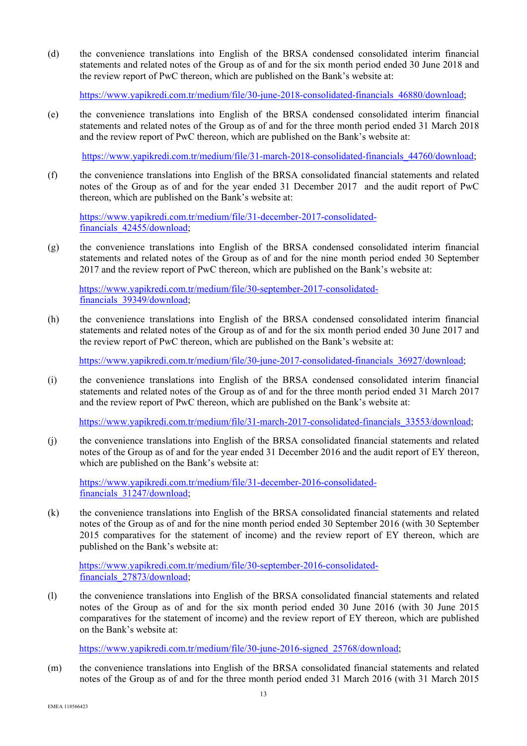(d) the convenience translations into English of the BRSA condensed consolidated interim financial statements and related notes of the Group as of and for the six month period ended 30 June 2018 and the review report of PwC thereon, which are published on the Bank's website at:

https://www.yapikredi.com.tr/medium/file/30-june-2018-consolidated-financials\_46880/download;

(e) the convenience translations into English of the BRSA condensed consolidated interim financial statements and related notes of the Group as of and for the three month period ended 31 March 2018 and the review report of PwC thereon, which are published on the Bank's website at:

https://www.yapikredi.com.tr/medium/file/31-march-2018-consolidated-financials\_44760/download;

(f) the convenience translations into English of the BRSA consolidated financial statements and related notes of the Group as of and for the year ended 31 December 2017 and the audit report of PwC thereon, which are published on the Bank's website at:

https://www.yapikredi.com.tr/medium/file/31-december-2017-consolidatedfinancials\_42455/download;

(g) the convenience translations into English of the BRSA condensed consolidated interim financial statements and related notes of the Group as of and for the nine month period ended 30 September 2017 and the review report of PwC thereon, which are published on the Bank's website at:

https://www.yapikredi.com.tr/medium/file/30-september-2017-consolidatedfinancials\_39349/download;

(h) the convenience translations into English of the BRSA condensed consolidated interim financial statements and related notes of the Group as of and for the six month period ended 30 June 2017 and the review report of PwC thereon, which are published on the Bank's website at:

https://www.yapikredi.com.tr/medium/file/30-june-2017-consolidated-financials\_36927/download;

(i) the convenience translations into English of the BRSA condensed consolidated interim financial statements and related notes of the Group as of and for the three month period ended 31 March 2017 and the review report of PwC thereon, which are published on the Bank's website at:

https://www.yapikredi.com.tr/medium/file/31-march-2017-consolidated-financials\_33553/download;

(j) the convenience translations into English of the BRSA consolidated financial statements and related notes of the Group as of and for the year ended 31 December 2016 and the audit report of EY thereon, which are published on the Bank's website at:

https://www.yapikredi.com.tr/medium/file/31-december-2016-consolidatedfinancials\_31247/download;

(k) the convenience translations into English of the BRSA consolidated financial statements and related notes of the Group as of and for the nine month period ended 30 September 2016 (with 30 September 2015 comparatives for the statement of income) and the review report of EY thereon, which are published on the Bank's website at:

https://www.yapikredi.com.tr/medium/file/30-september-2016-consolidatedfinancials\_27873/download;

(l) the convenience translations into English of the BRSA consolidated financial statements and related notes of the Group as of and for the six month period ended 30 June 2016 (with 30 June 2015 comparatives for the statement of income) and the review report of EY thereon, which are published on the Bank's website at:

https://www.yapikredi.com.tr/medium/file/30-june-2016-signed\_25768/download;

(m) the convenience translations into English of the BRSA consolidated financial statements and related notes of the Group as of and for the three month period ended 31 March 2016 (with 31 March 2015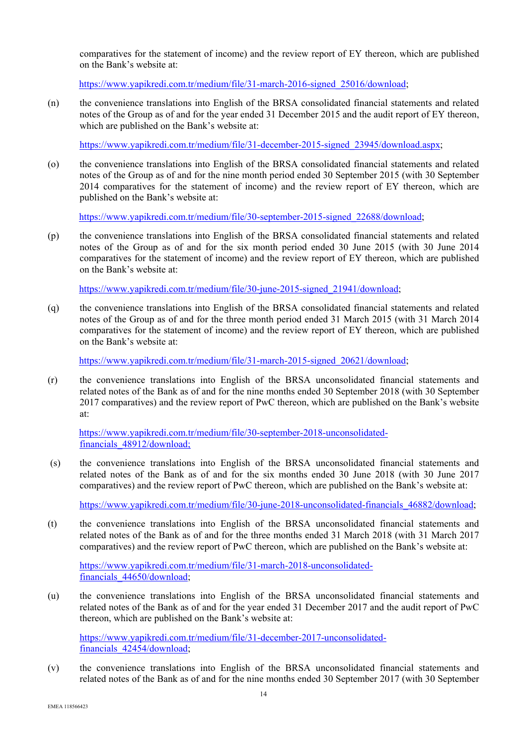comparatives for the statement of income) and the review report of EY thereon, which are published on the Bank's website at:

https://www.yapikredi.com.tr/medium/file/31-march-2016-signed\_25016/download;

(n) the convenience translations into English of the BRSA consolidated financial statements and related notes of the Group as of and for the year ended 31 December 2015 and the audit report of EY thereon, which are published on the Bank's website at:

https://www.yapikredi.com.tr/medium/file/31-december-2015-signed\_23945/download.aspx;

(o) the convenience translations into English of the BRSA consolidated financial statements and related notes of the Group as of and for the nine month period ended 30 September 2015 (with 30 September 2014 comparatives for the statement of income) and the review report of EY thereon, which are published on the Bank's website at:

https://www.yapikredi.com.tr/medium/file/30-september-2015-signed\_22688/download;

(p) the convenience translations into English of the BRSA consolidated financial statements and related notes of the Group as of and for the six month period ended 30 June 2015 (with 30 June 2014 comparatives for the statement of income) and the review report of EY thereon, which are published on the Bank's website at:

https://www.yapikredi.com.tr/medium/file/30-june-2015-signed\_21941/download;

(q) the convenience translations into English of the BRSA consolidated financial statements and related notes of the Group as of and for the three month period ended 31 March 2015 (with 31 March 2014 comparatives for the statement of income) and the review report of EY thereon, which are published on the Bank's website at:

https://www.yapikredi.com.tr/medium/file/31-march-2015-signed\_20621/download;

(r) the convenience translations into English of the BRSA unconsolidated financial statements and related notes of the Bank as of and for the nine months ended 30 September 2018 (with 30 September 2017 comparatives) and the review report of PwC thereon, which are published on the Bank's website at:

https://www.yapikredi.com.tr/medium/file/30-september-2018-unconsolidatedfinancials\_48912/download;

 (s) the convenience translations into English of the BRSA unconsolidated financial statements and related notes of the Bank as of and for the six months ended 30 June 2018 (with 30 June 2017 comparatives) and the review report of PwC thereon, which are published on the Bank's website at:

https://www.yapikredi.com.tr/medium/file/30-june-2018-unconsolidated-financials\_46882/download;

(t) the convenience translations into English of the BRSA unconsolidated financial statements and related notes of the Bank as of and for the three months ended 31 March 2018 (with 31 March 2017 comparatives) and the review report of PwC thereon, which are published on the Bank's website at:

https://www.yapikredi.com.tr/medium/file/31-march-2018-unconsolidatedfinancials\_44650/download;

(u) the convenience translations into English of the BRSA unconsolidated financial statements and related notes of the Bank as of and for the year ended 31 December 2017 and the audit report of PwC thereon, which are published on the Bank's website at:

https://www.yapikredi.com.tr/medium/file/31-december-2017-unconsolidatedfinancials\_42454/download;

(v) the convenience translations into English of the BRSA unconsolidated financial statements and related notes of the Bank as of and for the nine months ended 30 September 2017 (with 30 September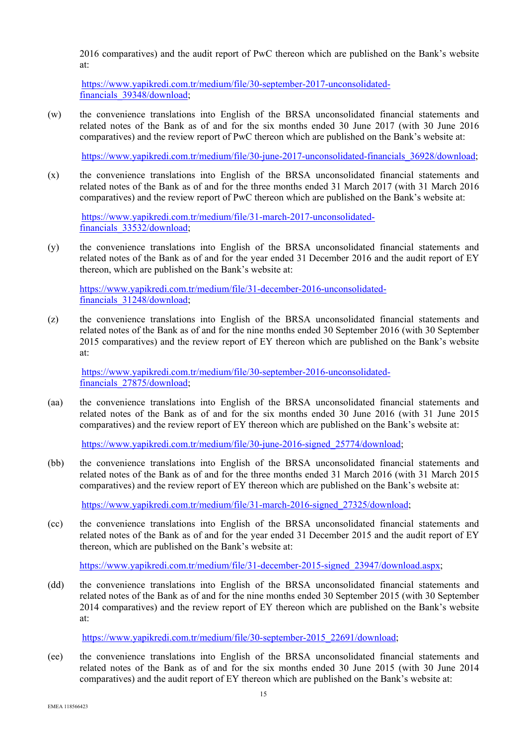2016 comparatives) and the audit report of PwC thereon which are published on the Bank's website at:

https://www.yapikredi.com.tr/medium/file/30-september-2017-unconsolidatedfinancials\_39348/download;

(w) the convenience translations into English of the BRSA unconsolidated financial statements and related notes of the Bank as of and for the six months ended 30 June 2017 (with 30 June 2016 comparatives) and the review report of PwC thereon which are published on the Bank's website at:

https://www.yapikredi.com.tr/medium/file/30-june-2017-unconsolidated-financials\_36928/download;

(x) the convenience translations into English of the BRSA unconsolidated financial statements and related notes of the Bank as of and for the three months ended 31 March 2017 (with 31 March 2016 comparatives) and the review report of PwC thereon which are published on the Bank's website at:

https://www.yapikredi.com.tr/medium/file/31-march-2017-unconsolidatedfinancials\_33532/download;

(y) the convenience translations into English of the BRSA unconsolidated financial statements and related notes of the Bank as of and for the year ended 31 December 2016 and the audit report of EY thereon, which are published on the Bank's website at:

https://www.yapikredi.com.tr/medium/file/31-december-2016-unconsolidatedfinancials\_31248/download;

(z) the convenience translations into English of the BRSA unconsolidated financial statements and related notes of the Bank as of and for the nine months ended 30 September 2016 (with 30 September 2015 comparatives) and the review report of EY thereon which are published on the Bank's website at:

https://www.yapikredi.com.tr/medium/file/30-september-2016-unconsolidatedfinancials\_27875/download;

(aa) the convenience translations into English of the BRSA unconsolidated financial statements and related notes of the Bank as of and for the six months ended 30 June 2016 (with 31 June 2015 comparatives) and the review report of EY thereon which are published on the Bank's website at:

https://www.yapikredi.com.tr/medium/file/30-june-2016-signed\_25774/download;

(bb) the convenience translations into English of the BRSA unconsolidated financial statements and related notes of the Bank as of and for the three months ended 31 March 2016 (with 31 March 2015 comparatives) and the review report of EY thereon which are published on the Bank's website at:

https://www.yapikredi.com.tr/medium/file/31-march-2016-signed\_27325/download;

(cc) the convenience translations into English of the BRSA unconsolidated financial statements and related notes of the Bank as of and for the year ended 31 December 2015 and the audit report of EY thereon, which are published on the Bank's website at:

https://www.yapikredi.com.tr/medium/file/31-december-2015-signed\_23947/download.aspx;

(dd) the convenience translations into English of the BRSA unconsolidated financial statements and related notes of the Bank as of and for the nine months ended 30 September 2015 (with 30 September 2014 comparatives) and the review report of EY thereon which are published on the Bank's website at:

https://www.yapikredi.com.tr/medium/file/30-september-2015\_22691/download;

(ee) the convenience translations into English of the BRSA unconsolidated financial statements and related notes of the Bank as of and for the six months ended 30 June 2015 (with 30 June 2014 comparatives) and the audit report of EY thereon which are published on the Bank's website at: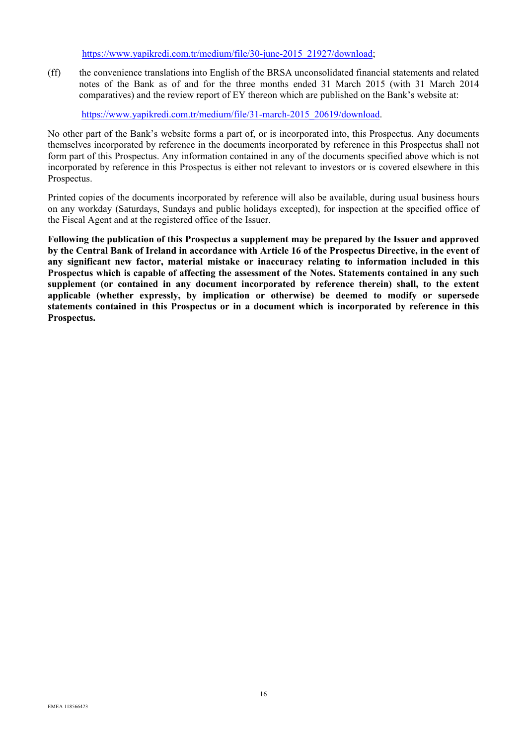# https://www.yapikredi.com.tr/medium/file/30-june-2015\_21927/download;

(ff) the convenience translations into English of the BRSA unconsolidated financial statements and related notes of the Bank as of and for the three months ended 31 March 2015 (with 31 March 2014 comparatives) and the review report of EY thereon which are published on the Bank's website at:

https://www.yapikredi.com.tr/medium/file/31-march-2015\_20619/download.

No other part of the Bank's website forms a part of, or is incorporated into, this Prospectus. Any documents themselves incorporated by reference in the documents incorporated by reference in this Prospectus shall not form part of this Prospectus. Any information contained in any of the documents specified above which is not incorporated by reference in this Prospectus is either not relevant to investors or is covered elsewhere in this Prospectus.

Printed copies of the documents incorporated by reference will also be available, during usual business hours on any workday (Saturdays, Sundays and public holidays excepted), for inspection at the specified office of the Fiscal Agent and at the registered office of the Issuer.

**Following the publication of this Prospectus a supplement may be prepared by the Issuer and approved by the Central Bank of Ireland in accordance with Article 16 of the Prospectus Directive, in the event of any significant new factor, material mistake or inaccuracy relating to information included in this Prospectus which is capable of affecting the assessment of the Notes. Statements contained in any such supplement (or contained in any document incorporated by reference therein) shall, to the extent applicable (whether expressly, by implication or otherwise) be deemed to modify or supersede statements contained in this Prospectus or in a document which is incorporated by reference in this Prospectus.**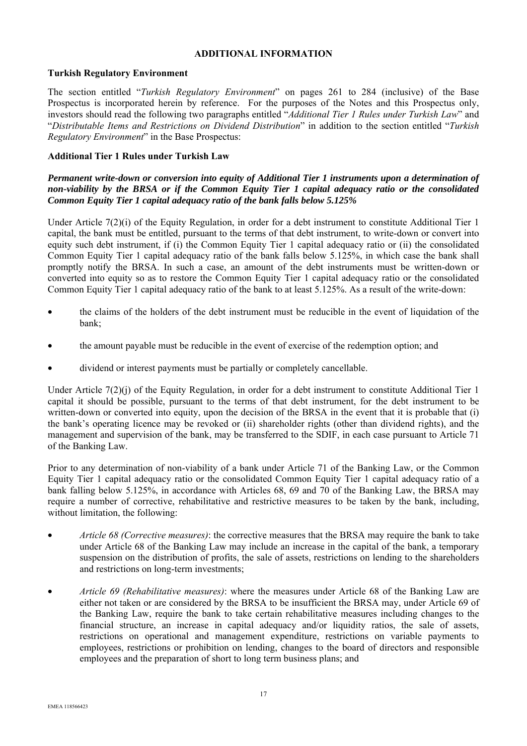# **ADDITIONAL INFORMATION**

#### **Turkish Regulatory Environment**

The section entitled "*Turkish Regulatory Environment*" on pages 261 to 284 (inclusive) of the Base Prospectus is incorporated herein by reference. For the purposes of the Notes and this Prospectus only, investors should read the following two paragraphs entitled "*Additional Tier 1 Rules under Turkish Law*" and "*Distributable Items and Restrictions on Dividend Distribution*" in addition to the section entitled "*Turkish Regulatory Environment*" in the Base Prospectus:

#### **Additional Tier 1 Rules under Turkish Law**

#### *Permanent write-down or conversion into equity of Additional Tier 1 instruments upon a determination of non-viability by the BRSA or if the Common Equity Tier 1 capital adequacy ratio or the consolidated Common Equity Tier 1 capital adequacy ratio of the bank falls below 5.125%*

Under Article 7(2)(i) of the Equity Regulation, in order for a debt instrument to constitute Additional Tier 1 capital, the bank must be entitled, pursuant to the terms of that debt instrument, to write-down or convert into equity such debt instrument, if (i) the Common Equity Tier 1 capital adequacy ratio or (ii) the consolidated Common Equity Tier 1 capital adequacy ratio of the bank falls below 5.125%, in which case the bank shall promptly notify the BRSA. In such a case, an amount of the debt instruments must be written-down or converted into equity so as to restore the Common Equity Tier 1 capital adequacy ratio or the consolidated Common Equity Tier 1 capital adequacy ratio of the bank to at least 5.125%. As a result of the write-down:

- the claims of the holders of the debt instrument must be reducible in the event of liquidation of the bank;
- the amount payable must be reducible in the event of exercise of the redemption option; and
- dividend or interest payments must be partially or completely cancellable.

Under Article 7(2)(j) of the Equity Regulation, in order for a debt instrument to constitute Additional Tier 1 capital it should be possible, pursuant to the terms of that debt instrument, for the debt instrument to be written-down or converted into equity, upon the decision of the BRSA in the event that it is probable that (i) the bank's operating licence may be revoked or (ii) shareholder rights (other than dividend rights), and the management and supervision of the bank, may be transferred to the SDIF, in each case pursuant to Article 71 of the Banking Law.

Prior to any determination of non-viability of a bank under Article 71 of the Banking Law, or the Common Equity Tier 1 capital adequacy ratio or the consolidated Common Equity Tier 1 capital adequacy ratio of a bank falling below 5.125%, in accordance with Articles 68, 69 and 70 of the Banking Law, the BRSA may require a number of corrective, rehabilitative and restrictive measures to be taken by the bank, including, without limitation, the following:

- *Article 68 (Corrective measures)*: the corrective measures that the BRSA may require the bank to take under Article 68 of the Banking Law may include an increase in the capital of the bank, a temporary suspension on the distribution of profits, the sale of assets, restrictions on lending to the shareholders and restrictions on long-term investments;
- *Article 69 (Rehabilitative measures)*: where the measures under Article 68 of the Banking Law are either not taken or are considered by the BRSA to be insufficient the BRSA may, under Article 69 of the Banking Law, require the bank to take certain rehabilitative measures including changes to the financial structure, an increase in capital adequacy and/or liquidity ratios, the sale of assets, restrictions on operational and management expenditure, restrictions on variable payments to employees, restrictions or prohibition on lending, changes to the board of directors and responsible employees and the preparation of short to long term business plans; and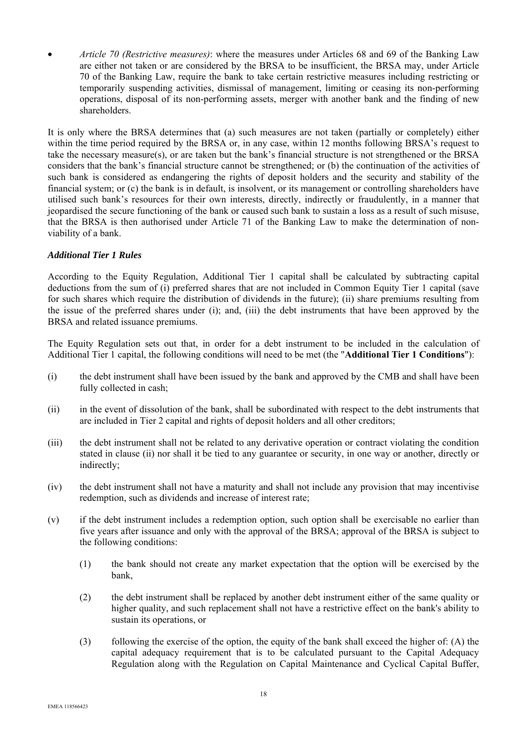• *Article 70 (Restrictive measures)*: where the measures under Articles 68 and 69 of the Banking Law are either not taken or are considered by the BRSA to be insufficient, the BRSA may, under Article 70 of the Banking Law, require the bank to take certain restrictive measures including restricting or temporarily suspending activities, dismissal of management, limiting or ceasing its non-performing operations, disposal of its non-performing assets, merger with another bank and the finding of new shareholders.

It is only where the BRSA determines that (a) such measures are not taken (partially or completely) either within the time period required by the BRSA or, in any case, within 12 months following BRSA's request to take the necessary measure(s), or are taken but the bank's financial structure is not strengthened or the BRSA considers that the bank's financial structure cannot be strengthened; or (b) the continuation of the activities of such bank is considered as endangering the rights of deposit holders and the security and stability of the financial system; or (c) the bank is in default, is insolvent, or its management or controlling shareholders have utilised such bank's resources for their own interests, directly, indirectly or fraudulently, in a manner that jeopardised the secure functioning of the bank or caused such bank to sustain a loss as a result of such misuse, that the BRSA is then authorised under Article 71 of the Banking Law to make the determination of nonviability of a bank.

# *Additional Tier 1 Rules*

According to the Equity Regulation, Additional Tier 1 capital shall be calculated by subtracting capital deductions from the sum of (i) preferred shares that are not included in Common Equity Tier 1 capital (save for such shares which require the distribution of dividends in the future); (ii) share premiums resulting from the issue of the preferred shares under (i); and, (iii) the debt instruments that have been approved by the BRSA and related issuance premiums.

The Equity Regulation sets out that, in order for a debt instrument to be included in the calculation of Additional Tier 1 capital, the following conditions will need to be met (the "**Additional Tier 1 Conditions**"):

- (i) the debt instrument shall have been issued by the bank and approved by the CMB and shall have been fully collected in cash;
- (ii) in the event of dissolution of the bank, shall be subordinated with respect to the debt instruments that are included in Tier 2 capital and rights of deposit holders and all other creditors;
- (iii) the debt instrument shall not be related to any derivative operation or contract violating the condition stated in clause (ii) nor shall it be tied to any guarantee or security, in one way or another, directly or indirectly;
- (iv) the debt instrument shall not have a maturity and shall not include any provision that may incentivise redemption, such as dividends and increase of interest rate;
- (v) if the debt instrument includes a redemption option, such option shall be exercisable no earlier than five years after issuance and only with the approval of the BRSA; approval of the BRSA is subject to the following conditions:
	- (1) the bank should not create any market expectation that the option will be exercised by the bank,
	- (2) the debt instrument shall be replaced by another debt instrument either of the same quality or higher quality, and such replacement shall not have a restrictive effect on the bank's ability to sustain its operations, or
	- (3) following the exercise of the option, the equity of the bank shall exceed the higher of: (A) the capital adequacy requirement that is to be calculated pursuant to the Capital Adequacy Regulation along with the Regulation on Capital Maintenance and Cyclical Capital Buffer,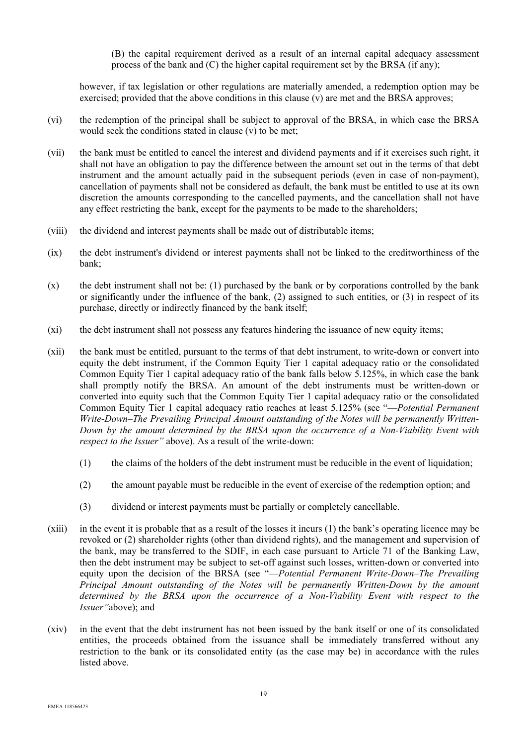(B) the capital requirement derived as a result of an internal capital adequacy assessment process of the bank and (C) the higher capital requirement set by the BRSA (if any);

however, if tax legislation or other regulations are materially amended, a redemption option may be exercised; provided that the above conditions in this clause (v) are met and the BRSA approves;

- (vi) the redemption of the principal shall be subject to approval of the BRSA, in which case the BRSA would seek the conditions stated in clause (v) to be met;
- (vii) the bank must be entitled to cancel the interest and dividend payments and if it exercises such right, it shall not have an obligation to pay the difference between the amount set out in the terms of that debt instrument and the amount actually paid in the subsequent periods (even in case of non-payment), cancellation of payments shall not be considered as default, the bank must be entitled to use at its own discretion the amounts corresponding to the cancelled payments, and the cancellation shall not have any effect restricting the bank, except for the payments to be made to the shareholders;
- (viii) the dividend and interest payments shall be made out of distributable items;
- (ix) the debt instrument's dividend or interest payments shall not be linked to the creditworthiness of the bank;
- (x) the debt instrument shall not be: (1) purchased by the bank or by corporations controlled by the bank or significantly under the influence of the bank, (2) assigned to such entities, or (3) in respect of its purchase, directly or indirectly financed by the bank itself;
- (xi) the debt instrument shall not possess any features hindering the issuance of new equity items;
- (xii) the bank must be entitled, pursuant to the terms of that debt instrument, to write-down or convert into equity the debt instrument, if the Common Equity Tier 1 capital adequacy ratio or the consolidated Common Equity Tier 1 capital adequacy ratio of the bank falls below 5.125%, in which case the bank shall promptly notify the BRSA. An amount of the debt instruments must be written-down or converted into equity such that the Common Equity Tier 1 capital adequacy ratio or the consolidated Common Equity Tier 1 capital adequacy ratio reaches at least 5.125% (see "—*Potential Permanent Write-Down–The Prevailing Principal Amount outstanding of the Notes will be permanently Written-Down by the amount determined by the BRSA upon the occurrence of a Non-Viability Event with respect to the Issuer*" above). As a result of the write-down:
	- (1) the claims of the holders of the debt instrument must be reducible in the event of liquidation;
	- (2) the amount payable must be reducible in the event of exercise of the redemption option; and
	- (3) dividend or interest payments must be partially or completely cancellable.
- (xiii) in the event it is probable that as a result of the losses it incurs (1) the bank's operating licence may be revoked or (2) shareholder rights (other than dividend rights), and the management and supervision of the bank, may be transferred to the SDIF, in each case pursuant to Article 71 of the Banking Law, then the debt instrument may be subject to set-off against such losses, written-down or converted into equity upon the decision of the BRSA (see "—*Potential Permanent Write-Down–The Prevailing Principal Amount outstanding of the Notes will be permanently Written-Down by the amount determined by the BRSA upon the occurrence of a Non-Viability Event with respect to the Issuer"*above); and
- (xiv) in the event that the debt instrument has not been issued by the bank itself or one of its consolidated entities, the proceeds obtained from the issuance shall be immediately transferred without any restriction to the bank or its consolidated entity (as the case may be) in accordance with the rules listed above.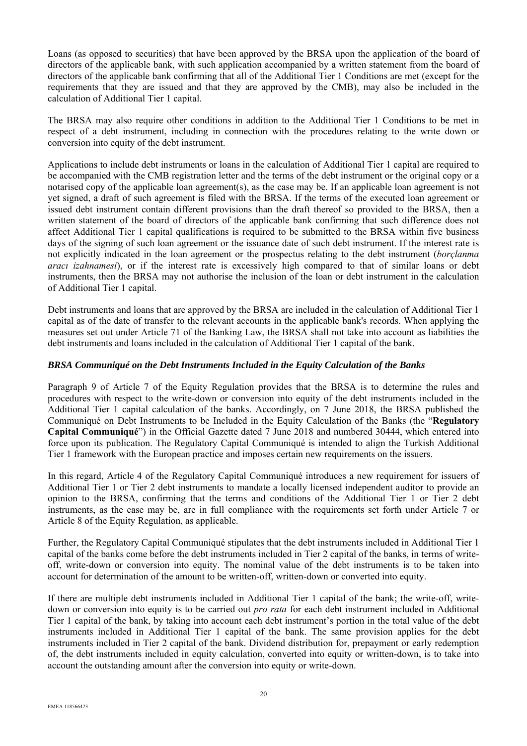Loans (as opposed to securities) that have been approved by the BRSA upon the application of the board of directors of the applicable bank, with such application accompanied by a written statement from the board of directors of the applicable bank confirming that all of the Additional Tier 1 Conditions are met (except for the requirements that they are issued and that they are approved by the CMB), may also be included in the calculation of Additional Tier 1 capital.

The BRSA may also require other conditions in addition to the Additional Tier 1 Conditions to be met in respect of a debt instrument, including in connection with the procedures relating to the write down or conversion into equity of the debt instrument.

Applications to include debt instruments or loans in the calculation of Additional Tier 1 capital are required to be accompanied with the CMB registration letter and the terms of the debt instrument or the original copy or a notarised copy of the applicable loan agreement(s), as the case may be. If an applicable loan agreement is not yet signed, a draft of such agreement is filed with the BRSA. If the terms of the executed loan agreement or issued debt instrument contain different provisions than the draft thereof so provided to the BRSA, then a written statement of the board of directors of the applicable bank confirming that such difference does not affect Additional Tier 1 capital qualifications is required to be submitted to the BRSA within five business days of the signing of such loan agreement or the issuance date of such debt instrument. If the interest rate is not explicitly indicated in the loan agreement or the prospectus relating to the debt instrument (*borçlanma aracı izahnamesi*), or if the interest rate is excessively high compared to that of similar loans or debt instruments, then the BRSA may not authorise the inclusion of the loan or debt instrument in the calculation of Additional Tier 1 capital.

Debt instruments and loans that are approved by the BRSA are included in the calculation of Additional Tier 1 capital as of the date of transfer to the relevant accounts in the applicable bank's records. When applying the measures set out under Article 71 of the Banking Law, the BRSA shall not take into account as liabilities the debt instruments and loans included in the calculation of Additional Tier 1 capital of the bank.

#### *BRSA Communiqué on the Debt Instruments Included in the Equity Calculation of the Banks*

Paragraph 9 of Article 7 of the Equity Regulation provides that the BRSA is to determine the rules and procedures with respect to the write-down or conversion into equity of the debt instruments included in the Additional Tier 1 capital calculation of the banks. Accordingly, on 7 June 2018, the BRSA published the Communiqué on Debt Instruments to be Included in the Equity Calculation of the Banks (the "**Regulatory Capital Communiqué**") in the Official Gazette dated 7 June 2018 and numbered 30444, which entered into force upon its publication. The Regulatory Capital Communiqué is intended to align the Turkish Additional Tier 1 framework with the European practice and imposes certain new requirements on the issuers.

In this regard, Article 4 of the Regulatory Capital Communiqué introduces a new requirement for issuers of Additional Tier 1 or Tier 2 debt instruments to mandate a locally licensed independent auditor to provide an opinion to the BRSA, confirming that the terms and conditions of the Additional Tier 1 or Tier 2 debt instruments, as the case may be, are in full compliance with the requirements set forth under Article 7 or Article 8 of the Equity Regulation, as applicable.

Further, the Regulatory Capital Communiqué stipulates that the debt instruments included in Additional Tier 1 capital of the banks come before the debt instruments included in Tier 2 capital of the banks, in terms of writeoff, write-down or conversion into equity. The nominal value of the debt instruments is to be taken into account for determination of the amount to be written-off, written-down or converted into equity.

If there are multiple debt instruments included in Additional Tier 1 capital of the bank; the write-off, writedown or conversion into equity is to be carried out *pro rata* for each debt instrument included in Additional Tier 1 capital of the bank, by taking into account each debt instrument's portion in the total value of the debt instruments included in Additional Tier 1 capital of the bank. The same provision applies for the debt instruments included in Tier 2 capital of the bank. Dividend distribution for, prepayment or early redemption of, the debt instruments included in equity calculation, converted into equity or written-down, is to take into account the outstanding amount after the conversion into equity or write-down.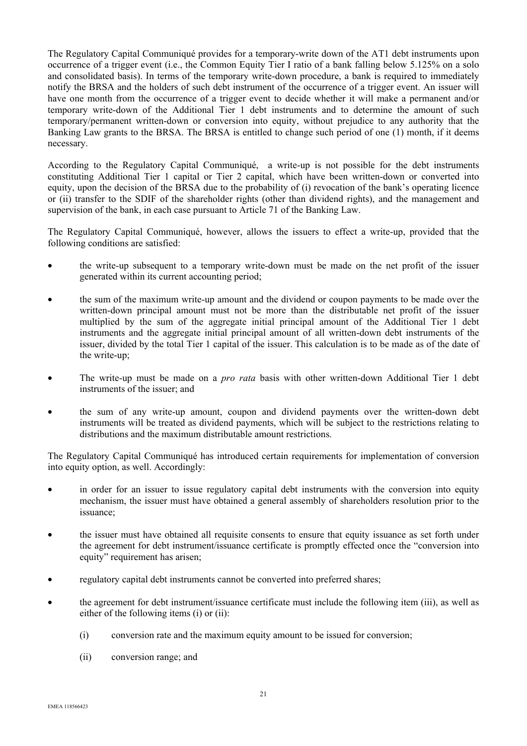The Regulatory Capital Communiqué provides for a temporary-write down of the AT1 debt instruments upon occurrence of a trigger event (i.e., the Common Equity Tier I ratio of a bank falling below 5.125% on a solo and consolidated basis). In terms of the temporary write-down procedure, a bank is required to immediately notify the BRSA and the holders of such debt instrument of the occurrence of a trigger event. An issuer will have one month from the occurrence of a trigger event to decide whether it will make a permanent and/or temporary write-down of the Additional Tier 1 debt instruments and to determine the amount of such temporary/permanent written-down or conversion into equity, without prejudice to any authority that the Banking Law grants to the BRSA. The BRSA is entitled to change such period of one (1) month, if it deems necessary.

According to the Regulatory Capital Communiqué, a write-up is not possible for the debt instruments constituting Additional Tier 1 capital or Tier 2 capital, which have been written-down or converted into equity, upon the decision of the BRSA due to the probability of (i) revocation of the bank's operating licence or (ii) transfer to the SDIF of the shareholder rights (other than dividend rights), and the management and supervision of the bank, in each case pursuant to Article 71 of the Banking Law.

The Regulatory Capital Communiqué, however, allows the issuers to effect a write-up, provided that the following conditions are satisfied:

- the write-up subsequent to a temporary write-down must be made on the net profit of the issuer generated within its current accounting period;
- the sum of the maximum write-up amount and the dividend or coupon payments to be made over the written-down principal amount must not be more than the distributable net profit of the issuer multiplied by the sum of the aggregate initial principal amount of the Additional Tier 1 debt instruments and the aggregate initial principal amount of all written-down debt instruments of the issuer, divided by the total Tier 1 capital of the issuer. This calculation is to be made as of the date of the write-up;
- The write-up must be made on a *pro rata* basis with other written-down Additional Tier 1 debt instruments of the issuer; and
- the sum of any write-up amount, coupon and dividend payments over the written-down debt instruments will be treated as dividend payments, which will be subject to the restrictions relating to distributions and the maximum distributable amount restrictions.

The Regulatory Capital Communiqué has introduced certain requirements for implementation of conversion into equity option, as well. Accordingly:

- in order for an issuer to issue regulatory capital debt instruments with the conversion into equity mechanism, the issuer must have obtained a general assembly of shareholders resolution prior to the issuance;
- the issuer must have obtained all requisite consents to ensure that equity issuance as set forth under the agreement for debt instrument/issuance certificate is promptly effected once the "conversion into equity" requirement has arisen;
- regulatory capital debt instruments cannot be converted into preferred shares;
- the agreement for debt instrument/issuance certificate must include the following item (iii), as well as either of the following items (i) or (ii):
	- (i) conversion rate and the maximum equity amount to be issued for conversion;
	- (ii) conversion range; and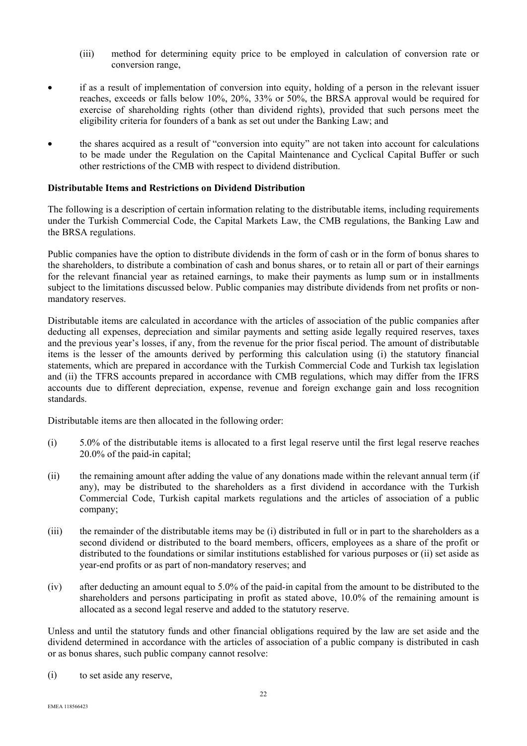- (iii) method for determining equity price to be employed in calculation of conversion rate or conversion range,
- if as a result of implementation of conversion into equity, holding of a person in the relevant issuer reaches, exceeds or falls below 10%, 20%, 33% or 50%, the BRSA approval would be required for exercise of shareholding rights (other than dividend rights), provided that such persons meet the eligibility criteria for founders of a bank as set out under the Banking Law; and
- the shares acquired as a result of "conversion into equity" are not taken into account for calculations to be made under the Regulation on the Capital Maintenance and Cyclical Capital Buffer or such other restrictions of the CMB with respect to dividend distribution.

# **Distributable Items and Restrictions on Dividend Distribution**

The following is a description of certain information relating to the distributable items, including requirements under the Turkish Commercial Code, the Capital Markets Law, the CMB regulations, the Banking Law and the BRSA regulations.

Public companies have the option to distribute dividends in the form of cash or in the form of bonus shares to the shareholders, to distribute a combination of cash and bonus shares, or to retain all or part of their earnings for the relevant financial year as retained earnings, to make their payments as lump sum or in installments subject to the limitations discussed below. Public companies may distribute dividends from net profits or nonmandatory reserves.

Distributable items are calculated in accordance with the articles of association of the public companies after deducting all expenses, depreciation and similar payments and setting aside legally required reserves, taxes and the previous year's losses, if any, from the revenue for the prior fiscal period. The amount of distributable items is the lesser of the amounts derived by performing this calculation using (i) the statutory financial statements, which are prepared in accordance with the Turkish Commercial Code and Turkish tax legislation and (ii) the TFRS accounts prepared in accordance with CMB regulations, which may differ from the IFRS accounts due to different depreciation, expense, revenue and foreign exchange gain and loss recognition standards.

Distributable items are then allocated in the following order:

- (i) 5.0% of the distributable items is allocated to a first legal reserve until the first legal reserve reaches 20.0% of the paid-in capital;
- (ii) the remaining amount after adding the value of any donations made within the relevant annual term (if any), may be distributed to the shareholders as a first dividend in accordance with the Turkish Commercial Code, Turkish capital markets regulations and the articles of association of a public company;
- (iii) the remainder of the distributable items may be (i) distributed in full or in part to the shareholders as a second dividend or distributed to the board members, officers, employees as a share of the profit or distributed to the foundations or similar institutions established for various purposes or (ii) set aside as year-end profits or as part of non-mandatory reserves; and
- (iv) after deducting an amount equal to 5.0% of the paid-in capital from the amount to be distributed to the shareholders and persons participating in profit as stated above, 10.0% of the remaining amount is allocated as a second legal reserve and added to the statutory reserve.

Unless and until the statutory funds and other financial obligations required by the law are set aside and the dividend determined in accordance with the articles of association of a public company is distributed in cash or as bonus shares, such public company cannot resolve:

(i) to set aside any reserve,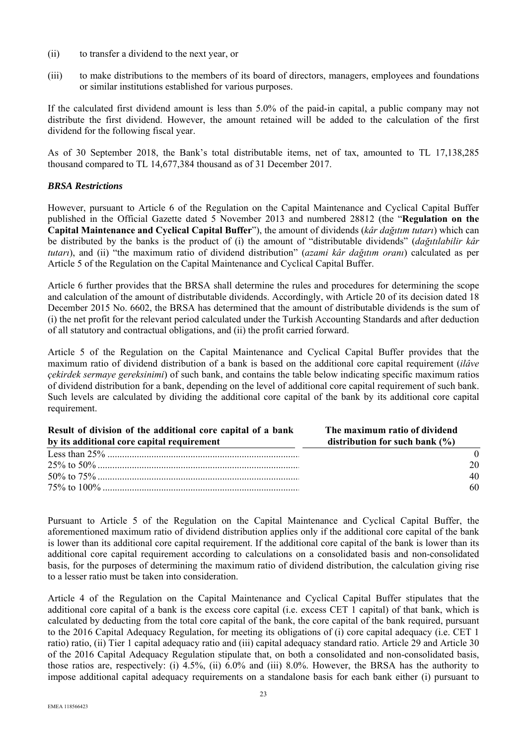- (ii) to transfer a dividend to the next year, or
- (iii) to make distributions to the members of its board of directors, managers, employees and foundations or similar institutions established for various purposes.

If the calculated first dividend amount is less than 5.0% of the paid-in capital, a public company may not distribute the first dividend. However, the amount retained will be added to the calculation of the first dividend for the following fiscal year.

As of 30 September 2018, the Bank's total distributable items, net of tax, amounted to TL 17,138,285 thousand compared to TL 14,677,384 thousand as of 31 December 2017.

#### *BRSA Restrictions*

However, pursuant to Article 6 of the Regulation on the Capital Maintenance and Cyclical Capital Buffer published in the Official Gazette dated 5 November 2013 and numbered 28812 (the "**Regulation on the Capital Maintenance and Cyclical Capital Buffer**"), the amount of dividends (*kâr dağıtım tutarı*) which can be distributed by the banks is the product of (i) the amount of "distributable dividends" (*dağıtılabilir kâr tutarı*), and (ii) "the maximum ratio of dividend distribution" (*azami kâr dağıtım oranı*) calculated as per Article 5 of the Regulation on the Capital Maintenance and Cyclical Capital Buffer.

Article 6 further provides that the BRSA shall determine the rules and procedures for determining the scope and calculation of the amount of distributable dividends. Accordingly, with Article 20 of its decision dated 18 December 2015 No. 6602, the BRSA has determined that the amount of distributable dividends is the sum of (i) the net profit for the relevant period calculated under the Turkish Accounting Standards and after deduction of all statutory and contractual obligations, and (ii) the profit carried forward.

Article 5 of the Regulation on the Capital Maintenance and Cyclical Capital Buffer provides that the maximum ratio of dividend distribution of a bank is based on the additional core capital requirement (*ilâve çekirdek sermaye gereksinimi*) of such bank, and contains the table below indicating specific maximum ratios of dividend distribution for a bank, depending on the level of additional core capital requirement of such bank. Such levels are calculated by dividing the additional core capital of the bank by its additional core capital requirement.

| Result of division of the additional core capital of a bank | The maximum ratio of dividend      |
|-------------------------------------------------------------|------------------------------------|
| by its additional core capital requirement                  | distribution for such bank $(\% )$ |
|                                                             |                                    |
|                                                             | 20                                 |
|                                                             | 40                                 |
|                                                             | 60                                 |

Pursuant to Article 5 of the Regulation on the Capital Maintenance and Cyclical Capital Buffer, the aforementioned maximum ratio of dividend distribution applies only if the additional core capital of the bank is lower than its additional core capital requirement. If the additional core capital of the bank is lower than its additional core capital requirement according to calculations on a consolidated basis and non-consolidated basis, for the purposes of determining the maximum ratio of dividend distribution, the calculation giving rise to a lesser ratio must be taken into consideration.

Article 4 of the Regulation on the Capital Maintenance and Cyclical Capital Buffer stipulates that the additional core capital of a bank is the excess core capital (i.e. excess CET 1 capital) of that bank, which is calculated by deducting from the total core capital of the bank, the core capital of the bank required, pursuant to the 2016 Capital Adequacy Regulation, for meeting its obligations of (i) core capital adequacy (i.e. CET 1 ratio) ratio, (ii) Tier 1 capital adequacy ratio and (iii) capital adequacy standard ratio. Article 29 and Article 30 of the 2016 Capital Adequacy Regulation stipulate that, on both a consolidated and non-consolidated basis, those ratios are, respectively: (i) 4.5%, (ii) 6.0% and (iii) 8.0%. However, the BRSA has the authority to impose additional capital adequacy requirements on a standalone basis for each bank either (i) pursuant to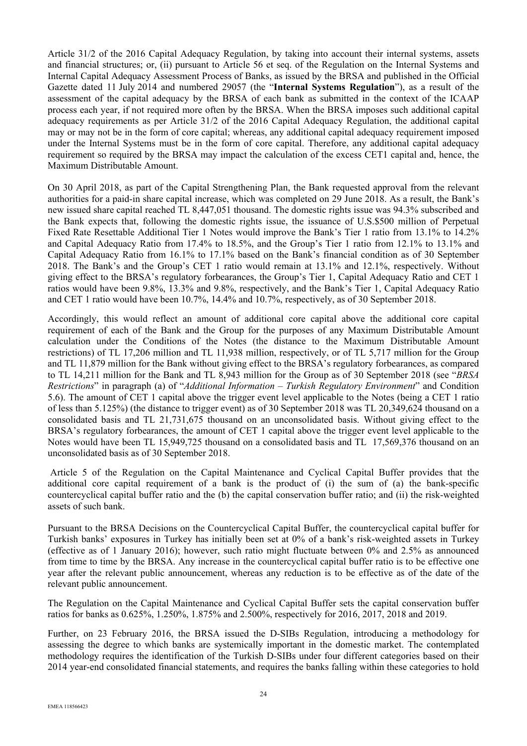Article 31/2 of the 2016 Capital Adequacy Regulation, by taking into account their internal systems, assets and financial structures; or, (ii) pursuant to Article 56 et seq. of the Regulation on the Internal Systems and Internal Capital Adequacy Assessment Process of Banks, as issued by the BRSA and published in the Official Gazette dated 11 July 2014 and numbered 29057 (the "**Internal Systems Regulation**"), as a result of the assessment of the capital adequacy by the BRSA of each bank as submitted in the context of the ICAAP process each year, if not required more often by the BRSA. When the BRSA imposes such additional capital adequacy requirements as per Article 31/2 of the 2016 Capital Adequacy Regulation, the additional capital may or may not be in the form of core capital; whereas, any additional capital adequacy requirement imposed under the Internal Systems must be in the form of core capital. Therefore, any additional capital adequacy requirement so required by the BRSA may impact the calculation of the excess CET1 capital and, hence, the Maximum Distributable Amount.

On 30 April 2018, as part of the Capital Strengthening Plan, the Bank requested approval from the relevant authorities for a paid-in share capital increase, which was completed on 29 June 2018. As a result, the Bank's new issued share capital reached TL 8,447,051 thousand. The domestic rights issue was 94.3% subscribed and the Bank expects that, following the domestic rights issue, the issuance of U.S.\$500 million of Perpetual Fixed Rate Resettable Additional Tier 1 Notes would improve the Bank's Tier 1 ratio from 13.1% to 14.2% and Capital Adequacy Ratio from 17.4% to 18.5%, and the Group's Tier 1 ratio from 12.1% to 13.1% and Capital Adequacy Ratio from 16.1% to 17.1% based on the Bank's financial condition as of 30 September 2018. The Bank's and the Group's CET 1 ratio would remain at 13.1% and 12.1%, respectively. Without giving effect to the BRSA's regulatory forbearances, the Group's Tier 1, Capital Adequacy Ratio and CET 1 ratios would have been 9.8%, 13.3% and 9.8%, respectively, and the Bank's Tier 1, Capital Adequacy Ratio and CET 1 ratio would have been 10.7%, 14.4% and 10.7%, respectively, as of 30 September 2018.

Accordingly, this would reflect an amount of additional core capital above the additional core capital requirement of each of the Bank and the Group for the purposes of any Maximum Distributable Amount calculation under the Conditions of the Notes (the distance to the Maximum Distributable Amount restrictions) of TL 17,206 million and TL 11,938 million, respectively, or of TL 5,717 million for the Group and TL 11,879 million for the Bank without giving effect to the BRSA's regulatory forbearances, as compared to TL 14,211 million for the Bank and TL 8,943 million for the Group as of 30 September 2018 (see "*BRSA Restrictions*" in paragraph (a) of "*Additional Information – Turkish Regulatory Environment*" and Condition 5.6). The amount of CET 1 capital above the trigger event level applicable to the Notes (being a CET 1 ratio of less than 5.125%) (the distance to trigger event) as of 30 September 2018 was TL 20,349,624 thousand on a consolidated basis and TL 21,731,675 thousand on an unconsolidated basis. Without giving effect to the BRSA's regulatory forbearances, the amount of CET 1 capital above the trigger event level applicable to the Notes would have been TL 15,949,725 thousand on a consolidated basis and TL 17,569,376 thousand on an unconsolidated basis as of 30 September 2018.

 Article 5 of the Regulation on the Capital Maintenance and Cyclical Capital Buffer provides that the additional core capital requirement of a bank is the product of (i) the sum of (a) the bank-specific countercyclical capital buffer ratio and the (b) the capital conservation buffer ratio; and (ii) the risk-weighted assets of such bank.

Pursuant to the BRSA Decisions on the Countercyclical Capital Buffer, the countercyclical capital buffer for Turkish banks' exposures in Turkey has initially been set at 0% of a bank's risk-weighted assets in Turkey (effective as of 1 January 2016); however, such ratio might fluctuate between 0% and 2.5% as announced from time to time by the BRSA. Any increase in the countercyclical capital buffer ratio is to be effective one year after the relevant public announcement, whereas any reduction is to be effective as of the date of the relevant public announcement.

The Regulation on the Capital Maintenance and Cyclical Capital Buffer sets the capital conservation buffer ratios for banks as 0.625%, 1.250%, 1.875% and 2.500%, respectively for 2016, 2017, 2018 and 2019.

Further, on 23 February 2016, the BRSA issued the D-SIBs Regulation, introducing a methodology for assessing the degree to which banks are systemically important in the domestic market. The contemplated methodology requires the identification of the Turkish D-SIBs under four different categories based on their 2014 year-end consolidated financial statements, and requires the banks falling within these categories to hold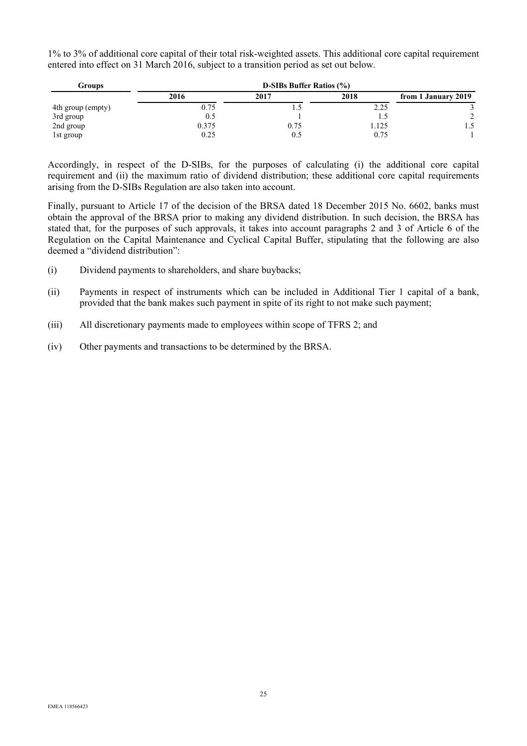1% to 3% of additional core capital of their total risk-weighted assets. This additional core capital requirement entered into effect on 31 March 2016, subject to a transition period as set out below.

| Groups            | <b>D-SIBs Buffer Ratios (%)</b> |      |       |                     |
|-------------------|---------------------------------|------|-------|---------------------|
|                   | 2016                            | 2017 | 2018  | from 1 January 2019 |
| 4th group (empty) | 0.75                            |      | 2.25  |                     |
| 3rd group         | 0.5                             |      | L.C   |                     |
| 2nd group         | 0.375                           | 0.75 | 1.125 | 1.5                 |
| 1st group         | 0.25                            | U.S  | 0.75  |                     |

Accordingly, in respect of the D-SIBs, for the purposes of calculating (i) the additional core capital requirement and (ii) the maximum ratio of dividend distribution; these additional core capital requirements arising from the D-SIBs Regulation are also taken into account.

Finally, pursuant to Article 17 of the decision of the BRSA dated 18 December 2015 No. 6602, banks must obtain the approval of the BRSA prior to making any dividend distribution. In such decision, the BRSA has stated that, for the purposes of such approvals, it takes into account paragraphs 2 and 3 of Article 6 of the Regulation on the Capital Maintenance and Cyclical Capital Buffer, stipulating that the following are also deemed a "dividend distribution":

- (i) Dividend payments to shareholders, and share buybacks;
- (ii) Payments in respect of instruments which can be included in Additional Tier 1 capital of a bank, provided that the bank makes such payment in spite of its right to not make such payment;
- (iii) All discretionary payments made to employees within scope of TFRS 2; and
- (iv) Other payments and transactions to be determined by the BRSA.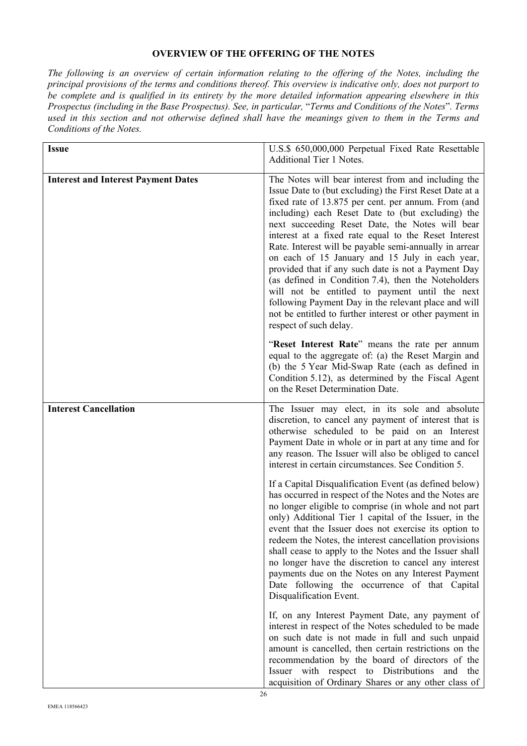# **OVERVIEW OF THE OFFERING OF THE NOTES**

*The following is an overview of certain information relating to the offering of the Notes, including the principal provisions of the terms and conditions thereof. This overview is indicative only, does not purport to be complete and is qualified in its entirety by the more detailed information appearing elsewhere in this Prospectus (including in the Base Prospectus). See, in particular,* "*Terms and Conditions of the Notes*"*. Terms used in this section and not otherwise defined shall have the meanings given to them in the Terms and Conditions of the Notes.* 

| <b>Issue</b>                               | U.S.\$ 650,000,000 Perpetual Fixed Rate Resettable                                                                                                                                                                                                                                                                                                                                                                                                                                                                                                                                                                                                                                                                                                              |  |  |
|--------------------------------------------|-----------------------------------------------------------------------------------------------------------------------------------------------------------------------------------------------------------------------------------------------------------------------------------------------------------------------------------------------------------------------------------------------------------------------------------------------------------------------------------------------------------------------------------------------------------------------------------------------------------------------------------------------------------------------------------------------------------------------------------------------------------------|--|--|
|                                            | <b>Additional Tier 1 Notes.</b>                                                                                                                                                                                                                                                                                                                                                                                                                                                                                                                                                                                                                                                                                                                                 |  |  |
|                                            |                                                                                                                                                                                                                                                                                                                                                                                                                                                                                                                                                                                                                                                                                                                                                                 |  |  |
| <b>Interest and Interest Payment Dates</b> | The Notes will bear interest from and including the<br>Issue Date to (but excluding) the First Reset Date at a<br>fixed rate of 13.875 per cent. per annum. From (and<br>including) each Reset Date to (but excluding) the<br>next succeeding Reset Date, the Notes will bear<br>interest at a fixed rate equal to the Reset Interest<br>Rate. Interest will be payable semi-annually in arrear<br>on each of 15 January and 15 July in each year,<br>provided that if any such date is not a Payment Day<br>(as defined in Condition 7.4), then the Noteholders<br>will not be entitled to payment until the next<br>following Payment Day in the relevant place and will<br>not be entitled to further interest or other payment in<br>respect of such delay. |  |  |
|                                            | "Reset Interest Rate" means the rate per annum<br>equal to the aggregate of: (a) the Reset Margin and<br>(b) the 5 Year Mid-Swap Rate (each as defined in<br>Condition 5.12), as determined by the Fiscal Agent<br>on the Reset Determination Date.                                                                                                                                                                                                                                                                                                                                                                                                                                                                                                             |  |  |
| <b>Interest Cancellation</b>               | The Issuer may elect, in its sole and absolute<br>discretion, to cancel any payment of interest that is<br>otherwise scheduled to be paid on an Interest<br>Payment Date in whole or in part at any time and for<br>any reason. The Issuer will also be obliged to cancel<br>interest in certain circumstances. See Condition 5.                                                                                                                                                                                                                                                                                                                                                                                                                                |  |  |
|                                            | If a Capital Disqualification Event (as defined below)<br>has occurred in respect of the Notes and the Notes are<br>no longer eligible to comprise (in whole and not part<br>only) Additional Tier 1 capital of the Issuer, in the<br>event that the Issuer does not exercise its option to<br>redeem the Notes, the interest cancellation provisions<br>shall cease to apply to the Notes and the Issuer shall<br>no longer have the discretion to cancel any interest<br>payments due on the Notes on any Interest Payment<br>Date following the occurrence of that Capital<br>Disqualification Event.                                                                                                                                                        |  |  |
|                                            | If, on any Interest Payment Date, any payment of<br>interest in respect of the Notes scheduled to be made<br>on such date is not made in full and such unpaid<br>amount is cancelled, then certain restrictions on the<br>recommendation by the board of directors of the<br>Issuer with respect to Distributions and the<br>acquisition of Ordinary Shares or any other class of                                                                                                                                                                                                                                                                                                                                                                               |  |  |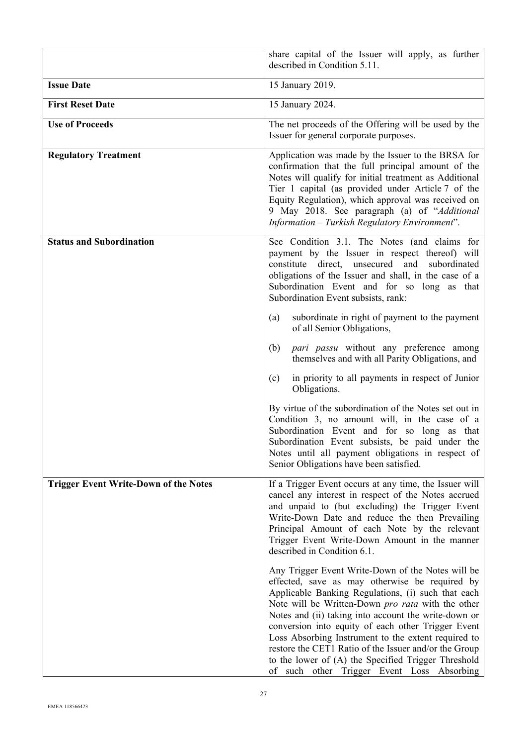|                                              | share capital of the Issuer will apply, as further<br>described in Condition 5.11.                                                                                                                                                                                                                                                                                                                                                                                                                                                                |  |  |
|----------------------------------------------|---------------------------------------------------------------------------------------------------------------------------------------------------------------------------------------------------------------------------------------------------------------------------------------------------------------------------------------------------------------------------------------------------------------------------------------------------------------------------------------------------------------------------------------------------|--|--|
| <b>Issue Date</b>                            | 15 January 2019.                                                                                                                                                                                                                                                                                                                                                                                                                                                                                                                                  |  |  |
| <b>First Reset Date</b>                      | 15 January 2024.                                                                                                                                                                                                                                                                                                                                                                                                                                                                                                                                  |  |  |
| <b>Use of Proceeds</b>                       | The net proceeds of the Offering will be used by the<br>Issuer for general corporate purposes.                                                                                                                                                                                                                                                                                                                                                                                                                                                    |  |  |
| <b>Regulatory Treatment</b>                  | Application was made by the Issuer to the BRSA for<br>confirmation that the full principal amount of the<br>Notes will qualify for initial treatment as Additional<br>Tier 1 capital (as provided under Article 7 of the<br>Equity Regulation), which approval was received on<br>9 May 2018. See paragraph (a) of "Additional<br>Information - Turkish Regulatory Environment".                                                                                                                                                                  |  |  |
| <b>Status and Subordination</b>              | See Condition 3.1. The Notes (and claims for<br>payment by the Issuer in respect thereof) will<br>constitute direct, unsecured and<br>subordinated<br>obligations of the Issuer and shall, in the case of a<br>Subordination Event and for so long as that<br>Subordination Event subsists, rank:                                                                                                                                                                                                                                                 |  |  |
|                                              | subordinate in right of payment to the payment<br>(a)<br>of all Senior Obligations,                                                                                                                                                                                                                                                                                                                                                                                                                                                               |  |  |
|                                              | pari passu without any preference among<br>(b)<br>themselves and with all Parity Obligations, and                                                                                                                                                                                                                                                                                                                                                                                                                                                 |  |  |
|                                              | in priority to all payments in respect of Junior<br>(c)<br>Obligations.                                                                                                                                                                                                                                                                                                                                                                                                                                                                           |  |  |
|                                              | By virtue of the subordination of the Notes set out in<br>Condition 3, no amount will, in the case of a<br>Subordination Event and for so long as that<br>Subordination Event subsists, be paid under the<br>Notes until all payment obligations in respect of<br>Senior Obligations have been satisfied.                                                                                                                                                                                                                                         |  |  |
| <b>Trigger Event Write-Down of the Notes</b> | If a Trigger Event occurs at any time, the Issuer will<br>cancel any interest in respect of the Notes accrued<br>and unpaid to (but excluding) the Trigger Event<br>Write-Down Date and reduce the then Prevailing<br>Principal Amount of each Note by the relevant<br>Trigger Event Write-Down Amount in the manner<br>described in Condition 6.1.                                                                                                                                                                                               |  |  |
|                                              | Any Trigger Event Write-Down of the Notes will be<br>effected, save as may otherwise be required by<br>Applicable Banking Regulations, (i) such that each<br>Note will be Written-Down pro rata with the other<br>Notes and (ii) taking into account the write-down or<br>conversion into equity of each other Trigger Event<br>Loss Absorbing Instrument to the extent required to<br>restore the CET1 Ratio of the Issuer and/or the Group<br>to the lower of (A) the Specified Trigger Threshold<br>of such other Trigger Event Loss Absorbing |  |  |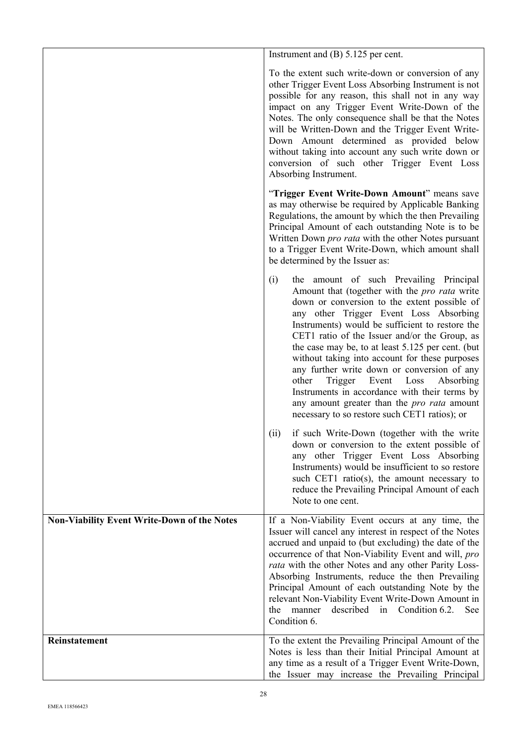|                                                    | Instrument and $(B)$ 5.125 per cent.                                                                                                                                                                                                                                                                                                                                                                                                                                                                                                                                                                                                                                                                          |  |
|----------------------------------------------------|---------------------------------------------------------------------------------------------------------------------------------------------------------------------------------------------------------------------------------------------------------------------------------------------------------------------------------------------------------------------------------------------------------------------------------------------------------------------------------------------------------------------------------------------------------------------------------------------------------------------------------------------------------------------------------------------------------------|--|
|                                                    | To the extent such write-down or conversion of any<br>other Trigger Event Loss Absorbing Instrument is not<br>possible for any reason, this shall not in any way<br>impact on any Trigger Event Write-Down of the<br>Notes. The only consequence shall be that the Notes<br>will be Written-Down and the Trigger Event Write-<br>Down Amount determined as provided below<br>without taking into account any such write down or<br>conversion of such other Trigger Event Loss<br>Absorbing Instrument.                                                                                                                                                                                                       |  |
|                                                    | "Trigger Event Write-Down Amount" means save<br>as may otherwise be required by Applicable Banking<br>Regulations, the amount by which the then Prevailing<br>Principal Amount of each outstanding Note is to be<br>Written Down pro rata with the other Notes pursuant<br>to a Trigger Event Write-Down, which amount shall<br>be determined by the Issuer as:                                                                                                                                                                                                                                                                                                                                               |  |
|                                                    | (i)<br>the amount of such Prevailing Principal<br>Amount that (together with the pro rata write<br>down or conversion to the extent possible of<br>any other Trigger Event Loss Absorbing<br>Instruments) would be sufficient to restore the<br>CET1 ratio of the Issuer and/or the Group, as<br>the case may be, to at least 5.125 per cent. (but<br>without taking into account for these purposes<br>any further write down or conversion of any<br>other<br>Trigger<br>Event<br>Loss<br>Absorbing<br>Instruments in accordance with their terms by<br>any amount greater than the pro rata amount<br>necessary to so restore such CET1 ratios); or<br>if such Write-Down (together with the write<br>(ii) |  |
|                                                    | down or conversion to the extent possible of<br>any other Trigger Event Loss Absorbing<br>Instruments) would be insufficient to so restore<br>such CET1 ratio(s), the amount necessary to<br>reduce the Prevailing Principal Amount of each<br>Note to one cent.                                                                                                                                                                                                                                                                                                                                                                                                                                              |  |
| <b>Non-Viability Event Write-Down of the Notes</b> | If a Non-Viability Event occurs at any time, the<br>Issuer will cancel any interest in respect of the Notes<br>accrued and unpaid to (but excluding) the date of the<br>occurrence of that Non-Viability Event and will, pro<br>rata with the other Notes and any other Parity Loss-<br>Absorbing Instruments, reduce the then Prevailing<br>Principal Amount of each outstanding Note by the<br>relevant Non-Viability Event Write-Down Amount in<br>described in Condition 6.2.<br>the<br>manner<br>See<br>Condition 6.                                                                                                                                                                                     |  |
| Reinstatement                                      | To the extent the Prevailing Principal Amount of the<br>Notes is less than their Initial Principal Amount at<br>any time as a result of a Trigger Event Write-Down,<br>the Issuer may increase the Prevailing Principal                                                                                                                                                                                                                                                                                                                                                                                                                                                                                       |  |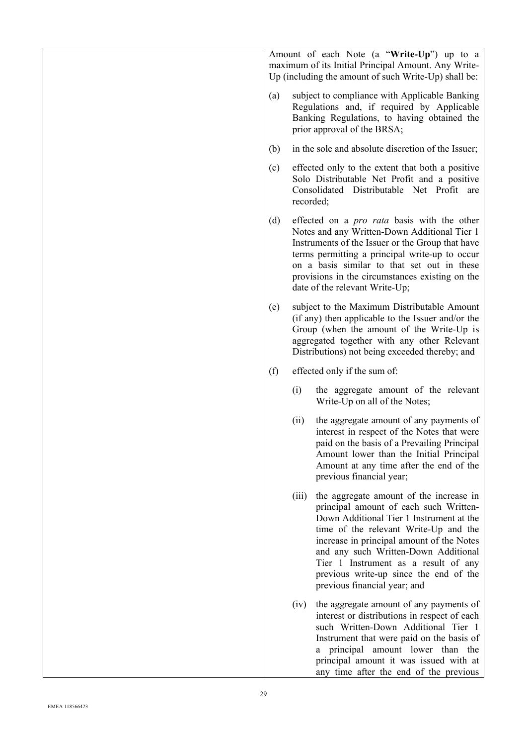|     |           | Amount of each Note (a "Write-Up") up to a<br>maximum of its Initial Principal Amount. Any Write-<br>Up (including the amount of such Write-Up) shall be:                                                                                                                                                                                                                     |
|-----|-----------|-------------------------------------------------------------------------------------------------------------------------------------------------------------------------------------------------------------------------------------------------------------------------------------------------------------------------------------------------------------------------------|
| (a) |           | subject to compliance with Applicable Banking<br>Regulations and, if required by Applicable<br>Banking Regulations, to having obtained the<br>prior approval of the BRSA;                                                                                                                                                                                                     |
| (b) |           | in the sole and absolute discretion of the Issuer;                                                                                                                                                                                                                                                                                                                            |
| (c) | recorded; | effected only to the extent that both a positive<br>Solo Distributable Net Profit and a positive<br>Consolidated Distributable Net Profit are                                                                                                                                                                                                                                 |
| (d) |           | effected on a <i>pro rata</i> basis with the other<br>Notes and any Written-Down Additional Tier 1<br>Instruments of the Issuer or the Group that have<br>terms permitting a principal write-up to occur<br>on a basis similar to that set out in these<br>provisions in the circumstances existing on the<br>date of the relevant Write-Up;                                  |
| (e) |           | subject to the Maximum Distributable Amount<br>(if any) then applicable to the Issuer and/or the<br>Group (when the amount of the Write-Up is<br>aggregated together with any other Relevant<br>Distributions) not being exceeded thereby; and                                                                                                                                |
| (f) |           | effected only if the sum of:                                                                                                                                                                                                                                                                                                                                                  |
|     | (i)       | the aggregate amount of the relevant<br>Write-Up on all of the Notes;                                                                                                                                                                                                                                                                                                         |
|     | (ii)      | the aggregate amount of any payments of<br>interest in respect of the Notes that were<br>paid on the basis of a Prevailing Principal<br>Amount lower than the Initial Principal<br>Amount at any time after the end of the<br>previous financial year;                                                                                                                        |
|     | (iii)     | the aggregate amount of the increase in<br>principal amount of each such Written-<br>Down Additional Tier 1 Instrument at the<br>time of the relevant Write-Up and the<br>increase in principal amount of the Notes<br>and any such Written-Down Additional<br>Tier 1 Instrument as a result of any<br>previous write-up since the end of the<br>previous financial year; and |
|     | (iv)      | the aggregate amount of any payments of<br>interest or distributions in respect of each<br>such Written-Down Additional Tier 1<br>Instrument that were paid on the basis of<br>a principal amount lower than the<br>principal amount it was issued with at<br>any time after the end of the previous                                                                          |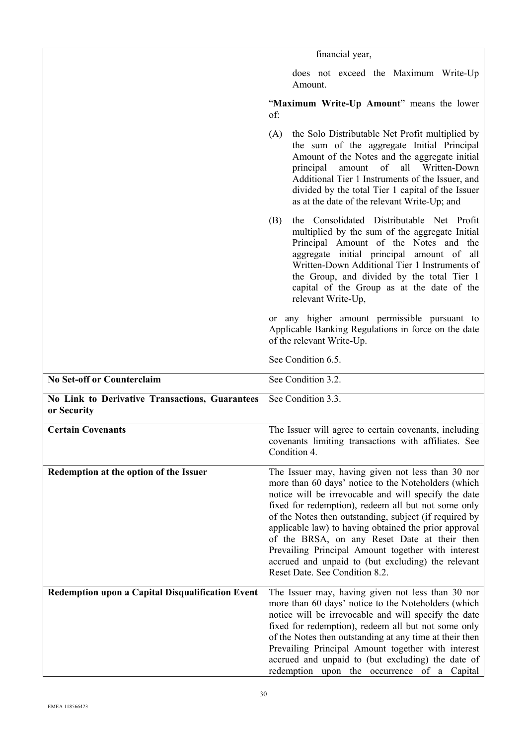|                                                               | financial year,                                                                                                                                                                                                                                                                                                                                                                                                                                                                                                                          |  |  |
|---------------------------------------------------------------|------------------------------------------------------------------------------------------------------------------------------------------------------------------------------------------------------------------------------------------------------------------------------------------------------------------------------------------------------------------------------------------------------------------------------------------------------------------------------------------------------------------------------------------|--|--|
|                                                               | does not exceed the Maximum Write-Up<br>Amount.                                                                                                                                                                                                                                                                                                                                                                                                                                                                                          |  |  |
|                                                               | "Maximum Write-Up Amount" means the lower<br>of:                                                                                                                                                                                                                                                                                                                                                                                                                                                                                         |  |  |
|                                                               | the Solo Distributable Net Profit multiplied by<br>(A)<br>the sum of the aggregate Initial Principal<br>Amount of the Notes and the aggregate initial<br>amount of<br>all Written-Down<br>principal<br>Additional Tier 1 Instruments of the Issuer, and<br>divided by the total Tier 1 capital of the Issuer<br>as at the date of the relevant Write-Up; and                                                                                                                                                                             |  |  |
|                                                               | the Consolidated Distributable Net Profit<br>(B)<br>multiplied by the sum of the aggregate Initial<br>Principal Amount of the Notes and the<br>aggregate initial principal amount of all<br>Written-Down Additional Tier 1 Instruments of<br>the Group, and divided by the total Tier 1<br>capital of the Group as at the date of the<br>relevant Write-Up,                                                                                                                                                                              |  |  |
|                                                               | or any higher amount permissible pursuant to<br>Applicable Banking Regulations in force on the date<br>of the relevant Write-Up.                                                                                                                                                                                                                                                                                                                                                                                                         |  |  |
|                                                               | See Condition 6.5.                                                                                                                                                                                                                                                                                                                                                                                                                                                                                                                       |  |  |
| <b>No Set-off or Counterclaim</b>                             | See Condition 3.2.                                                                                                                                                                                                                                                                                                                                                                                                                                                                                                                       |  |  |
| No Link to Derivative Transactions, Guarantees<br>or Security | See Condition 3.3.                                                                                                                                                                                                                                                                                                                                                                                                                                                                                                                       |  |  |
| <b>Certain Covenants</b>                                      | The Issuer will agree to certain covenants, including<br>covenants limiting transactions with affiliates. See<br>Condition 4.                                                                                                                                                                                                                                                                                                                                                                                                            |  |  |
| Redemption at the option of the Issuer                        | The Issuer may, having given not less than 30 nor<br>more than 60 days' notice to the Noteholders (which<br>notice will be irrevocable and will specify the date<br>fixed for redemption), redeem all but not some only<br>of the Notes then outstanding, subject (if required by<br>applicable law) to having obtained the prior approval<br>of the BRSA, on any Reset Date at their then<br>Prevailing Principal Amount together with interest<br>accrued and unpaid to (but excluding) the relevant<br>Reset Date. See Condition 8.2. |  |  |
| <b>Redemption upon a Capital Disqualification Event</b>       | The Issuer may, having given not less than 30 nor<br>more than 60 days' notice to the Noteholders (which<br>notice will be irrevocable and will specify the date<br>fixed for redemption), redeem all but not some only<br>of the Notes then outstanding at any time at their then<br>Prevailing Principal Amount together with interest<br>accrued and unpaid to (but excluding) the date of<br>redemption upon the occurrence of a Capital                                                                                             |  |  |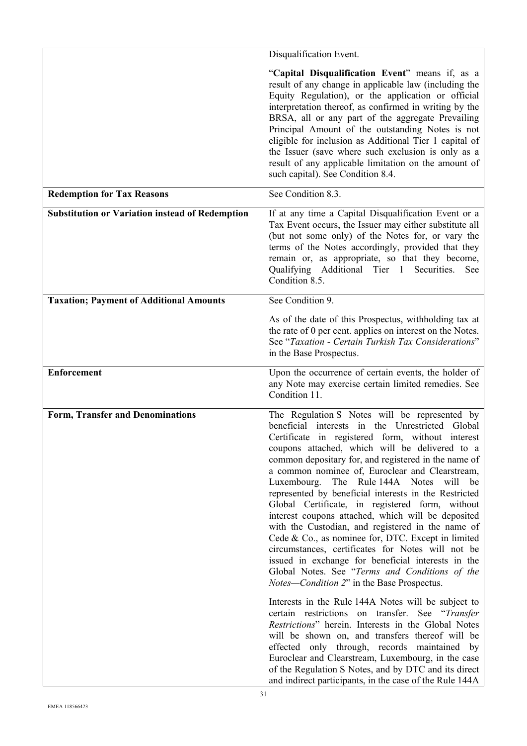|                                                        | Disqualification Event.                                                                                                                                                                                                                                                                                                                                                                                                                                                                                                                                                                                                                                                                                                                                                                                                                                                                                                                                                                                                                                                                                                                                                                                                                                                                                  |  |  |
|--------------------------------------------------------|----------------------------------------------------------------------------------------------------------------------------------------------------------------------------------------------------------------------------------------------------------------------------------------------------------------------------------------------------------------------------------------------------------------------------------------------------------------------------------------------------------------------------------------------------------------------------------------------------------------------------------------------------------------------------------------------------------------------------------------------------------------------------------------------------------------------------------------------------------------------------------------------------------------------------------------------------------------------------------------------------------------------------------------------------------------------------------------------------------------------------------------------------------------------------------------------------------------------------------------------------------------------------------------------------------|--|--|
|                                                        | "Capital Disqualification Event" means if, as a<br>result of any change in applicable law (including the<br>Equity Regulation), or the application or official<br>interpretation thereof, as confirmed in writing by the<br>BRSA, all or any part of the aggregate Prevailing<br>Principal Amount of the outstanding Notes is not<br>eligible for inclusion as Additional Tier 1 capital of<br>the Issuer (save where such exclusion is only as a<br>result of any applicable limitation on the amount of<br>such capital). See Condition 8.4.                                                                                                                                                                                                                                                                                                                                                                                                                                                                                                                                                                                                                                                                                                                                                           |  |  |
| <b>Redemption for Tax Reasons</b>                      | See Condition 8.3.                                                                                                                                                                                                                                                                                                                                                                                                                                                                                                                                                                                                                                                                                                                                                                                                                                                                                                                                                                                                                                                                                                                                                                                                                                                                                       |  |  |
| <b>Substitution or Variation instead of Redemption</b> | If at any time a Capital Disqualification Event or a<br>Tax Event occurs, the Issuer may either substitute all<br>(but not some only) of the Notes for, or vary the<br>terms of the Notes accordingly, provided that they<br>remain or, as appropriate, so that they become,<br>Qualifying Additional Tier 1 Securities.<br>See<br>Condition 8.5.                                                                                                                                                                                                                                                                                                                                                                                                                                                                                                                                                                                                                                                                                                                                                                                                                                                                                                                                                        |  |  |
| <b>Taxation; Payment of Additional Amounts</b>         | See Condition 9.                                                                                                                                                                                                                                                                                                                                                                                                                                                                                                                                                                                                                                                                                                                                                                                                                                                                                                                                                                                                                                                                                                                                                                                                                                                                                         |  |  |
|                                                        | As of the date of this Prospectus, withholding tax at<br>the rate of 0 per cent. applies on interest on the Notes.<br>See "Taxation - Certain Turkish Tax Considerations"<br>in the Base Prospectus.                                                                                                                                                                                                                                                                                                                                                                                                                                                                                                                                                                                                                                                                                                                                                                                                                                                                                                                                                                                                                                                                                                     |  |  |
| <b>Enforcement</b>                                     | Upon the occurrence of certain events, the holder of<br>any Note may exercise certain limited remedies. See<br>Condition 11.                                                                                                                                                                                                                                                                                                                                                                                                                                                                                                                                                                                                                                                                                                                                                                                                                                                                                                                                                                                                                                                                                                                                                                             |  |  |
| <b>Form, Transfer and Denominations</b>                | The Regulation S Notes will be represented by<br>beneficial interests in the Unrestricted Global<br>Certificate in registered form, without interest<br>coupons attached, which will be delivered to a<br>common depositary for, and registered in the name of<br>a common nominee of, Euroclear and Clearstream,<br>Luxembourg. The Rule 144A Notes will be<br>represented by beneficial interests in the Restricted<br>Global Certificate, in registered form, without<br>interest coupons attached, which will be deposited<br>with the Custodian, and registered in the name of<br>Cede & Co., as nominee for, DTC. Except in limited<br>circumstances, certificates for Notes will not be<br>issued in exchange for beneficial interests in the<br>Global Notes. See "Terms and Conditions of the<br><i>Notes—Condition 2"</i> in the Base Prospectus.<br>Interests in the Rule 144A Notes will be subject to<br>certain restrictions on transfer. See "Transfer<br>Restrictions" herein. Interests in the Global Notes<br>will be shown on, and transfers thereof will be<br>effected only through, records maintained by<br>Euroclear and Clearstream, Luxembourg, in the case<br>of the Regulation S Notes, and by DTC and its direct<br>and indirect participants, in the case of the Rule 144A |  |  |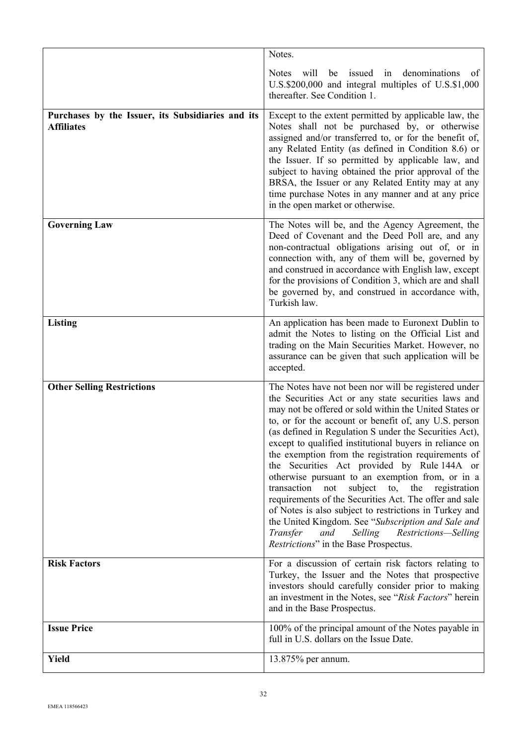|                                                                        | Notes.                                                                                                                                                                                                                                                                                                                                                                                                                                                                                                                                                                                                                                                                                                                                                                                                                                                |
|------------------------------------------------------------------------|-------------------------------------------------------------------------------------------------------------------------------------------------------------------------------------------------------------------------------------------------------------------------------------------------------------------------------------------------------------------------------------------------------------------------------------------------------------------------------------------------------------------------------------------------------------------------------------------------------------------------------------------------------------------------------------------------------------------------------------------------------------------------------------------------------------------------------------------------------|
|                                                                        | denominations<br>be issued<br><b>Notes</b><br>will<br>in<br>of<br>U.S.\$200,000 and integral multiples of U.S.\$1,000<br>thereafter. See Condition 1.                                                                                                                                                                                                                                                                                                                                                                                                                                                                                                                                                                                                                                                                                                 |
| Purchases by the Issuer, its Subsidiaries and its<br><b>Affiliates</b> | Except to the extent permitted by applicable law, the<br>Notes shall not be purchased by, or otherwise<br>assigned and/or transferred to, or for the benefit of,<br>any Related Entity (as defined in Condition 8.6) or<br>the Issuer. If so permitted by applicable law, and<br>subject to having obtained the prior approval of the<br>BRSA, the Issuer or any Related Entity may at any<br>time purchase Notes in any manner and at any price<br>in the open market or otherwise.                                                                                                                                                                                                                                                                                                                                                                  |
| <b>Governing Law</b>                                                   | The Notes will be, and the Agency Agreement, the<br>Deed of Covenant and the Deed Poll are, and any<br>non-contractual obligations arising out of, or in<br>connection with, any of them will be, governed by<br>and construed in accordance with English law, except<br>for the provisions of Condition 3, which are and shall<br>be governed by, and construed in accordance with,<br>Turkish law.                                                                                                                                                                                                                                                                                                                                                                                                                                                  |
| <b>Listing</b>                                                         | An application has been made to Euronext Dublin to<br>admit the Notes to listing on the Official List and<br>trading on the Main Securities Market. However, no<br>assurance can be given that such application will be<br>accepted.                                                                                                                                                                                                                                                                                                                                                                                                                                                                                                                                                                                                                  |
| <b>Other Selling Restrictions</b>                                      | The Notes have not been nor will be registered under<br>the Securities Act or any state securities laws and<br>may not be offered or sold within the United States or<br>to, or for the account or benefit of, any U.S. person<br>(as defined in Regulation S under the Securities Act),<br>except to qualified institutional buyers in reliance on<br>the exemption from the registration requirements of<br>the Securities Act provided by Rule 144A or<br>otherwise pursuant to an exemption from, or in a<br>transaction<br>not<br>subject<br>the<br>to,<br>registration<br>requirements of the Securities Act. The offer and sale<br>of Notes is also subject to restrictions in Turkey and<br>the United Kingdom. See "Subscription and Sale and<br>Transfer<br>Selling<br>Restrictions-Selling<br>and<br>Restrictions" in the Base Prospectus. |
| <b>Risk Factors</b>                                                    | For a discussion of certain risk factors relating to<br>Turkey, the Issuer and the Notes that prospective<br>investors should carefully consider prior to making<br>an investment in the Notes, see "Risk Factors" herein<br>and in the Base Prospectus.                                                                                                                                                                                                                                                                                                                                                                                                                                                                                                                                                                                              |
| <b>Issue Price</b>                                                     | 100% of the principal amount of the Notes payable in<br>full in U.S. dollars on the Issue Date.                                                                                                                                                                                                                                                                                                                                                                                                                                                                                                                                                                                                                                                                                                                                                       |
| <b>Yield</b>                                                           | 13.875% per annum.                                                                                                                                                                                                                                                                                                                                                                                                                                                                                                                                                                                                                                                                                                                                                                                                                                    |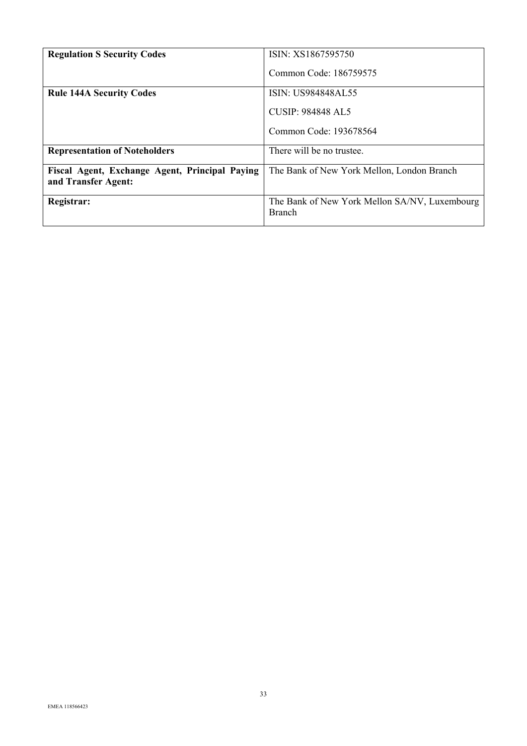| <b>Regulation S Security Codes</b>                                    | ISIN: XS1867595750                                             |
|-----------------------------------------------------------------------|----------------------------------------------------------------|
|                                                                       | Common Code: 186759575                                         |
| <b>Rule 144A Security Codes</b>                                       | <b>ISIN: US984848AL55</b>                                      |
|                                                                       | CUSIP: 984848 AL5                                              |
|                                                                       | Common Code: 193678564                                         |
| <b>Representation of Noteholders</b>                                  | There will be no trustee.                                      |
| Fiscal Agent, Exchange Agent, Principal Paying<br>and Transfer Agent: | The Bank of New York Mellon, London Branch                     |
| Registrar:                                                            | The Bank of New York Mellon SA/NV, Luxembourg<br><b>Branch</b> |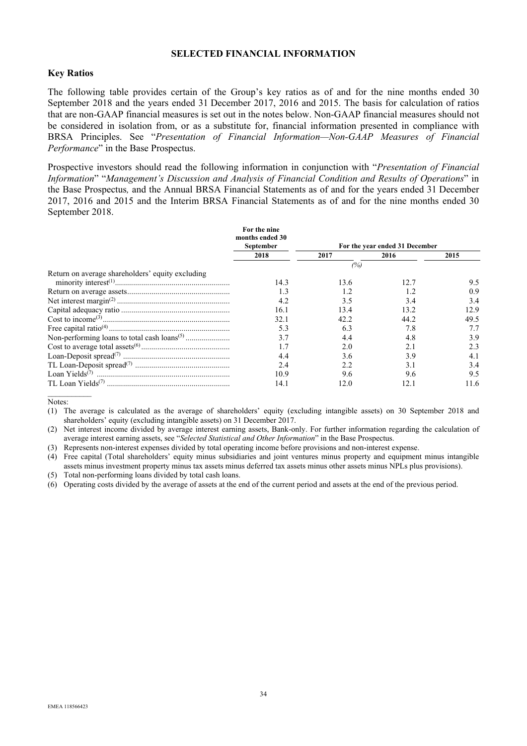# **SELECTED FINANCIAL INFORMATION**

### **Key Ratios**

The following table provides certain of the Group's key ratios as of and for the nine months ended 30 September 2018 and the years ended 31 December 2017, 2016 and 2015. The basis for calculation of ratios that are non-GAAP financial measures is set out in the notes below. Non-GAAP financial measures should not be considered in isolation from, or as a substitute for, financial information presented in compliance with BRSA Principles. See "*Presentation of Financial Information—Non-GAAP Measures of Financial Performance*" in the Base Prospectus.

Prospective investors should read the following information in conjunction with "*Presentation of Financial Information*" "*Management's Discussion and Analysis of Financial Condition and Results of Operations*" in the Base Prospectus*,* and the Annual BRSA Financial Statements as of and for the years ended 31 December 2017, 2016 and 2015 and the Interim BRSA Financial Statements as of and for the nine months ended 30 September 2018.

|                                                  | For the nine<br>months ended 30 |      |                                |      |
|--------------------------------------------------|---------------------------------|------|--------------------------------|------|
|                                                  | September                       |      | For the year ended 31 December |      |
|                                                  | 2018                            | 2017 | 2016                           | 2015 |
|                                                  |                                 | (%)  |                                |      |
| Return on average shareholders' equity excluding |                                 |      |                                |      |
|                                                  | 14.3                            | 13.6 | 12.7                           | 9.5  |
|                                                  | 1.3                             |      | 1.2                            | 0.9  |
|                                                  | 4.2                             | 3.5  | 3.4                            | 3.4  |
|                                                  | 16.1                            | 13.4 | 13.2                           | 12.9 |
|                                                  | 32.1                            | 42.2 | 44.2                           | 49.5 |
|                                                  | 5.3                             | 6.3  | 7.8                            | 7.7  |
|                                                  | 3.7                             | 4.4  | 4.8                            | 3.9  |
|                                                  |                                 | 2.0  | 2.1                            | 2.3  |
|                                                  | 4.4                             | 3.6  | 3.9                            | 4.1  |
|                                                  | 2.4                             | 2.2  | 3.1                            | 3.4  |
|                                                  | 10.9                            | 9.6  | 9.6                            | 9.5  |
|                                                  | 14.1                            | 12.0 | 12.1                           | 11.6 |

Notes:

(1) The average is calculated as the average of shareholders' equity (excluding intangible assets) on 30 September 2018 and shareholders' equity (excluding intangible assets) on 31 December 2017.

(2) Net interest income divided by average interest earning assets, Bank-only. For further information regarding the calculation of average interest earning assets, see "*Selected Statistical and Other Information*" in the Base Prospectus.

(3) Represents non-interest expenses divided by total operating income before provisions and non-interest expense.

(4) Free capital (Total shareholders' equity minus subsidiaries and joint ventures minus property and equipment minus intangible assets minus investment property minus tax assets minus deferred tax assets minus other assets minus NPLs plus provisions). (5) Total non-performing loans divided by total cash loans.

(6) Operating costs divided by the average of assets at the end of the current period and assets at the end of the previous period.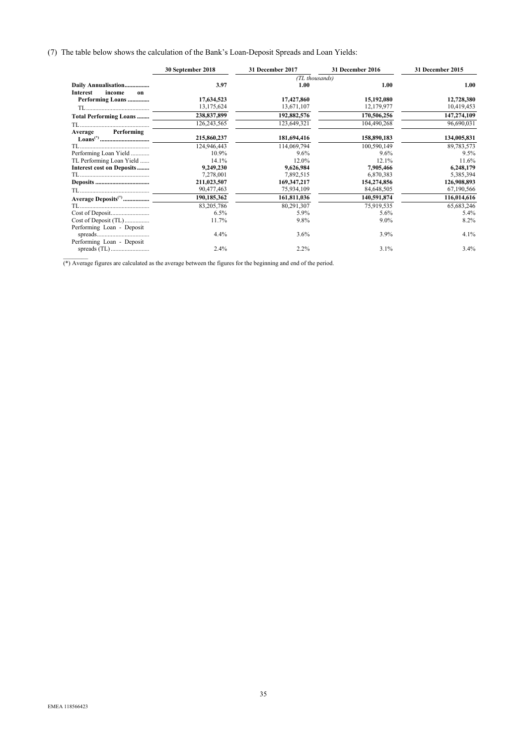#### (7) The table below shows the calculation of the Bank's Loan-Deposit Spreads and Loan Yields:

|                                  | 30 September 2018 | 31 December 2017 | 31 December 2016 | 31 December 2015 |
|----------------------------------|-------------------|------------------|------------------|------------------|
|                                  |                   | (TL thousands)   |                  |                  |
| Daily Annualisation              | 3.97              | 1.00             | 1.00             | 1.00             |
| <b>Interest</b><br>income<br>on  |                   |                  |                  |                  |
| Performing Loans                 | 17,634,523        | 17,427,860       | 15,192,080       | 12,728,380       |
|                                  | 13, 175, 624      | 13,671,107       | 12,179,977       | 10,419,453       |
| <b>Total Performing Loans </b>   | 238,837,899       | 192,882,576      | 170,506,256      | 147,274,109      |
|                                  | 126,243,565       | 123,649,321      | 104,490,268      | 96,690,031       |
| Performing<br>Average            |                   |                  |                  |                  |
|                                  | 215,860,237       | 181,694,416      | 158,890,183      | 134,005,831      |
|                                  | 124,946,443       | 114,069,794      | 100,590,149      | 89,783,573       |
| Performing Loan Yield            | 10.9%             | 9.6%             | 9.6%             | 9.5%             |
| TL Performing Loan Yield         | 14.1%             | 12.0%            | 12.1%            | 11.6%            |
| <b>Interest cost on Deposits</b> | 9,249,230         | 9,626,984        | 7,905,466        | 6,248,179        |
|                                  | 7,278,001         | 7,892,515        | 6,870,383        | 5,385,394        |
|                                  | 211,023,507       | 169, 347, 217    | 154,274,856      | 126,908,893      |
|                                  | 90,477,463        | 75,934,109       | 84,648,505       | 67,190,566       |
| Average Deposits <sup>(*)</sup>  | 190,185,362       | 161,811,036      | 140,591,874      | 116,014,616      |
|                                  | 83,205,786        | 80,291,307       | 75,919,535       | 65,683,246       |
| Cost of Deposit                  | 6.5%              | 5.9%             | 5.6%             | 5.4%             |
| Cost of Deposit (TL)             | 11.7%             | 9.8%             | $9.0\%$          | 8.2%             |
| Performing Loan - Deposit        |                   |                  |                  |                  |
|                                  | 4.4%              | $3.6\%$          | 3.9%             | 4.1%             |
| Performing Loan - Deposit        |                   |                  |                  |                  |
|                                  | 2.4%              | 2.2%             | 3.1%             | 3.4%             |
|                                  |                   |                  |                  |                  |

(\*) Average figures are calculated as the average between the figures for the beginning and end of the period.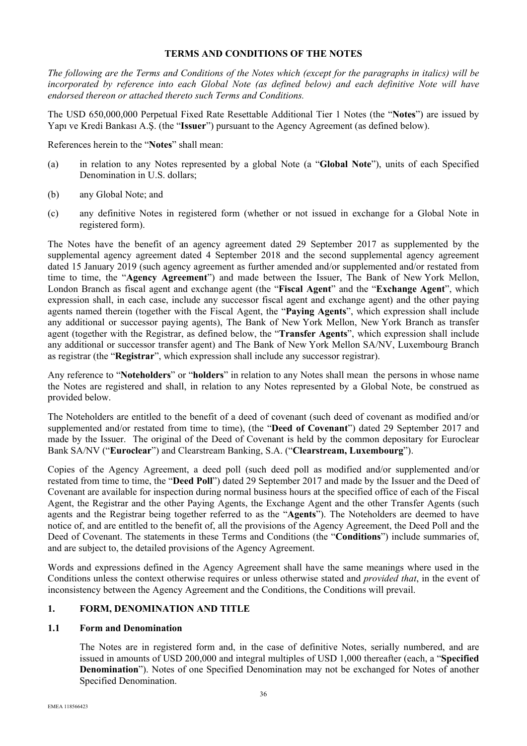# **TERMS AND CONDITIONS OF THE NOTES**

*The following are the Terms and Conditions of the Notes which (except for the paragraphs in italics) will be incorporated by reference into each Global Note (as defined below) and each definitive Note will have endorsed thereon or attached thereto such Terms and Conditions.* 

The USD 650,000,000 Perpetual Fixed Rate Resettable Additional Tier 1 Notes (the "**Notes**") are issued by Yapı ve Kredi Bankası A.Ş. (the "**Issuer**") pursuant to the Agency Agreement (as defined below).

References herein to the "**Notes**" shall mean:

- (a) in relation to any Notes represented by a global Note (a "**Global Note**"), units of each Specified Denomination in U.S. dollars;
- (b) any Global Note; and
- (c) any definitive Notes in registered form (whether or not issued in exchange for a Global Note in registered form).

The Notes have the benefit of an agency agreement dated 29 September 2017 as supplemented by the supplemental agency agreement dated 4 September 2018 and the second supplemental agency agreement dated 15 January 2019 (such agency agreement as further amended and/or supplemented and/or restated from time to time, the "**Agency Agreement**") and made between the Issuer, The Bank of New York Mellon, London Branch as fiscal agent and exchange agent (the "**Fiscal Agent**" and the "**Exchange Agent**", which expression shall, in each case, include any successor fiscal agent and exchange agent) and the other paying agents named therein (together with the Fiscal Agent, the "**Paying Agents**", which expression shall include any additional or successor paying agents), The Bank of New York Mellon, New York Branch as transfer agent (together with the Registrar, as defined below, the "**Transfer Agents**", which expression shall include any additional or successor transfer agent) and The Bank of New York Mellon SA/NV, Luxembourg Branch as registrar (the "**Registrar**", which expression shall include any successor registrar).

Any reference to "**Noteholders**" or "**holders**" in relation to any Notes shall mean the persons in whose name the Notes are registered and shall, in relation to any Notes represented by a Global Note, be construed as provided below.

The Noteholders are entitled to the benefit of a deed of covenant (such deed of covenant as modified and/or supplemented and/or restated from time to time), (the "**Deed of Covenant**") dated 29 September 2017 and made by the Issuer. The original of the Deed of Covenant is held by the common depositary for Euroclear Bank SA/NV ("**Euroclear**") and Clearstream Banking, S.A. ("**Clearstream, Luxembourg**").

Copies of the Agency Agreement, a deed poll (such deed poll as modified and/or supplemented and/or restated from time to time, the "**Deed Poll**") dated 29 September 2017 and made by the Issuer and the Deed of Covenant are available for inspection during normal business hours at the specified office of each of the Fiscal Agent, the Registrar and the other Paying Agents, the Exchange Agent and the other Transfer Agents (such agents and the Registrar being together referred to as the "**Agents**"). The Noteholders are deemed to have notice of, and are entitled to the benefit of, all the provisions of the Agency Agreement, the Deed Poll and the Deed of Covenant. The statements in these Terms and Conditions (the "**Conditions**") include summaries of, and are subject to, the detailed provisions of the Agency Agreement.

Words and expressions defined in the Agency Agreement shall have the same meanings where used in the Conditions unless the context otherwise requires or unless otherwise stated and *provided that*, in the event of inconsistency between the Agency Agreement and the Conditions, the Conditions will prevail.

# **1. FORM, DENOMINATION AND TITLE**

### **1.1 Form and Denomination**

The Notes are in registered form and, in the case of definitive Notes, serially numbered, and are issued in amounts of USD 200,000 and integral multiples of USD 1,000 thereafter (each, a "**Specified Denomination**"). Notes of one Specified Denomination may not be exchanged for Notes of another Specified Denomination.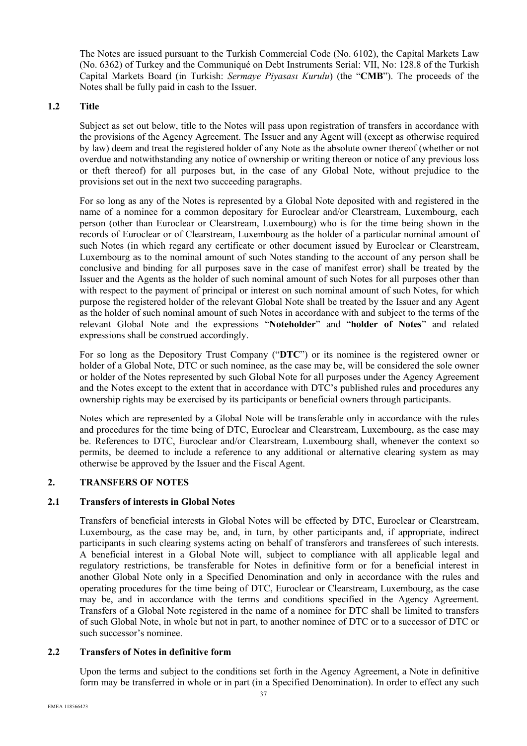The Notes are issued pursuant to the Turkish Commercial Code (No. 6102), the Capital Markets Law (No. 6362) of Turkey and the Communiqué on Debt Instruments Serial: VII, No: 128.8 of the Turkish Capital Markets Board (in Turkish: *Sermaye Piyasası Kurulu*) (the "**CMB**"). The proceeds of the Notes shall be fully paid in cash to the Issuer.

## **1.2 Title**

Subject as set out below, title to the Notes will pass upon registration of transfers in accordance with the provisions of the Agency Agreement. The Issuer and any Agent will (except as otherwise required by law) deem and treat the registered holder of any Note as the absolute owner thereof (whether or not overdue and notwithstanding any notice of ownership or writing thereon or notice of any previous loss or theft thereof) for all purposes but, in the case of any Global Note, without prejudice to the provisions set out in the next two succeeding paragraphs.

For so long as any of the Notes is represented by a Global Note deposited with and registered in the name of a nominee for a common depositary for Euroclear and/or Clearstream, Luxembourg, each person (other than Euroclear or Clearstream, Luxembourg) who is for the time being shown in the records of Euroclear or of Clearstream, Luxembourg as the holder of a particular nominal amount of such Notes (in which regard any certificate or other document issued by Euroclear or Clearstream, Luxembourg as to the nominal amount of such Notes standing to the account of any person shall be conclusive and binding for all purposes save in the case of manifest error) shall be treated by the Issuer and the Agents as the holder of such nominal amount of such Notes for all purposes other than with respect to the payment of principal or interest on such nominal amount of such Notes, for which purpose the registered holder of the relevant Global Note shall be treated by the Issuer and any Agent as the holder of such nominal amount of such Notes in accordance with and subject to the terms of the relevant Global Note and the expressions "**Noteholder**" and "**holder of Notes**" and related expressions shall be construed accordingly.

For so long as the Depository Trust Company ("**DTC**") or its nominee is the registered owner or holder of a Global Note, DTC or such nominee, as the case may be, will be considered the sole owner or holder of the Notes represented by such Global Note for all purposes under the Agency Agreement and the Notes except to the extent that in accordance with DTC's published rules and procedures any ownership rights may be exercised by its participants or beneficial owners through participants.

Notes which are represented by a Global Note will be transferable only in accordance with the rules and procedures for the time being of DTC, Euroclear and Clearstream, Luxembourg, as the case may be. References to DTC, Euroclear and/or Clearstream, Luxembourg shall, whenever the context so permits, be deemed to include a reference to any additional or alternative clearing system as may otherwise be approved by the Issuer and the Fiscal Agent.

### **2. TRANSFERS OF NOTES**

### **2.1 Transfers of interests in Global Notes**

Transfers of beneficial interests in Global Notes will be effected by DTC, Euroclear or Clearstream, Luxembourg, as the case may be, and, in turn, by other participants and, if appropriate, indirect participants in such clearing systems acting on behalf of transferors and transferees of such interests. A beneficial interest in a Global Note will, subject to compliance with all applicable legal and regulatory restrictions, be transferable for Notes in definitive form or for a beneficial interest in another Global Note only in a Specified Denomination and only in accordance with the rules and operating procedures for the time being of DTC, Euroclear or Clearstream, Luxembourg, as the case may be, and in accordance with the terms and conditions specified in the Agency Agreement. Transfers of a Global Note registered in the name of a nominee for DTC shall be limited to transfers of such Global Note, in whole but not in part, to another nominee of DTC or to a successor of DTC or such successor's nominee.

### **2.2 Transfers of Notes in definitive form**

Upon the terms and subject to the conditions set forth in the Agency Agreement, a Note in definitive form may be transferred in whole or in part (in a Specified Denomination). In order to effect any such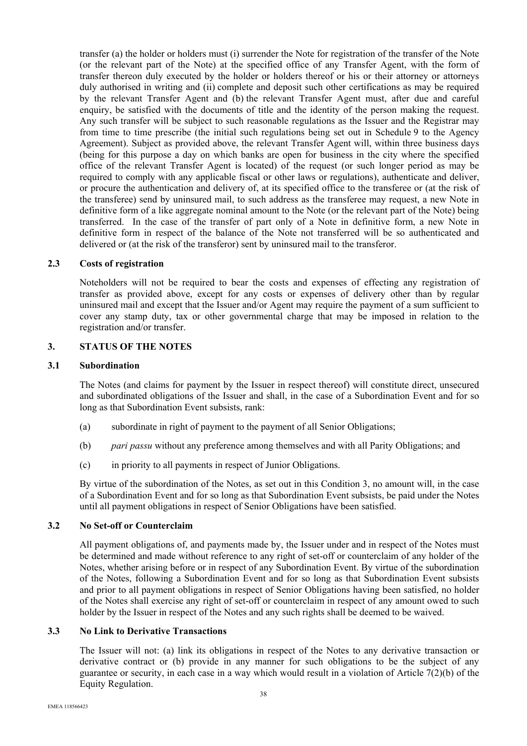transfer (a) the holder or holders must (i) surrender the Note for registration of the transfer of the Note (or the relevant part of the Note) at the specified office of any Transfer Agent, with the form of transfer thereon duly executed by the holder or holders thereof or his or their attorney or attorneys duly authorised in writing and (ii) complete and deposit such other certifications as may be required by the relevant Transfer Agent and (b) the relevant Transfer Agent must, after due and careful enquiry, be satisfied with the documents of title and the identity of the person making the request. Any such transfer will be subject to such reasonable regulations as the Issuer and the Registrar may from time to time prescribe (the initial such regulations being set out in Schedule 9 to the Agency Agreement). Subject as provided above, the relevant Transfer Agent will, within three business days (being for this purpose a day on which banks are open for business in the city where the specified office of the relevant Transfer Agent is located) of the request (or such longer period as may be required to comply with any applicable fiscal or other laws or regulations), authenticate and deliver, or procure the authentication and delivery of, at its specified office to the transferee or (at the risk of the transferee) send by uninsured mail, to such address as the transferee may request, a new Note in definitive form of a like aggregate nominal amount to the Note (or the relevant part of the Note) being transferred. In the case of the transfer of part only of a Note in definitive form, a new Note in definitive form in respect of the balance of the Note not transferred will be so authenticated and delivered or (at the risk of the transferor) sent by uninsured mail to the transferor.

### **2.3 Costs of registration**

Noteholders will not be required to bear the costs and expenses of effecting any registration of transfer as provided above, except for any costs or expenses of delivery other than by regular uninsured mail and except that the Issuer and/or Agent may require the payment of a sum sufficient to cover any stamp duty, tax or other governmental charge that may be imposed in relation to the registration and/or transfer.

# **3. STATUS OF THE NOTES**

#### **3.1 Subordination**

The Notes (and claims for payment by the Issuer in respect thereof) will constitute direct, unsecured and subordinated obligations of the Issuer and shall, in the case of a Subordination Event and for so long as that Subordination Event subsists, rank:

- (a) subordinate in right of payment to the payment of all Senior Obligations;
- (b) *pari passu* without any preference among themselves and with all Parity Obligations; and
- (c) in priority to all payments in respect of Junior Obligations.

By virtue of the subordination of the Notes, as set out in this Condition 3, no amount will, in the case of a Subordination Event and for so long as that Subordination Event subsists, be paid under the Notes until all payment obligations in respect of Senior Obligations have been satisfied.

### **3.2 No Set-off or Counterclaim**

All payment obligations of, and payments made by, the Issuer under and in respect of the Notes must be determined and made without reference to any right of set-off or counterclaim of any holder of the Notes, whether arising before or in respect of any Subordination Event. By virtue of the subordination of the Notes, following a Subordination Event and for so long as that Subordination Event subsists and prior to all payment obligations in respect of Senior Obligations having been satisfied, no holder of the Notes shall exercise any right of set-off or counterclaim in respect of any amount owed to such holder by the Issuer in respect of the Notes and any such rights shall be deemed to be waived.

### **3.3 No Link to Derivative Transactions**

The Issuer will not: (a) link its obligations in respect of the Notes to any derivative transaction or derivative contract or (b) provide in any manner for such obligations to be the subject of any guarantee or security, in each case in a way which would result in a violation of Article 7(2)(b) of the Equity Regulation.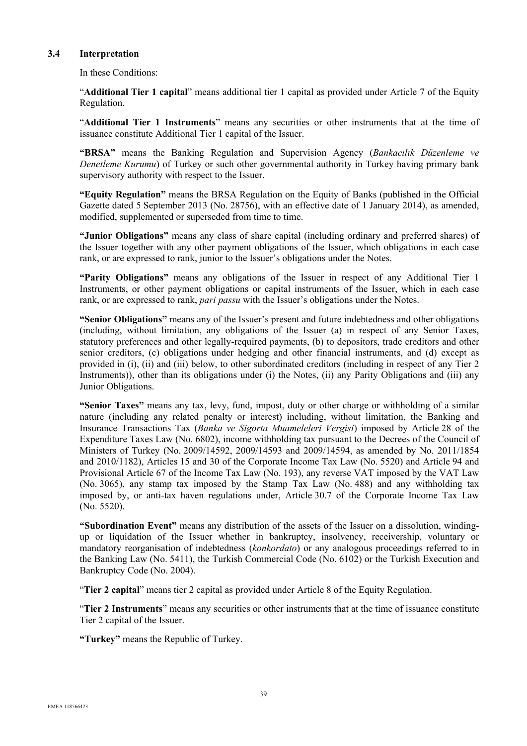### **3.4 Interpretation**

In these Conditions:

"**Additional Tier 1 capital**" means additional tier 1 capital as provided under Article 7 of the Equity Regulation.

"**Additional Tier 1 Instruments**" means any securities or other instruments that at the time of issuance constitute Additional Tier 1 capital of the Issuer.

**"BRSA"** means the Banking Regulation and Supervision Agency (*Bankacılık Düzenleme ve Denetleme Kurumu*) of Turkey or such other governmental authority in Turkey having primary bank supervisory authority with respect to the Issuer.

**"Equity Regulation"** means the BRSA Regulation on the Equity of Banks (published in the Official Gazette dated 5 September 2013 (No. 28756), with an effective date of 1 January 2014), as amended, modified, supplemented or superseded from time to time.

**"Junior Obligations"** means any class of share capital (including ordinary and preferred shares) of the Issuer together with any other payment obligations of the Issuer, which obligations in each case rank, or are expressed to rank, junior to the Issuer's obligations under the Notes.

**"Parity Obligations"** means any obligations of the Issuer in respect of any Additional Tier 1 Instruments, or other payment obligations or capital instruments of the Issuer, which in each case rank, or are expressed to rank, *pari passu* with the Issuer's obligations under the Notes.

**"Senior Obligations"** means any of the Issuer's present and future indebtedness and other obligations (including, without limitation, any obligations of the Issuer (a) in respect of any Senior Taxes, statutory preferences and other legally-required payments, (b) to depositors, trade creditors and other senior creditors, (c) obligations under hedging and other financial instruments, and (d) except as provided in (i), (ii) and (iii) below, to other subordinated creditors (including in respect of any Tier 2 Instruments)), other than its obligations under (i) the Notes, (ii) any Parity Obligations and (iii) any Junior Obligations.

**"Senior Taxes"** means any tax, levy, fund, impost, duty or other charge or withholding of a similar nature (including any related penalty or interest) including, without limitation, the Banking and Insurance Transactions Tax (*Banka ve Sigorta Muameleleri Vergisi*) imposed by Article 28 of the Expenditure Taxes Law (No. 6802), income withholding tax pursuant to the Decrees of the Council of Ministers of Turkey (No. 2009/14592, 2009/14593 and 2009/14594, as amended by No. 2011/1854 and 2010/1182), Articles 15 and 30 of the Corporate Income Tax Law (No. 5520) and Article 94 and Provisional Article 67 of the Income Tax Law (No. 193), any reverse VAT imposed by the VAT Law (No. 3065), any stamp tax imposed by the Stamp Tax Law (No. 488) and any withholding tax imposed by, or anti-tax haven regulations under, Article 30.7 of the Corporate Income Tax Law (No. 5520).

**"Subordination Event"** means any distribution of the assets of the Issuer on a dissolution, windingup or liquidation of the Issuer whether in bankruptcy, insolvency, receivership, voluntary or mandatory reorganisation of indebtedness (*konkordato*) or any analogous proceedings referred to in the Banking Law (No. 5411), the Turkish Commercial Code (No. 6102) or the Turkish Execution and Bankruptcy Code (No. 2004).

"**Tier 2 capital**" means tier 2 capital as provided under Article 8 of the Equity Regulation.

"**Tier 2 Instruments**" means any securities or other instruments that at the time of issuance constitute Tier 2 capital of the Issuer.

**"Turkey"** means the Republic of Turkey.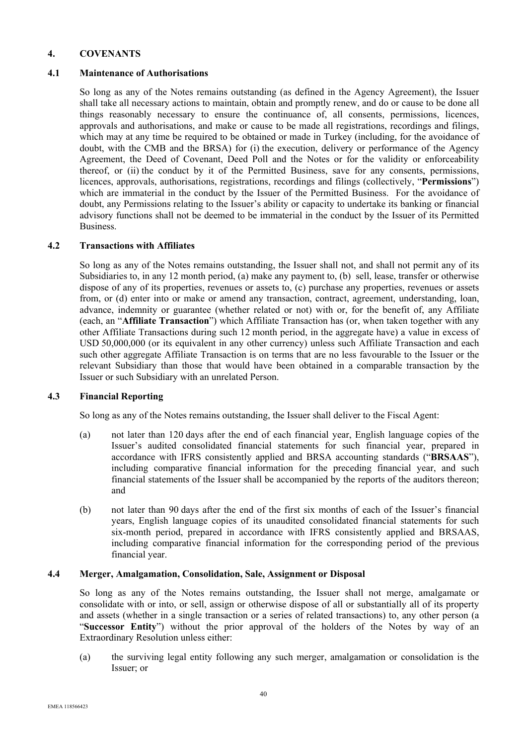# **4. COVENANTS**

### **4.1 Maintenance of Authorisations**

So long as any of the Notes remains outstanding (as defined in the Agency Agreement), the Issuer shall take all necessary actions to maintain, obtain and promptly renew, and do or cause to be done all things reasonably necessary to ensure the continuance of, all consents, permissions, licences, approvals and authorisations, and make or cause to be made all registrations, recordings and filings, which may at any time be required to be obtained or made in Turkey (including, for the avoidance of doubt, with the CMB and the BRSA) for (i) the execution, delivery or performance of the Agency Agreement, the Deed of Covenant, Deed Poll and the Notes or for the validity or enforceability thereof, or (ii) the conduct by it of the Permitted Business, save for any consents, permissions, licences, approvals, authorisations, registrations, recordings and filings (collectively, "**Permissions**") which are immaterial in the conduct by the Issuer of the Permitted Business. For the avoidance of doubt, any Permissions relating to the Issuer's ability or capacity to undertake its banking or financial advisory functions shall not be deemed to be immaterial in the conduct by the Issuer of its Permitted Business.

### **4.2 Transactions with Affiliates**

So long as any of the Notes remains outstanding, the Issuer shall not, and shall not permit any of its Subsidiaries to, in any 12 month period, (a) make any payment to, (b) sell, lease, transfer or otherwise dispose of any of its properties, revenues or assets to, (c) purchase any properties, revenues or assets from, or (d) enter into or make or amend any transaction, contract, agreement, understanding, loan, advance, indemnity or guarantee (whether related or not) with or, for the benefit of, any Affiliate (each, an "**Affiliate Transaction**") which Affiliate Transaction has (or, when taken together with any other Affiliate Transactions during such 12 month period, in the aggregate have) a value in excess of USD 50,000,000 (or its equivalent in any other currency) unless such Affiliate Transaction and each such other aggregate Affiliate Transaction is on terms that are no less favourable to the Issuer or the relevant Subsidiary than those that would have been obtained in a comparable transaction by the Issuer or such Subsidiary with an unrelated Person.

### **4.3 Financial Reporting**

So long as any of the Notes remains outstanding, the Issuer shall deliver to the Fiscal Agent:

- (a) not later than 120 days after the end of each financial year, English language copies of the Issuer's audited consolidated financial statements for such financial year, prepared in accordance with IFRS consistently applied and BRSA accounting standards ("**BRSAAS**"), including comparative financial information for the preceding financial year, and such financial statements of the Issuer shall be accompanied by the reports of the auditors thereon; and
- (b) not later than 90 days after the end of the first six months of each of the Issuer's financial years, English language copies of its unaudited consolidated financial statements for such six-month period, prepared in accordance with IFRS consistently applied and BRSAAS, including comparative financial information for the corresponding period of the previous financial year.

#### **4.4 Merger, Amalgamation, Consolidation, Sale, Assignment or Disposal**

So long as any of the Notes remains outstanding, the Issuer shall not merge, amalgamate or consolidate with or into, or sell, assign or otherwise dispose of all or substantially all of its property and assets (whether in a single transaction or a series of related transactions) to, any other person (a "**Successor Entity**") without the prior approval of the holders of the Notes by way of an Extraordinary Resolution unless either:

(a) the surviving legal entity following any such merger, amalgamation or consolidation is the Issuer; or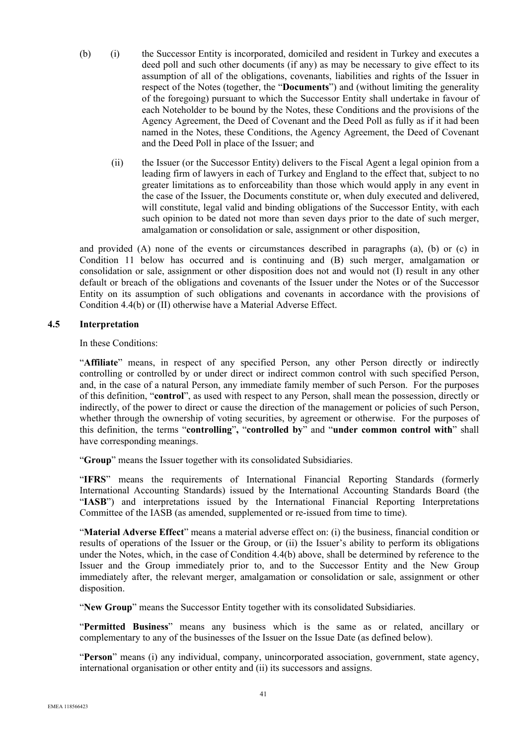- (b) (i) the Successor Entity is incorporated, domiciled and resident in Turkey and executes a deed poll and such other documents (if any) as may be necessary to give effect to its assumption of all of the obligations, covenants, liabilities and rights of the Issuer in respect of the Notes (together, the "**Documents**") and (without limiting the generality of the foregoing) pursuant to which the Successor Entity shall undertake in favour of each Noteholder to be bound by the Notes, these Conditions and the provisions of the Agency Agreement, the Deed of Covenant and the Deed Poll as fully as if it had been named in the Notes, these Conditions, the Agency Agreement, the Deed of Covenant and the Deed Poll in place of the Issuer; and
	- (ii) the Issuer (or the Successor Entity) delivers to the Fiscal Agent a legal opinion from a leading firm of lawyers in each of Turkey and England to the effect that, subject to no greater limitations as to enforceability than those which would apply in any event in the case of the Issuer, the Documents constitute or, when duly executed and delivered, will constitute, legal valid and binding obligations of the Successor Entity, with each such opinion to be dated not more than seven days prior to the date of such merger, amalgamation or consolidation or sale, assignment or other disposition,

and provided (A) none of the events or circumstances described in paragraphs (a), (b) or (c) in Condition 11 below has occurred and is continuing and (B) such merger, amalgamation or consolidation or sale, assignment or other disposition does not and would not (I) result in any other default or breach of the obligations and covenants of the Issuer under the Notes or of the Successor Entity on its assumption of such obligations and covenants in accordance with the provisions of Condition 4.4(b) or (II) otherwise have a Material Adverse Effect.

## **4.5 Interpretation**

In these Conditions:

"**Affiliate**" means, in respect of any specified Person, any other Person directly or indirectly controlling or controlled by or under direct or indirect common control with such specified Person, and, in the case of a natural Person, any immediate family member of such Person. For the purposes of this definition, "**control**", as used with respect to any Person, shall mean the possession, directly or indirectly, of the power to direct or cause the direction of the management or policies of such Person, whether through the ownership of voting securities, by agreement or otherwise. For the purposes of this definition, the terms "**controlling**"**,** "**controlled by**" and "**under common control with**" shall have corresponding meanings.

"**Group**" means the Issuer together with its consolidated Subsidiaries.

"**IFRS**" means the requirements of International Financial Reporting Standards (formerly International Accounting Standards) issued by the International Accounting Standards Board (the "IASB") and interpretations issued by the International Financial Reporting Interpretations Committee of the IASB (as amended, supplemented or re-issued from time to time).

"**Material Adverse Effect**" means a material adverse effect on: (i) the business, financial condition or results of operations of the Issuer or the Group, or (ii) the Issuer's ability to perform its obligations under the Notes, which, in the case of Condition 4.4(b) above, shall be determined by reference to the Issuer and the Group immediately prior to, and to the Successor Entity and the New Group immediately after, the relevant merger, amalgamation or consolidation or sale, assignment or other disposition.

"**New Group**" means the Successor Entity together with its consolidated Subsidiaries.

"**Permitted Business**" means any business which is the same as or related, ancillary or complementary to any of the businesses of the Issuer on the Issue Date (as defined below).

"**Person**" means (i) any individual, company, unincorporated association, government, state agency, international organisation or other entity and (ii) its successors and assigns.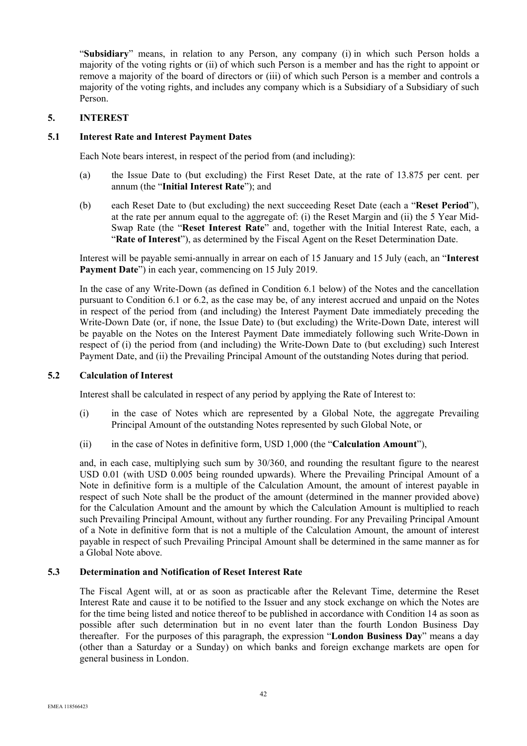"**Subsidiary**" means, in relation to any Person, any company (i) in which such Person holds a majority of the voting rights or (ii) of which such Person is a member and has the right to appoint or remove a majority of the board of directors or (iii) of which such Person is a member and controls a majority of the voting rights, and includes any company which is a Subsidiary of a Subsidiary of such Person.

## **5. INTEREST**

## **5.1 Interest Rate and Interest Payment Dates**

Each Note bears interest, in respect of the period from (and including):

- (a) the Issue Date to (but excluding) the First Reset Date, at the rate of 13.875 per cent. per annum (the "**Initial Interest Rate**"); and
- (b) each Reset Date to (but excluding) the next succeeding Reset Date (each a "**Reset Period**"), at the rate per annum equal to the aggregate of: (i) the Reset Margin and (ii) the 5 Year Mid-Swap Rate (the "**Reset Interest Rate**" and, together with the Initial Interest Rate, each, a "**Rate of Interest**"), as determined by the Fiscal Agent on the Reset Determination Date.

Interest will be payable semi-annually in arrear on each of 15 January and 15 July (each, an "**Interest**  Payment Date<sup>"</sup>) in each year, commencing on 15 July 2019.

In the case of any Write-Down (as defined in Condition 6.1 below) of the Notes and the cancellation pursuant to Condition 6.1 or 6.2, as the case may be, of any interest accrued and unpaid on the Notes in respect of the period from (and including) the Interest Payment Date immediately preceding the Write-Down Date (or, if none, the Issue Date) to (but excluding) the Write-Down Date, interest will be payable on the Notes on the Interest Payment Date immediately following such Write-Down in respect of (i) the period from (and including) the Write-Down Date to (but excluding) such Interest Payment Date, and (ii) the Prevailing Principal Amount of the outstanding Notes during that period.

### **5.2 Calculation of Interest**

Interest shall be calculated in respect of any period by applying the Rate of Interest to:

- (i) in the case of Notes which are represented by a Global Note, the aggregate Prevailing Principal Amount of the outstanding Notes represented by such Global Note, or
- (ii) in the case of Notes in definitive form, USD 1,000 (the "**Calculation Amount**"),

and, in each case, multiplying such sum by 30/360, and rounding the resultant figure to the nearest USD 0.01 (with USD 0.005 being rounded upwards). Where the Prevailing Principal Amount of a Note in definitive form is a multiple of the Calculation Amount, the amount of interest payable in respect of such Note shall be the product of the amount (determined in the manner provided above) for the Calculation Amount and the amount by which the Calculation Amount is multiplied to reach such Prevailing Principal Amount, without any further rounding. For any Prevailing Principal Amount of a Note in definitive form that is not a multiple of the Calculation Amount, the amount of interest payable in respect of such Prevailing Principal Amount shall be determined in the same manner as for a Global Note above.

### **5.3 Determination and Notification of Reset Interest Rate**

The Fiscal Agent will, at or as soon as practicable after the Relevant Time, determine the Reset Interest Rate and cause it to be notified to the Issuer and any stock exchange on which the Notes are for the time being listed and notice thereof to be published in accordance with Condition 14 as soon as possible after such determination but in no event later than the fourth London Business Day thereafter. For the purposes of this paragraph, the expression "**London Business Day**" means a day (other than a Saturday or a Sunday) on which banks and foreign exchange markets are open for general business in London.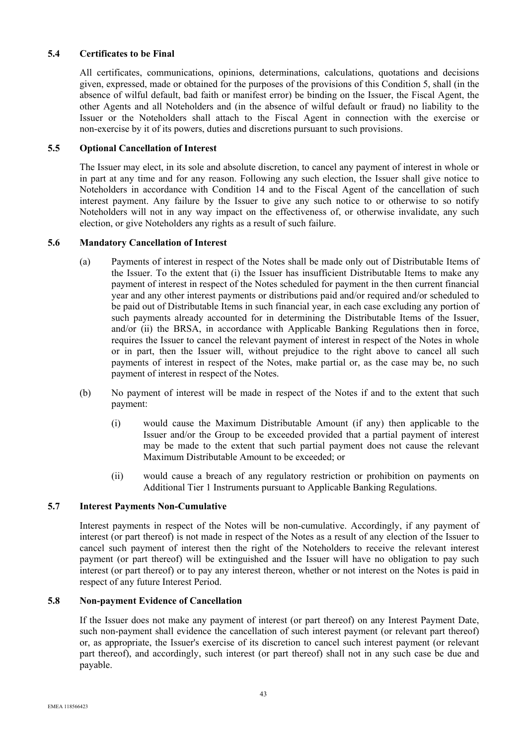# **5.4 Certificates to be Final**

All certificates, communications, opinions, determinations, calculations, quotations and decisions given, expressed, made or obtained for the purposes of the provisions of this Condition 5, shall (in the absence of wilful default, bad faith or manifest error) be binding on the Issuer, the Fiscal Agent, the other Agents and all Noteholders and (in the absence of wilful default or fraud) no liability to the Issuer or the Noteholders shall attach to the Fiscal Agent in connection with the exercise or non-exercise by it of its powers, duties and discretions pursuant to such provisions.

## **5.5 Optional Cancellation of Interest**

The Issuer may elect, in its sole and absolute discretion, to cancel any payment of interest in whole or in part at any time and for any reason. Following any such election, the Issuer shall give notice to Noteholders in accordance with Condition 14 and to the Fiscal Agent of the cancellation of such interest payment. Any failure by the Issuer to give any such notice to or otherwise to so notify Noteholders will not in any way impact on the effectiveness of, or otherwise invalidate, any such election, or give Noteholders any rights as a result of such failure.

## **5.6 Mandatory Cancellation of Interest**

- (a) Payments of interest in respect of the Notes shall be made only out of Distributable Items of the Issuer. To the extent that (i) the Issuer has insufficient Distributable Items to make any payment of interest in respect of the Notes scheduled for payment in the then current financial year and any other interest payments or distributions paid and/or required and/or scheduled to be paid out of Distributable Items in such financial year, in each case excluding any portion of such payments already accounted for in determining the Distributable Items of the Issuer, and/or (ii) the BRSA, in accordance with Applicable Banking Regulations then in force, requires the Issuer to cancel the relevant payment of interest in respect of the Notes in whole or in part, then the Issuer will, without prejudice to the right above to cancel all such payments of interest in respect of the Notes, make partial or, as the case may be, no such payment of interest in respect of the Notes.
- (b) No payment of interest will be made in respect of the Notes if and to the extent that such payment:
	- (i) would cause the Maximum Distributable Amount (if any) then applicable to the Issuer and/or the Group to be exceeded provided that a partial payment of interest may be made to the extent that such partial payment does not cause the relevant Maximum Distributable Amount to be exceeded; or
	- (ii) would cause a breach of any regulatory restriction or prohibition on payments on Additional Tier 1 Instruments pursuant to Applicable Banking Regulations.

### **5.7 Interest Payments Non-Cumulative**

Interest payments in respect of the Notes will be non-cumulative. Accordingly, if any payment of interest (or part thereof) is not made in respect of the Notes as a result of any election of the Issuer to cancel such payment of interest then the right of the Noteholders to receive the relevant interest payment (or part thereof) will be extinguished and the Issuer will have no obligation to pay such interest (or part thereof) or to pay any interest thereon, whether or not interest on the Notes is paid in respect of any future Interest Period.

### **5.8 Non-payment Evidence of Cancellation**

If the Issuer does not make any payment of interest (or part thereof) on any Interest Payment Date, such non-payment shall evidence the cancellation of such interest payment (or relevant part thereof) or, as appropriate, the Issuer's exercise of its discretion to cancel such interest payment (or relevant part thereof), and accordingly, such interest (or part thereof) shall not in any such case be due and payable.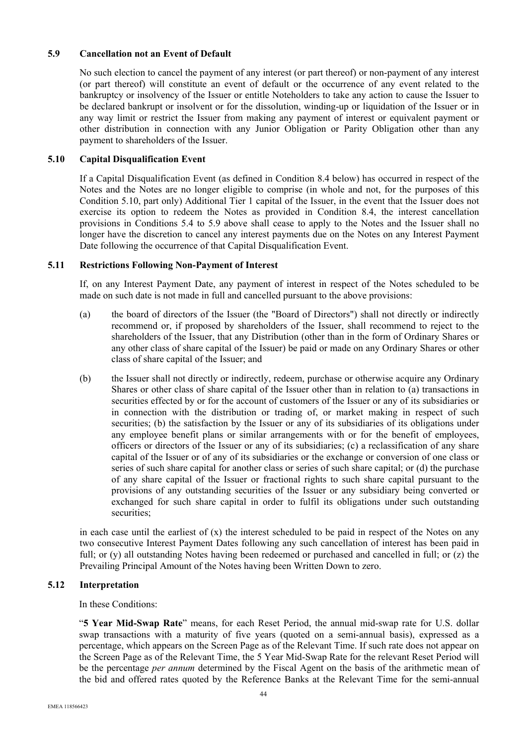# **5.9 Cancellation not an Event of Default**

No such election to cancel the payment of any interest (or part thereof) or non-payment of any interest (or part thereof) will constitute an event of default or the occurrence of any event related to the bankruptcy or insolvency of the Issuer or entitle Noteholders to take any action to cause the Issuer to be declared bankrupt or insolvent or for the dissolution, winding-up or liquidation of the Issuer or in any way limit or restrict the Issuer from making any payment of interest or equivalent payment or other distribution in connection with any Junior Obligation or Parity Obligation other than any payment to shareholders of the Issuer.

### **5.10 Capital Disqualification Event**

If a Capital Disqualification Event (as defined in Condition 8.4 below) has occurred in respect of the Notes and the Notes are no longer eligible to comprise (in whole and not, for the purposes of this Condition 5.10, part only) Additional Tier 1 capital of the Issuer, in the event that the Issuer does not exercise its option to redeem the Notes as provided in Condition 8.4, the interest cancellation provisions in Conditions 5.4 to 5.9 above shall cease to apply to the Notes and the Issuer shall no longer have the discretion to cancel any interest payments due on the Notes on any Interest Payment Date following the occurrence of that Capital Disqualification Event.

#### **5.11 Restrictions Following Non-Payment of Interest**

If, on any Interest Payment Date, any payment of interest in respect of the Notes scheduled to be made on such date is not made in full and cancelled pursuant to the above provisions:

- (a) the board of directors of the Issuer (the "Board of Directors") shall not directly or indirectly recommend or, if proposed by shareholders of the Issuer, shall recommend to reject to the shareholders of the Issuer, that any Distribution (other than in the form of Ordinary Shares or any other class of share capital of the Issuer) be paid or made on any Ordinary Shares or other class of share capital of the Issuer; and
- (b) the Issuer shall not directly or indirectly, redeem, purchase or otherwise acquire any Ordinary Shares or other class of share capital of the Issuer other than in relation to (a) transactions in securities effected by or for the account of customers of the Issuer or any of its subsidiaries or in connection with the distribution or trading of, or market making in respect of such securities; (b) the satisfaction by the Issuer or any of its subsidiaries of its obligations under any employee benefit plans or similar arrangements with or for the benefit of employees, officers or directors of the Issuer or any of its subsidiaries; (c) a reclassification of any share capital of the Issuer or of any of its subsidiaries or the exchange or conversion of one class or series of such share capital for another class or series of such share capital; or (d) the purchase of any share capital of the Issuer or fractional rights to such share capital pursuant to the provisions of any outstanding securities of the Issuer or any subsidiary being converted or exchanged for such share capital in order to fulfil its obligations under such outstanding securities;

in each case until the earliest of  $(x)$  the interest scheduled to be paid in respect of the Notes on any two consecutive Interest Payment Dates following any such cancellation of interest has been paid in full; or (y) all outstanding Notes having been redeemed or purchased and cancelled in full; or (z) the Prevailing Principal Amount of the Notes having been Written Down to zero.

#### **5.12 Interpretation**

In these Conditions:

"**5 Year Mid-Swap Rate**" means, for each Reset Period, the annual mid-swap rate for U.S. dollar swap transactions with a maturity of five years (quoted on a semi-annual basis), expressed as a percentage, which appears on the Screen Page as of the Relevant Time. If such rate does not appear on the Screen Page as of the Relevant Time, the 5 Year Mid-Swap Rate for the relevant Reset Period will be the percentage *per annum* determined by the Fiscal Agent on the basis of the arithmetic mean of the bid and offered rates quoted by the Reference Banks at the Relevant Time for the semi-annual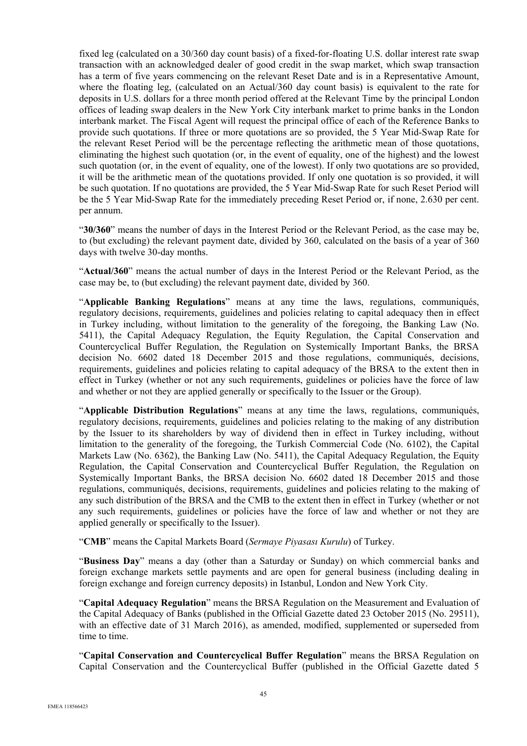fixed leg (calculated on a 30/360 day count basis) of a fixed-for-floating U.S. dollar interest rate swap transaction with an acknowledged dealer of good credit in the swap market, which swap transaction has a term of five years commencing on the relevant Reset Date and is in a Representative Amount, where the floating leg, (calculated on an Actual/360 day count basis) is equivalent to the rate for deposits in U.S. dollars for a three month period offered at the Relevant Time by the principal London offices of leading swap dealers in the New York City interbank market to prime banks in the London interbank market. The Fiscal Agent will request the principal office of each of the Reference Banks to provide such quotations. If three or more quotations are so provided, the 5 Year Mid-Swap Rate for the relevant Reset Period will be the percentage reflecting the arithmetic mean of those quotations, eliminating the highest such quotation (or, in the event of equality, one of the highest) and the lowest such quotation (or, in the event of equality, one of the lowest). If only two quotations are so provided, it will be the arithmetic mean of the quotations provided. If only one quotation is so provided, it will be such quotation. If no quotations are provided, the 5 Year Mid-Swap Rate for such Reset Period will be the 5 Year Mid-Swap Rate for the immediately preceding Reset Period or, if none, 2.630 per cent. per annum.

"**30/360**" means the number of days in the Interest Period or the Relevant Period, as the case may be, to (but excluding) the relevant payment date, divided by 360, calculated on the basis of a year of 360 days with twelve 30-day months.

"**Actual/360**" means the actual number of days in the Interest Period or the Relevant Period, as the case may be, to (but excluding) the relevant payment date, divided by 360.

"**Applicable Banking Regulations**" means at any time the laws, regulations, communiqués, regulatory decisions, requirements, guidelines and policies relating to capital adequacy then in effect in Turkey including, without limitation to the generality of the foregoing, the Banking Law (No. 5411), the Capital Adequacy Regulation, the Equity Regulation, the Capital Conservation and Countercyclical Buffer Regulation, the Regulation on Systemically Important Banks, the BRSA decision No. 6602 dated 18 December 2015 and those regulations, communiqués, decisions, requirements, guidelines and policies relating to capital adequacy of the BRSA to the extent then in effect in Turkey (whether or not any such requirements, guidelines or policies have the force of law and whether or not they are applied generally or specifically to the Issuer or the Group).

"**Applicable Distribution Regulations**" means at any time the laws, regulations, communiqués, regulatory decisions, requirements, guidelines and policies relating to the making of any distribution by the Issuer to its shareholders by way of dividend then in effect in Turkey including, without limitation to the generality of the foregoing, the Turkish Commercial Code (No. 6102), the Capital Markets Law (No. 6362), the Banking Law (No. 5411), the Capital Adequacy Regulation, the Equity Regulation, the Capital Conservation and Countercyclical Buffer Regulation, the Regulation on Systemically Important Banks, the BRSA decision No. 6602 dated 18 December 2015 and those regulations, communiqués, decisions, requirements, guidelines and policies relating to the making of any such distribution of the BRSA and the CMB to the extent then in effect in Turkey (whether or not any such requirements, guidelines or policies have the force of law and whether or not they are applied generally or specifically to the Issuer).

"**CMB**" means the Capital Markets Board (*Sermaye Piyasası Kurulu*) of Turkey.

"**Business Day**" means a day (other than a Saturday or Sunday) on which commercial banks and foreign exchange markets settle payments and are open for general business (including dealing in foreign exchange and foreign currency deposits) in Istanbul, London and New York City.

"**Capital Adequacy Regulation**" means the BRSA Regulation on the Measurement and Evaluation of the Capital Adequacy of Banks (published in the Official Gazette dated 23 October 2015 (No. 29511), with an effective date of 31 March 2016), as amended, modified, supplemented or superseded from time to time.

"**Capital Conservation and Countercyclical Buffer Regulation**" means the BRSA Regulation on Capital Conservation and the Countercyclical Buffer (published in the Official Gazette dated 5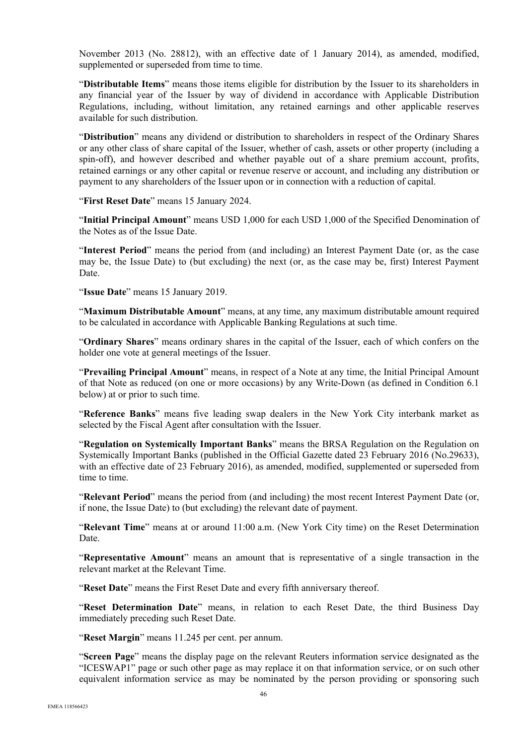November 2013 (No. 28812), with an effective date of 1 January 2014), as amended, modified, supplemented or superseded from time to time.

"**Distributable Items**" means those items eligible for distribution by the Issuer to its shareholders in any financial year of the Issuer by way of dividend in accordance with Applicable Distribution Regulations, including, without limitation, any retained earnings and other applicable reserves available for such distribution.

"**Distribution**" means any dividend or distribution to shareholders in respect of the Ordinary Shares or any other class of share capital of the Issuer, whether of cash, assets or other property (including a spin-off), and however described and whether payable out of a share premium account, profits, retained earnings or any other capital or revenue reserve or account, and including any distribution or payment to any shareholders of the Issuer upon or in connection with a reduction of capital.

"**First Reset Date**" means 15 January 2024.

"**Initial Principal Amount**" means USD 1,000 for each USD 1,000 of the Specified Denomination of the Notes as of the Issue Date.

"**Interest Period**" means the period from (and including) an Interest Payment Date (or, as the case may be, the Issue Date) to (but excluding) the next (or, as the case may be, first) Interest Payment Date.

"**Issue Date**" means 15 January 2019.

"**Maximum Distributable Amount**" means, at any time, any maximum distributable amount required to be calculated in accordance with Applicable Banking Regulations at such time.

"**Ordinary Shares**" means ordinary shares in the capital of the Issuer, each of which confers on the holder one vote at general meetings of the Issuer.

"**Prevailing Principal Amount**" means, in respect of a Note at any time, the Initial Principal Amount of that Note as reduced (on one or more occasions) by any Write-Down (as defined in Condition 6.1 below) at or prior to such time.

"**Reference Banks**" means five leading swap dealers in the New York City interbank market as selected by the Fiscal Agent after consultation with the Issuer.

"**Regulation on Systemically Important Banks**" means the BRSA Regulation on the Regulation on Systemically Important Banks (published in the Official Gazette dated 23 February 2016 (No.29633), with an effective date of 23 February 2016), as amended, modified, supplemented or superseded from time to time.

"**Relevant Period**" means the period from (and including) the most recent Interest Payment Date (or, if none, the Issue Date) to (but excluding) the relevant date of payment.

"**Relevant Time**" means at or around 11:00 a.m. (New York City time) on the Reset Determination Date.

"**Representative Amount**" means an amount that is representative of a single transaction in the relevant market at the Relevant Time.

"**Reset Date**" means the First Reset Date and every fifth anniversary thereof.

"**Reset Determination Date**" means, in relation to each Reset Date, the third Business Day immediately preceding such Reset Date.

"**Reset Margin**" means 11.245 per cent. per annum.

"**Screen Page**" means the display page on the relevant Reuters information service designated as the "ICESWAP1" page or such other page as may replace it on that information service, or on such other equivalent information service as may be nominated by the person providing or sponsoring such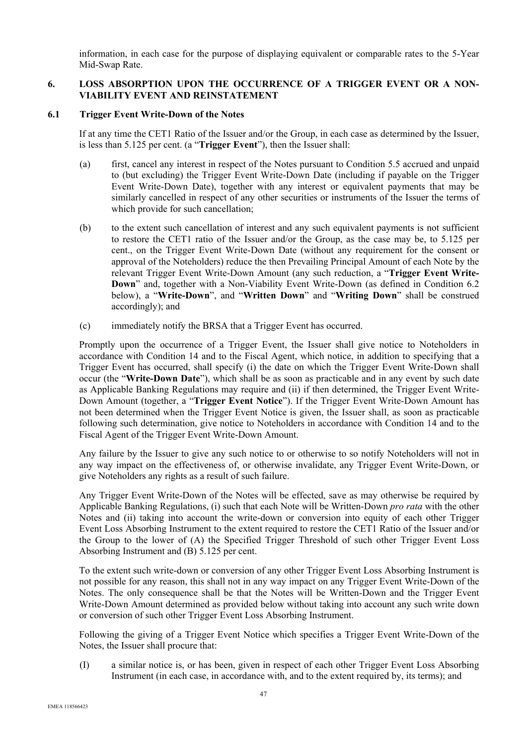information, in each case for the purpose of displaying equivalent or comparable rates to the 5-Year Mid-Swap Rate.

## **6. LOSS ABSORPTION UPON THE OCCURRENCE OF A TRIGGER EVENT OR A NON-VIABILITY EVENT AND REINSTATEMENT**

### **6.1 Trigger Event Write-Down of the Notes**

If at any time the CET1 Ratio of the Issuer and/or the Group, in each case as determined by the Issuer, is less than 5.125 per cent. (a "**Trigger Event**"), then the Issuer shall:

- (a) first, cancel any interest in respect of the Notes pursuant to Condition 5.5 accrued and unpaid to (but excluding) the Trigger Event Write-Down Date (including if payable on the Trigger Event Write-Down Date), together with any interest or equivalent payments that may be similarly cancelled in respect of any other securities or instruments of the Issuer the terms of which provide for such cancellation;
- (b) to the extent such cancellation of interest and any such equivalent payments is not sufficient to restore the CET1 ratio of the Issuer and/or the Group, as the case may be, to 5.125 per cent., on the Trigger Event Write-Down Date (without any requirement for the consent or approval of the Noteholders) reduce the then Prevailing Principal Amount of each Note by the relevant Trigger Event Write-Down Amount (any such reduction, a "**Trigger Event Write-Down**" and, together with a Non-Viability Event Write-Down (as defined in Condition 6.2 below), a "**Write-Down**", and "**Written Down**" and "**Writing Down**" shall be construed accordingly); and
- (c) immediately notify the BRSA that a Trigger Event has occurred.

Promptly upon the occurrence of a Trigger Event, the Issuer shall give notice to Noteholders in accordance with Condition 14 and to the Fiscal Agent, which notice, in addition to specifying that a Trigger Event has occurred, shall specify (i) the date on which the Trigger Event Write-Down shall occur (the "**Write-Down Date**"), which shall be as soon as practicable and in any event by such date as Applicable Banking Regulations may require and (ii) if then determined, the Trigger Event Write-Down Amount (together, a "**Trigger Event Notice**"). If the Trigger Event Write-Down Amount has not been determined when the Trigger Event Notice is given, the Issuer shall, as soon as practicable following such determination, give notice to Noteholders in accordance with Condition 14 and to the Fiscal Agent of the Trigger Event Write-Down Amount.

Any failure by the Issuer to give any such notice to or otherwise to so notify Noteholders will not in any way impact on the effectiveness of, or otherwise invalidate, any Trigger Event Write-Down, or give Noteholders any rights as a result of such failure.

Any Trigger Event Write-Down of the Notes will be effected, save as may otherwise be required by Applicable Banking Regulations, (i) such that each Note will be Written-Down *pro rata* with the other Notes and (ii) taking into account the write-down or conversion into equity of each other Trigger Event Loss Absorbing Instrument to the extent required to restore the CET1 Ratio of the Issuer and/or the Group to the lower of (A) the Specified Trigger Threshold of such other Trigger Event Loss Absorbing Instrument and (B) 5.125 per cent.

To the extent such write-down or conversion of any other Trigger Event Loss Absorbing Instrument is not possible for any reason, this shall not in any way impact on any Trigger Event Write-Down of the Notes. The only consequence shall be that the Notes will be Written-Down and the Trigger Event Write-Down Amount determined as provided below without taking into account any such write down or conversion of such other Trigger Event Loss Absorbing Instrument.

Following the giving of a Trigger Event Notice which specifies a Trigger Event Write-Down of the Notes, the Issuer shall procure that:

(I) a similar notice is, or has been, given in respect of each other Trigger Event Loss Absorbing Instrument (in each case, in accordance with, and to the extent required by, its terms); and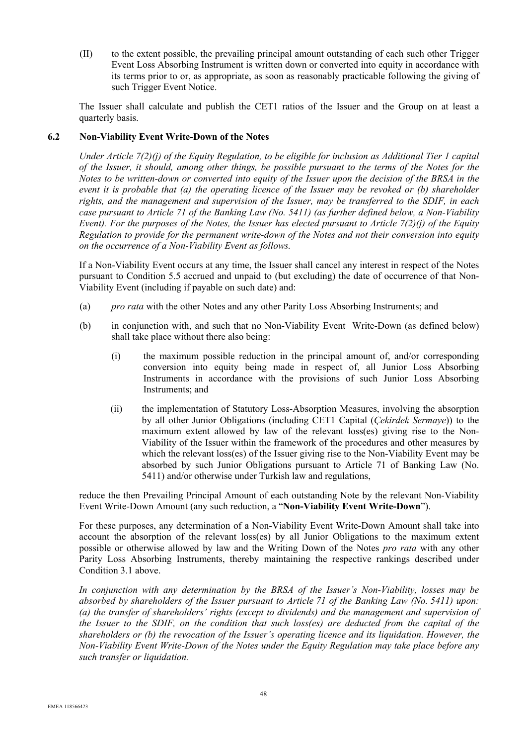(II) to the extent possible, the prevailing principal amount outstanding of each such other Trigger Event Loss Absorbing Instrument is written down or converted into equity in accordance with its terms prior to or, as appropriate, as soon as reasonably practicable following the giving of such Trigger Event Notice.

The Issuer shall calculate and publish the CET1 ratios of the Issuer and the Group on at least a quarterly basis.

## **6.2 Non-Viability Event Write-Down of the Notes**

*Under Article 7(2)(j) of the Equity Regulation, to be eligible for inclusion as Additional Tier 1 capital of the Issuer, it should, among other things, be possible pursuant to the terms of the Notes for the Notes to be written-down or converted into equity of the Issuer upon the decision of the BRSA in the event it is probable that (a) the operating licence of the Issuer may be revoked or (b) shareholder rights, and the management and supervision of the Issuer, may be transferred to the SDIF, in each case pursuant to Article 71 of the Banking Law (No. 5411) (as further defined below, a Non-Viability Event). For the purposes of the Notes, the Issuer has elected pursuant to Article 7(2)(j) of the Equity Regulation to provide for the permanent write-down of the Notes and not their conversion into equity on the occurrence of a Non-Viability Event as follows.* 

If a Non-Viability Event occurs at any time, the Issuer shall cancel any interest in respect of the Notes pursuant to Condition 5.5 accrued and unpaid to (but excluding) the date of occurrence of that Non-Viability Event (including if payable on such date) and:

- (a) *pro rata* with the other Notes and any other Parity Loss Absorbing Instruments; and
- (b) in conjunction with, and such that no Non-Viability Event Write-Down (as defined below) shall take place without there also being:
	- (i) the maximum possible reduction in the principal amount of, and/or corresponding conversion into equity being made in respect of, all Junior Loss Absorbing Instruments in accordance with the provisions of such Junior Loss Absorbing Instruments; and
	- (ii) the implementation of Statutory Loss-Absorption Measures, involving the absorption by all other Junior Obligations (including CET1 Capital (*Çekirdek Sermaye*)) to the maximum extent allowed by law of the relevant loss(es) giving rise to the Non-Viability of the Issuer within the framework of the procedures and other measures by which the relevant loss(es) of the Issuer giving rise to the Non-Viability Event may be absorbed by such Junior Obligations pursuant to Article 71 of Banking Law (No. 5411) and/or otherwise under Turkish law and regulations,

reduce the then Prevailing Principal Amount of each outstanding Note by the relevant Non-Viability Event Write-Down Amount (any such reduction, a "**Non-Viability Event Write-Down**").

For these purposes, any determination of a Non-Viability Event Write-Down Amount shall take into account the absorption of the relevant loss(es) by all Junior Obligations to the maximum extent possible or otherwise allowed by law and the Writing Down of the Notes *pro rata* with any other Parity Loss Absorbing Instruments, thereby maintaining the respective rankings described under Condition 3.1 above.

*In conjunction with any determination by the BRSA of the Issuer's Non-Viability, losses may be absorbed by shareholders of the Issuer pursuant to Article 71 of the Banking Law (No. 5411) upon: (a) the transfer of shareholders' rights (except to dividends) and the management and supervision of the Issuer to the SDIF, on the condition that such loss(es) are deducted from the capital of the shareholders or (b) the revocation of the Issuer's operating licence and its liquidation. However, the Non-Viability Event Write-Down of the Notes under the Equity Regulation may take place before any such transfer or liquidation.*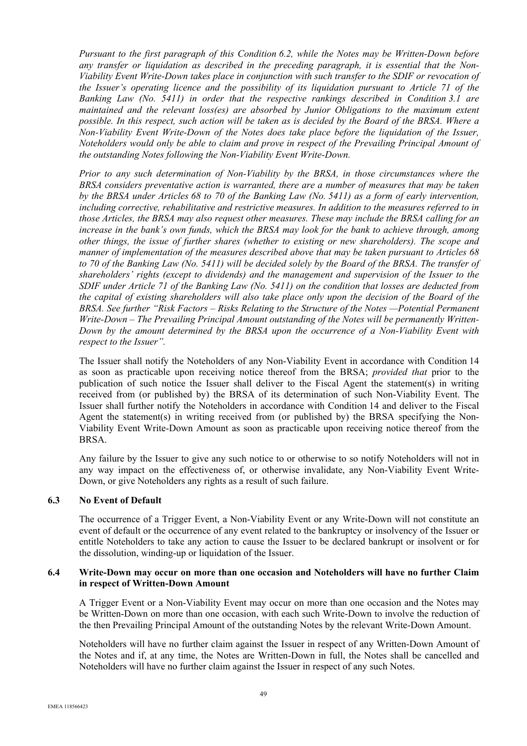*Pursuant to the first paragraph of this Condition 6.2, while the Notes may be Written-Down before any transfer or liquidation as described in the preceding paragraph, it is essential that the Non-Viability Event Write-Down takes place in conjunction with such transfer to the SDIF or revocation of the Issuer's operating licence and the possibility of its liquidation pursuant to Article 71 of the Banking Law (No. 5411) in order that the respective rankings described in Condition 3.1 are maintained and the relevant loss(es) are absorbed by Junior Obligations to the maximum extent possible. In this respect, such action will be taken as is decided by the Board of the BRSA. Where a Non-Viability Event Write-Down of the Notes does take place before the liquidation of the Issuer, Noteholders would only be able to claim and prove in respect of the Prevailing Principal Amount of the outstanding Notes following the Non-Viability Event Write-Down.* 

*Prior to any such determination of Non-Viability by the BRSA, in those circumstances where the BRSA considers preventative action is warranted, there are a number of measures that may be taken by the BRSA under Articles 68 to 70 of the Banking Law (No. 5411) as a form of early intervention, including corrective, rehabilitative and restrictive measures. In addition to the measures referred to in those Articles, the BRSA may also request other measures. These may include the BRSA calling for an increase in the bank's own funds, which the BRSA may look for the bank to achieve through, among other things, the issue of further shares (whether to existing or new shareholders). The scope and manner of implementation of the measures described above that may be taken pursuant to Articles 68 to 70 of the Banking Law (No. 5411) will be decided solely by the Board of the BRSA. The transfer of shareholders' rights (except to dividends) and the management and supervision of the Issuer to the SDIF under Article 71 of the Banking Law (No. 5411) on the condition that losses are deducted from the capital of existing shareholders will also take place only upon the decision of the Board of the BRSA. See further "Risk Factors – Risks Relating to the Structure of the Notes —Potential Permanent Write-Down – The Prevailing Principal Amount outstanding of the Notes will be permanently Written-Down by the amount determined by the BRSA upon the occurrence of a Non-Viability Event with respect to the Issuer".* 

The Issuer shall notify the Noteholders of any Non-Viability Event in accordance with Condition 14 as soon as practicable upon receiving notice thereof from the BRSA; *provided that* prior to the publication of such notice the Issuer shall deliver to the Fiscal Agent the statement(s) in writing received from (or published by) the BRSA of its determination of such Non-Viability Event. The Issuer shall further notify the Noteholders in accordance with Condition 14 and deliver to the Fiscal Agent the statement(s) in writing received from (or published by) the BRSA specifying the Non-Viability Event Write-Down Amount as soon as practicable upon receiving notice thereof from the BRSA.

Any failure by the Issuer to give any such notice to or otherwise to so notify Noteholders will not in any way impact on the effectiveness of, or otherwise invalidate, any Non-Viability Event Write-Down, or give Noteholders any rights as a result of such failure.

### **6.3 No Event of Default**

The occurrence of a Trigger Event, a Non-Viability Event or any Write-Down will not constitute an event of default or the occurrence of any event related to the bankruptcy or insolvency of the Issuer or entitle Noteholders to take any action to cause the Issuer to be declared bankrupt or insolvent or for the dissolution, winding-up or liquidation of the Issuer.

### **6.4 Write-Down may occur on more than one occasion and Noteholders will have no further Claim in respect of Written-Down Amount**

A Trigger Event or a Non-Viability Event may occur on more than one occasion and the Notes may be Written-Down on more than one occasion, with each such Write-Down to involve the reduction of the then Prevailing Principal Amount of the outstanding Notes by the relevant Write-Down Amount.

Noteholders will have no further claim against the Issuer in respect of any Written-Down Amount of the Notes and if, at any time, the Notes are Written-Down in full, the Notes shall be cancelled and Noteholders will have no further claim against the Issuer in respect of any such Notes.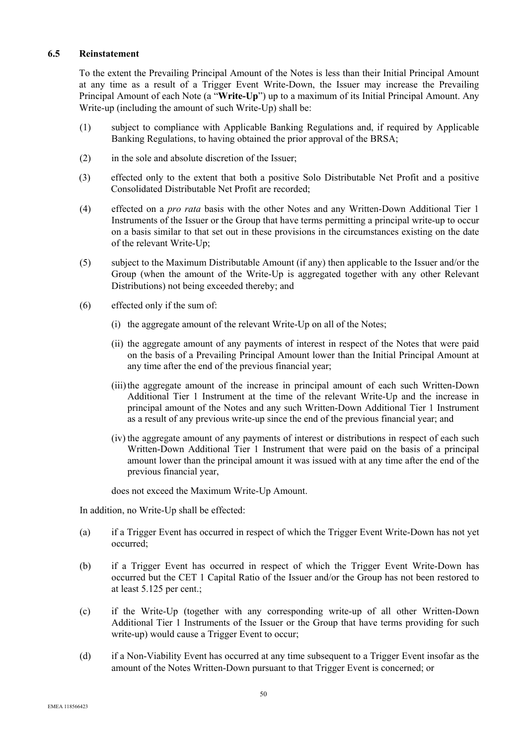# **6.5 Reinstatement**

To the extent the Prevailing Principal Amount of the Notes is less than their Initial Principal Amount at any time as a result of a Trigger Event Write-Down, the Issuer may increase the Prevailing Principal Amount of each Note (a "**Write-Up**") up to a maximum of its Initial Principal Amount. Any Write-up (including the amount of such Write-Up) shall be:

- (1) subject to compliance with Applicable Banking Regulations and, if required by Applicable Banking Regulations, to having obtained the prior approval of the BRSA;
- (2) in the sole and absolute discretion of the Issuer;
- (3) effected only to the extent that both a positive Solo Distributable Net Profit and a positive Consolidated Distributable Net Profit are recorded;
- (4) effected on a *pro rata* basis with the other Notes and any Written-Down Additional Tier 1 Instruments of the Issuer or the Group that have terms permitting a principal write-up to occur on a basis similar to that set out in these provisions in the circumstances existing on the date of the relevant Write-Up;
- (5) subject to the Maximum Distributable Amount (if any) then applicable to the Issuer and/or the Group (when the amount of the Write-Up is aggregated together with any other Relevant Distributions) not being exceeded thereby; and
- (6) effected only if the sum of:
	- (i) the aggregate amount of the relevant Write-Up on all of the Notes;
	- (ii) the aggregate amount of any payments of interest in respect of the Notes that were paid on the basis of a Prevailing Principal Amount lower than the Initial Principal Amount at any time after the end of the previous financial year;
	- (iii)the aggregate amount of the increase in principal amount of each such Written-Down Additional Tier 1 Instrument at the time of the relevant Write-Up and the increase in principal amount of the Notes and any such Written-Down Additional Tier 1 Instrument as a result of any previous write-up since the end of the previous financial year; and
	- (iv) the aggregate amount of any payments of interest or distributions in respect of each such Written-Down Additional Tier 1 Instrument that were paid on the basis of a principal amount lower than the principal amount it was issued with at any time after the end of the previous financial year,

does not exceed the Maximum Write-Up Amount.

In addition, no Write-Up shall be effected:

- (a) if a Trigger Event has occurred in respect of which the Trigger Event Write-Down has not yet occurred;
- (b) if a Trigger Event has occurred in respect of which the Trigger Event Write-Down has occurred but the CET 1 Capital Ratio of the Issuer and/or the Group has not been restored to at least 5.125 per cent.;
- (c) if the Write-Up (together with any corresponding write-up of all other Written-Down Additional Tier 1 Instruments of the Issuer or the Group that have terms providing for such write-up) would cause a Trigger Event to occur;
- (d) if a Non-Viability Event has occurred at any time subsequent to a Trigger Event insofar as the amount of the Notes Written-Down pursuant to that Trigger Event is concerned; or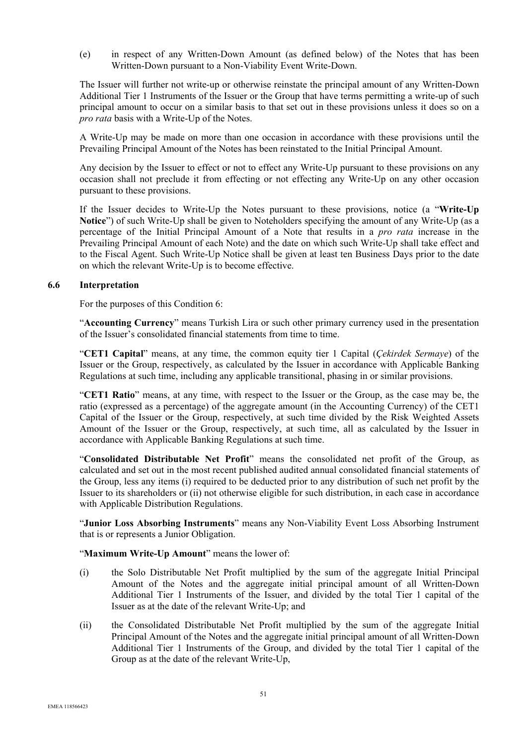(e) in respect of any Written-Down Amount (as defined below) of the Notes that has been Written-Down pursuant to a Non-Viability Event Write-Down.

The Issuer will further not write-up or otherwise reinstate the principal amount of any Written-Down Additional Tier 1 Instruments of the Issuer or the Group that have terms permitting a write-up of such principal amount to occur on a similar basis to that set out in these provisions unless it does so on a *pro rata* basis with a Write-Up of the Notes.

A Write-Up may be made on more than one occasion in accordance with these provisions until the Prevailing Principal Amount of the Notes has been reinstated to the Initial Principal Amount.

Any decision by the Issuer to effect or not to effect any Write-Up pursuant to these provisions on any occasion shall not preclude it from effecting or not effecting any Write-Up on any other occasion pursuant to these provisions.

If the Issuer decides to Write-Up the Notes pursuant to these provisions, notice (a "**Write-Up Notice**") of such Write-Up shall be given to Noteholders specifying the amount of any Write-Up (as a percentage of the Initial Principal Amount of a Note that results in a *pro rata* increase in the Prevailing Principal Amount of each Note) and the date on which such Write-Up shall take effect and to the Fiscal Agent. Such Write-Up Notice shall be given at least ten Business Days prior to the date on which the relevant Write-Up is to become effective.

#### **6.6 Interpretation**

For the purposes of this Condition 6:

"**Accounting Currency**" means Turkish Lira or such other primary currency used in the presentation of the Issuer's consolidated financial statements from time to time.

"**CET1 Capital**" means, at any time, the common equity tier 1 Capital (*Çekirdek Sermaye*) of the Issuer or the Group, respectively, as calculated by the Issuer in accordance with Applicable Banking Regulations at such time, including any applicable transitional, phasing in or similar provisions.

"**CET1 Ratio**" means, at any time, with respect to the Issuer or the Group, as the case may be, the ratio (expressed as a percentage) of the aggregate amount (in the Accounting Currency) of the CET1 Capital of the Issuer or the Group, respectively, at such time divided by the Risk Weighted Assets Amount of the Issuer or the Group, respectively, at such time, all as calculated by the Issuer in accordance with Applicable Banking Regulations at such time.

"**Consolidated Distributable Net Profit**" means the consolidated net profit of the Group, as calculated and set out in the most recent published audited annual consolidated financial statements of the Group, less any items (i) required to be deducted prior to any distribution of such net profit by the Issuer to its shareholders or (ii) not otherwise eligible for such distribution, in each case in accordance with Applicable Distribution Regulations.

"**Junior Loss Absorbing Instruments**" means any Non-Viability Event Loss Absorbing Instrument that is or represents a Junior Obligation.

### "**Maximum Write-Up Amount**" means the lower of:

- (i) the Solo Distributable Net Profit multiplied by the sum of the aggregate Initial Principal Amount of the Notes and the aggregate initial principal amount of all Written-Down Additional Tier 1 Instruments of the Issuer, and divided by the total Tier 1 capital of the Issuer as at the date of the relevant Write-Up; and
- (ii) the Consolidated Distributable Net Profit multiplied by the sum of the aggregate Initial Principal Amount of the Notes and the aggregate initial principal amount of all Written-Down Additional Tier 1 Instruments of the Group, and divided by the total Tier 1 capital of the Group as at the date of the relevant Write-Up,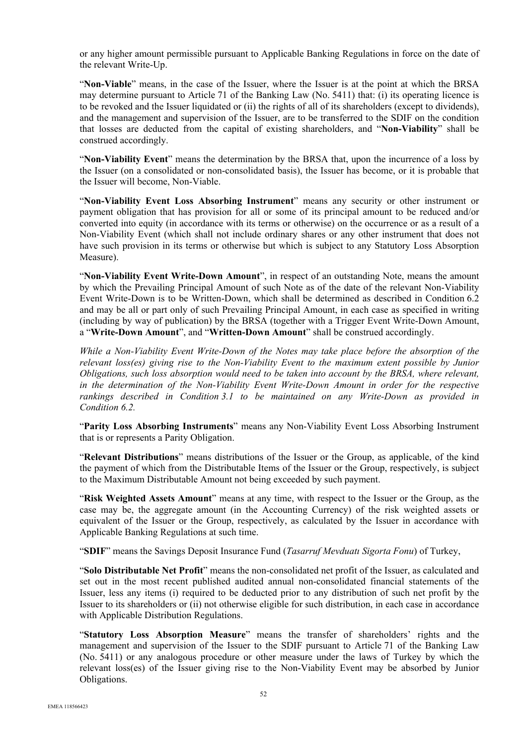or any higher amount permissible pursuant to Applicable Banking Regulations in force on the date of the relevant Write-Up.

"**Non-Viable**" means, in the case of the Issuer, where the Issuer is at the point at which the BRSA may determine pursuant to Article 71 of the Banking Law (No. 5411) that: (i) its operating licence is to be revoked and the Issuer liquidated or (ii) the rights of all of its shareholders (except to dividends), and the management and supervision of the Issuer, are to be transferred to the SDIF on the condition that losses are deducted from the capital of existing shareholders, and "**Non-Viability**" shall be construed accordingly.

"**Non-Viability Event**" means the determination by the BRSA that, upon the incurrence of a loss by the Issuer (on a consolidated or non-consolidated basis), the Issuer has become, or it is probable that the Issuer will become, Non-Viable.

"**Non-Viability Event Loss Absorbing Instrument**" means any security or other instrument or payment obligation that has provision for all or some of its principal amount to be reduced and/or converted into equity (in accordance with its terms or otherwise) on the occurrence or as a result of a Non-Viability Event (which shall not include ordinary shares or any other instrument that does not have such provision in its terms or otherwise but which is subject to any Statutory Loss Absorption Measure).

"**Non-Viability Event Write-Down Amount**", in respect of an outstanding Note, means the amount by which the Prevailing Principal Amount of such Note as of the date of the relevant Non-Viability Event Write-Down is to be Written-Down, which shall be determined as described in Condition 6.2 and may be all or part only of such Prevailing Principal Amount, in each case as specified in writing (including by way of publication) by the BRSA (together with a Trigger Event Write-Down Amount, a "**Write-Down Amount**", and "**Written-Down Amount**" shall be construed accordingly.

*While a Non-Viability Event Write-Down of the Notes may take place before the absorption of the relevant loss(es) giving rise to the Non-Viability Event to the maximum extent possible by Junior Obligations, such loss absorption would need to be taken into account by the BRSA, where relevant, in the determination of the Non-Viability Event Write-Down Amount in order for the respective rankings described in Condition 3.1 to be maintained on any Write-Down as provided in Condition 6.2.*

"**Parity Loss Absorbing Instruments**" means any Non-Viability Event Loss Absorbing Instrument that is or represents a Parity Obligation.

"**Relevant Distributions**" means distributions of the Issuer or the Group, as applicable, of the kind the payment of which from the Distributable Items of the Issuer or the Group, respectively, is subject to the Maximum Distributable Amount not being exceeded by such payment.

"**Risk Weighted Assets Amount**" means at any time, with respect to the Issuer or the Group, as the case may be, the aggregate amount (in the Accounting Currency) of the risk weighted assets or equivalent of the Issuer or the Group, respectively, as calculated by the Issuer in accordance with Applicable Banking Regulations at such time.

"**SDIF**" means the Savings Deposit Insurance Fund (*Tasarruf Mevduatı Sigorta Fonu*) of Turkey,

"**Solo Distributable Net Profit**" means the non-consolidated net profit of the Issuer, as calculated and set out in the most recent published audited annual non-consolidated financial statements of the Issuer, less any items (i) required to be deducted prior to any distribution of such net profit by the Issuer to its shareholders or (ii) not otherwise eligible for such distribution, in each case in accordance with Applicable Distribution Regulations.

"**Statutory Loss Absorption Measure**" means the transfer of shareholders' rights and the management and supervision of the Issuer to the SDIF pursuant to Article 71 of the Banking Law (No. 5411) or any analogous procedure or other measure under the laws of Turkey by which the relevant loss(es) of the Issuer giving rise to the Non-Viability Event may be absorbed by Junior Obligations.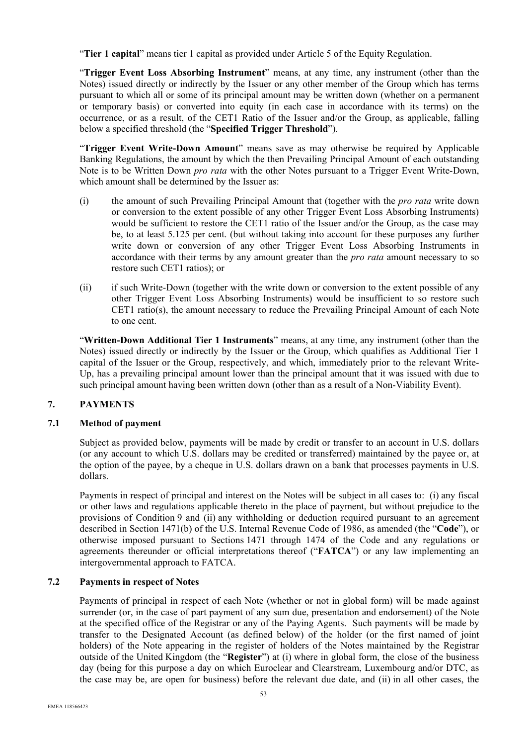"**Tier 1 capital**" means tier 1 capital as provided under Article 5 of the Equity Regulation.

"**Trigger Event Loss Absorbing Instrument**" means, at any time, any instrument (other than the Notes) issued directly or indirectly by the Issuer or any other member of the Group which has terms pursuant to which all or some of its principal amount may be written down (whether on a permanent or temporary basis) or converted into equity (in each case in accordance with its terms) on the occurrence, or as a result, of the CET1 Ratio of the Issuer and/or the Group, as applicable, falling below a specified threshold (the "**Specified Trigger Threshold**").

"**Trigger Event Write-Down Amount**" means save as may otherwise be required by Applicable Banking Regulations, the amount by which the then Prevailing Principal Amount of each outstanding Note is to be Written Down *pro rata* with the other Notes pursuant to a Trigger Event Write-Down, which amount shall be determined by the Issuer as:

- (i) the amount of such Prevailing Principal Amount that (together with the *pro rata* write down or conversion to the extent possible of any other Trigger Event Loss Absorbing Instruments) would be sufficient to restore the CET1 ratio of the Issuer and/or the Group, as the case may be, to at least 5.125 per cent. (but without taking into account for these purposes any further write down or conversion of any other Trigger Event Loss Absorbing Instruments in accordance with their terms by any amount greater than the *pro rata* amount necessary to so restore such CET1 ratios); or
- (ii) if such Write-Down (together with the write down or conversion to the extent possible of any other Trigger Event Loss Absorbing Instruments) would be insufficient to so restore such CET1 ratio(s), the amount necessary to reduce the Prevailing Principal Amount of each Note to one cent.

"**Written-Down Additional Tier 1 Instruments**" means, at any time, any instrument (other than the Notes) issued directly or indirectly by the Issuer or the Group, which qualifies as Additional Tier 1 capital of the Issuer or the Group, respectively, and which, immediately prior to the relevant Write-Up, has a prevailing principal amount lower than the principal amount that it was issued with due to such principal amount having been written down (other than as a result of a Non-Viability Event).

# **7. PAYMENTS**

### **7.1 Method of payment**

Subject as provided below, payments will be made by credit or transfer to an account in U.S. dollars (or any account to which U.S. dollars may be credited or transferred) maintained by the payee or, at the option of the payee, by a cheque in U.S. dollars drawn on a bank that processes payments in U.S. dollars.

Payments in respect of principal and interest on the Notes will be subject in all cases to: (i) any fiscal or other laws and regulations applicable thereto in the place of payment, but without prejudice to the provisions of Condition 9 and (ii) any withholding or deduction required pursuant to an agreement described in Section 1471(b) of the U.S. Internal Revenue Code of 1986, as amended (the "**Code**"), or otherwise imposed pursuant to Sections 1471 through 1474 of the Code and any regulations or agreements thereunder or official interpretations thereof ("**FATCA**") or any law implementing an intergovernmental approach to FATCA.

### **7.2 Payments in respect of Notes**

Payments of principal in respect of each Note (whether or not in global form) will be made against surrender (or, in the case of part payment of any sum due, presentation and endorsement) of the Note at the specified office of the Registrar or any of the Paying Agents. Such payments will be made by transfer to the Designated Account (as defined below) of the holder (or the first named of joint holders) of the Note appearing in the register of holders of the Notes maintained by the Registrar outside of the United Kingdom (the "**Register**") at (i) where in global form, the close of the business day (being for this purpose a day on which Euroclear and Clearstream, Luxembourg and/or DTC, as the case may be, are open for business) before the relevant due date, and (ii) in all other cases, the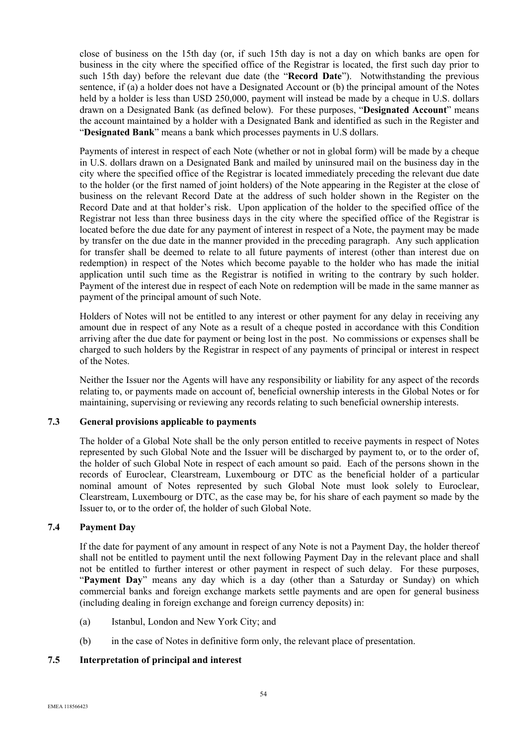close of business on the 15th day (or, if such 15th day is not a day on which banks are open for business in the city where the specified office of the Registrar is located, the first such day prior to such 15th day) before the relevant due date (the "**Record Date**"). Notwithstanding the previous sentence, if (a) a holder does not have a Designated Account or (b) the principal amount of the Notes held by a holder is less than USD 250,000, payment will instead be made by a cheque in U.S. dollars drawn on a Designated Bank (as defined below). For these purposes, "**Designated Account**" means the account maintained by a holder with a Designated Bank and identified as such in the Register and "**Designated Bank**" means a bank which processes payments in U.S dollars.

Payments of interest in respect of each Note (whether or not in global form) will be made by a cheque in U.S. dollars drawn on a Designated Bank and mailed by uninsured mail on the business day in the city where the specified office of the Registrar is located immediately preceding the relevant due date to the holder (or the first named of joint holders) of the Note appearing in the Register at the close of business on the relevant Record Date at the address of such holder shown in the Register on the Record Date and at that holder's risk. Upon application of the holder to the specified office of the Registrar not less than three business days in the city where the specified office of the Registrar is located before the due date for any payment of interest in respect of a Note, the payment may be made by transfer on the due date in the manner provided in the preceding paragraph. Any such application for transfer shall be deemed to relate to all future payments of interest (other than interest due on redemption) in respect of the Notes which become payable to the holder who has made the initial application until such time as the Registrar is notified in writing to the contrary by such holder. Payment of the interest due in respect of each Note on redemption will be made in the same manner as payment of the principal amount of such Note.

Holders of Notes will not be entitled to any interest or other payment for any delay in receiving any amount due in respect of any Note as a result of a cheque posted in accordance with this Condition arriving after the due date for payment or being lost in the post. No commissions or expenses shall be charged to such holders by the Registrar in respect of any payments of principal or interest in respect of the Notes.

Neither the Issuer nor the Agents will have any responsibility or liability for any aspect of the records relating to, or payments made on account of, beneficial ownership interests in the Global Notes or for maintaining, supervising or reviewing any records relating to such beneficial ownership interests.

# **7.3 General provisions applicable to payments**

The holder of a Global Note shall be the only person entitled to receive payments in respect of Notes represented by such Global Note and the Issuer will be discharged by payment to, or to the order of, the holder of such Global Note in respect of each amount so paid. Each of the persons shown in the records of Euroclear, Clearstream, Luxembourg or DTC as the beneficial holder of a particular nominal amount of Notes represented by such Global Note must look solely to Euroclear, Clearstream, Luxembourg or DTC, as the case may be, for his share of each payment so made by the Issuer to, or to the order of, the holder of such Global Note.

## **7.4 Payment Day**

If the date for payment of any amount in respect of any Note is not a Payment Day, the holder thereof shall not be entitled to payment until the next following Payment Day in the relevant place and shall not be entitled to further interest or other payment in respect of such delay. For these purposes, "**Payment Day**" means any day which is a day (other than a Saturday or Sunday) on which commercial banks and foreign exchange markets settle payments and are open for general business (including dealing in foreign exchange and foreign currency deposits) in:

- (a) Istanbul, London and New York City; and
- (b) in the case of Notes in definitive form only, the relevant place of presentation.

### **7.5 Interpretation of principal and interest**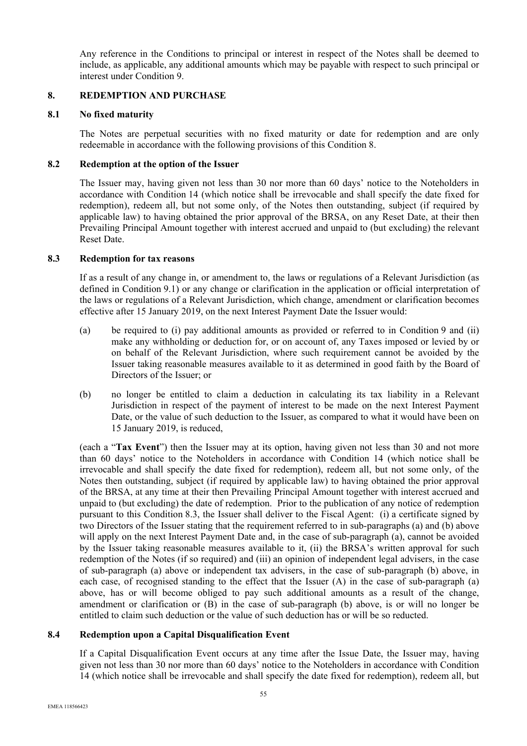Any reference in the Conditions to principal or interest in respect of the Notes shall be deemed to include, as applicable, any additional amounts which may be payable with respect to such principal or interest under Condition 9.

### **8. REDEMPTION AND PURCHASE**

### **8.1 No fixed maturity**

The Notes are perpetual securities with no fixed maturity or date for redemption and are only redeemable in accordance with the following provisions of this Condition 8.

## **8.2 Redemption at the option of the Issuer**

The Issuer may, having given not less than 30 nor more than 60 days' notice to the Noteholders in accordance with Condition 14 (which notice shall be irrevocable and shall specify the date fixed for redemption), redeem all, but not some only, of the Notes then outstanding, subject (if required by applicable law) to having obtained the prior approval of the BRSA, on any Reset Date, at their then Prevailing Principal Amount together with interest accrued and unpaid to (but excluding) the relevant Reset Date.

### **8.3 Redemption for tax reasons**

If as a result of any change in, or amendment to, the laws or regulations of a Relevant Jurisdiction (as defined in Condition 9.1) or any change or clarification in the application or official interpretation of the laws or regulations of a Relevant Jurisdiction, which change, amendment or clarification becomes effective after 15 January 2019, on the next Interest Payment Date the Issuer would:

- (a) be required to (i) pay additional amounts as provided or referred to in Condition 9 and (ii) make any withholding or deduction for, or on account of, any Taxes imposed or levied by or on behalf of the Relevant Jurisdiction, where such requirement cannot be avoided by the Issuer taking reasonable measures available to it as determined in good faith by the Board of Directors of the Issuer; or
- (b) no longer be entitled to claim a deduction in calculating its tax liability in a Relevant Jurisdiction in respect of the payment of interest to be made on the next Interest Payment Date, or the value of such deduction to the Issuer, as compared to what it would have been on 15 January 2019, is reduced,

(each a "**Tax Event**") then the Issuer may at its option, having given not less than 30 and not more than 60 days' notice to the Noteholders in accordance with Condition 14 (which notice shall be irrevocable and shall specify the date fixed for redemption), redeem all, but not some only, of the Notes then outstanding, subject (if required by applicable law) to having obtained the prior approval of the BRSA, at any time at their then Prevailing Principal Amount together with interest accrued and unpaid to (but excluding) the date of redemption. Prior to the publication of any notice of redemption pursuant to this Condition 8.3, the Issuer shall deliver to the Fiscal Agent: (i) a certificate signed by two Directors of the Issuer stating that the requirement referred to in sub-paragraphs (a) and (b) above will apply on the next Interest Payment Date and, in the case of sub-paragraph (a), cannot be avoided by the Issuer taking reasonable measures available to it, (ii) the BRSA's written approval for such redemption of the Notes (if so required) and (iii) an opinion of independent legal advisers, in the case of sub-paragraph (a) above or independent tax advisers, in the case of sub-paragraph (b) above, in each case, of recognised standing to the effect that the Issuer (A) in the case of sub-paragraph (a) above, has or will become obliged to pay such additional amounts as a result of the change, amendment or clarification or (B) in the case of sub-paragraph (b) above, is or will no longer be entitled to claim such deduction or the value of such deduction has or will be so reducted.

# **8.4 Redemption upon a Capital Disqualification Event**

If a Capital Disqualification Event occurs at any time after the Issue Date, the Issuer may, having given not less than 30 nor more than 60 days' notice to the Noteholders in accordance with Condition 14 (which notice shall be irrevocable and shall specify the date fixed for redemption), redeem all, but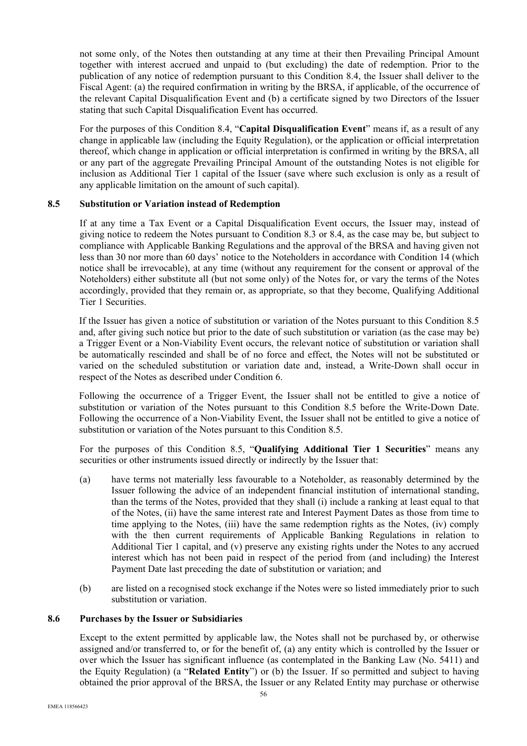not some only, of the Notes then outstanding at any time at their then Prevailing Principal Amount together with interest accrued and unpaid to (but excluding) the date of redemption. Prior to the publication of any notice of redemption pursuant to this Condition 8.4, the Issuer shall deliver to the Fiscal Agent: (a) the required confirmation in writing by the BRSA, if applicable, of the occurrence of the relevant Capital Disqualification Event and (b) a certificate signed by two Directors of the Issuer stating that such Capital Disqualification Event has occurred.

For the purposes of this Condition 8.4, "**Capital Disqualification Event**" means if, as a result of any change in applicable law (including the Equity Regulation), or the application or official interpretation thereof, which change in application or official interpretation is confirmed in writing by the BRSA, all or any part of the aggregate Prevailing Principal Amount of the outstanding Notes is not eligible for inclusion as Additional Tier 1 capital of the Issuer (save where such exclusion is only as a result of any applicable limitation on the amount of such capital).

### **8.5 Substitution or Variation instead of Redemption**

If at any time a Tax Event or a Capital Disqualification Event occurs, the Issuer may, instead of giving notice to redeem the Notes pursuant to Condition 8.3 or 8.4, as the case may be, but subject to compliance with Applicable Banking Regulations and the approval of the BRSA and having given not less than 30 nor more than 60 days' notice to the Noteholders in accordance with Condition 14 (which notice shall be irrevocable), at any time (without any requirement for the consent or approval of the Noteholders) either substitute all (but not some only) of the Notes for, or vary the terms of the Notes accordingly, provided that they remain or, as appropriate, so that they become, Qualifying Additional Tier 1 Securities.

If the Issuer has given a notice of substitution or variation of the Notes pursuant to this Condition 8.5 and, after giving such notice but prior to the date of such substitution or variation (as the case may be) a Trigger Event or a Non-Viability Event occurs, the relevant notice of substitution or variation shall be automatically rescinded and shall be of no force and effect, the Notes will not be substituted or varied on the scheduled substitution or variation date and, instead, a Write-Down shall occur in respect of the Notes as described under Condition 6.

Following the occurrence of a Trigger Event, the Issuer shall not be entitled to give a notice of substitution or variation of the Notes pursuant to this Condition 8.5 before the Write-Down Date. Following the occurrence of a Non-Viability Event, the Issuer shall not be entitled to give a notice of substitution or variation of the Notes pursuant to this Condition 8.5.

For the purposes of this Condition 8.5, "**Qualifying Additional Tier 1 Securities**" means any securities or other instruments issued directly or indirectly by the Issuer that:

- (a) have terms not materially less favourable to a Noteholder, as reasonably determined by the Issuer following the advice of an independent financial institution of international standing, than the terms of the Notes, provided that they shall (i) include a ranking at least equal to that of the Notes, (ii) have the same interest rate and Interest Payment Dates as those from time to time applying to the Notes, (iii) have the same redemption rights as the Notes, (iv) comply with the then current requirements of Applicable Banking Regulations in relation to Additional Tier 1 capital, and (v) preserve any existing rights under the Notes to any accrued interest which has not been paid in respect of the period from (and including) the Interest Payment Date last preceding the date of substitution or variation; and
- (b) are listed on a recognised stock exchange if the Notes were so listed immediately prior to such substitution or variation.

### **8.6 Purchases by the Issuer or Subsidiaries**

Except to the extent permitted by applicable law, the Notes shall not be purchased by, or otherwise assigned and/or transferred to, or for the benefit of, (a) any entity which is controlled by the Issuer or over which the Issuer has significant influence (as contemplated in the Banking Law (No. 5411) and the Equity Regulation) (a "**Related Entity**") or (b) the Issuer. If so permitted and subject to having obtained the prior approval of the BRSA, the Issuer or any Related Entity may purchase or otherwise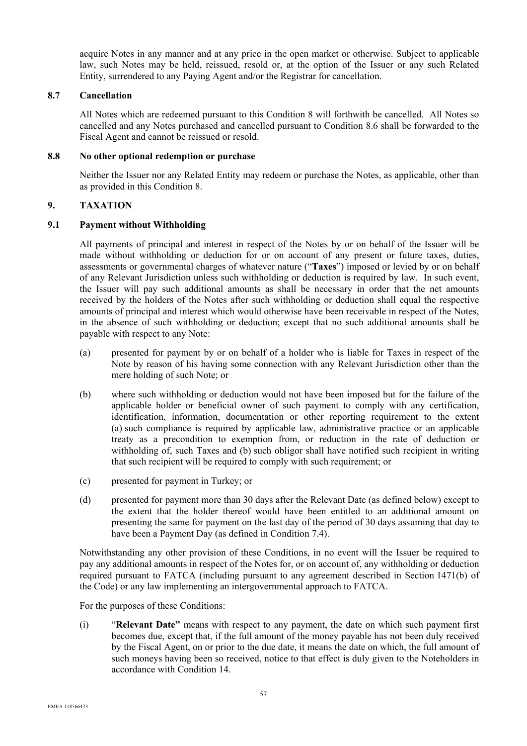acquire Notes in any manner and at any price in the open market or otherwise. Subject to applicable law, such Notes may be held, reissued, resold or, at the option of the Issuer or any such Related Entity, surrendered to any Paying Agent and/or the Registrar for cancellation.

### **8.7 Cancellation**

All Notes which are redeemed pursuant to this Condition 8 will forthwith be cancelled. All Notes so cancelled and any Notes purchased and cancelled pursuant to Condition 8.6 shall be forwarded to the Fiscal Agent and cannot be reissued or resold.

## **8.8 No other optional redemption or purchase**

Neither the Issuer nor any Related Entity may redeem or purchase the Notes, as applicable, other than as provided in this Condition 8.

# **9. TAXATION**

## **9.1 Payment without Withholding**

All payments of principal and interest in respect of the Notes by or on behalf of the Issuer will be made without withholding or deduction for or on account of any present or future taxes, duties, assessments or governmental charges of whatever nature ("**Taxes**") imposed or levied by or on behalf of any Relevant Jurisdiction unless such withholding or deduction is required by law. In such event, the Issuer will pay such additional amounts as shall be necessary in order that the net amounts received by the holders of the Notes after such withholding or deduction shall equal the respective amounts of principal and interest which would otherwise have been receivable in respect of the Notes, in the absence of such withholding or deduction; except that no such additional amounts shall be payable with respect to any Note:

- (a) presented for payment by or on behalf of a holder who is liable for Taxes in respect of the Note by reason of his having some connection with any Relevant Jurisdiction other than the mere holding of such Note; or
- (b) where such withholding or deduction would not have been imposed but for the failure of the applicable holder or beneficial owner of such payment to comply with any certification, identification, information, documentation or other reporting requirement to the extent (a) such compliance is required by applicable law, administrative practice or an applicable treaty as a precondition to exemption from, or reduction in the rate of deduction or withholding of, such Taxes and (b) such obligor shall have notified such recipient in writing that such recipient will be required to comply with such requirement; or
- (c) presented for payment in Turkey; or
- (d) presented for payment more than 30 days after the Relevant Date (as defined below) except to the extent that the holder thereof would have been entitled to an additional amount on presenting the same for payment on the last day of the period of 30 days assuming that day to have been a Payment Day (as defined in Condition 7.4).

Notwithstanding any other provision of these Conditions, in no event will the Issuer be required to pay any additional amounts in respect of the Notes for, or on account of, any withholding or deduction required pursuant to FATCA (including pursuant to any agreement described in Section 1471(b) of the Code) or any law implementing an intergovernmental approach to FATCA.

For the purposes of these Conditions:

(i) "**Relevant Date"** means with respect to any payment, the date on which such payment first becomes due, except that, if the full amount of the money payable has not been duly received by the Fiscal Agent, on or prior to the due date, it means the date on which, the full amount of such moneys having been so received, notice to that effect is duly given to the Noteholders in accordance with Condition 14.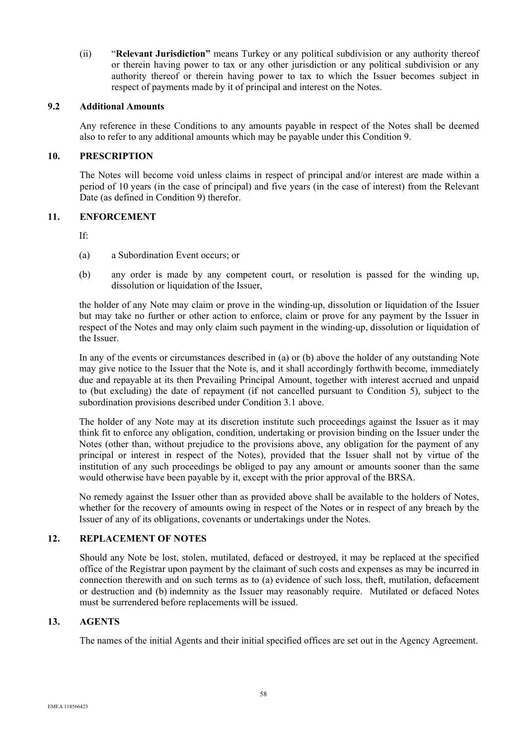(ii) "**Relevant Jurisdiction"** means Turkey or any political subdivision or any authority thereof or therein having power to tax or any other jurisdiction or any political subdivision or any authority thereof or therein having power to tax to which the Issuer becomes subject in respect of payments made by it of principal and interest on the Notes.

### **9.2 Additional Amounts**

Any reference in these Conditions to any amounts payable in respect of the Notes shall be deemed also to refer to any additional amounts which may be payable under this Condition 9.

#### **10. PRESCRIPTION**

The Notes will become void unless claims in respect of principal and/or interest are made within a period of 10 years (in the case of principal) and five years (in the case of interest) from the Relevant Date (as defined in Condition 9) therefor.

### **11. ENFORCEMENT**

If:

- (a) a Subordination Event occurs; or
- (b) any order is made by any competent court, or resolution is passed for the winding up, dissolution or liquidation of the Issuer,

the holder of any Note may claim or prove in the winding-up, dissolution or liquidation of the Issuer but may take no further or other action to enforce, claim or prove for any payment by the Issuer in respect of the Notes and may only claim such payment in the winding-up, dissolution or liquidation of the Issuer.

In any of the events or circumstances described in (a) or (b) above the holder of any outstanding Note may give notice to the Issuer that the Note is, and it shall accordingly forthwith become, immediately due and repayable at its then Prevailing Principal Amount, together with interest accrued and unpaid to (but excluding) the date of repayment (if not cancelled pursuant to Condition 5), subject to the subordination provisions described under Condition 3.1 above.

The holder of any Note may at its discretion institute such proceedings against the Issuer as it may think fit to enforce any obligation, condition, undertaking or provision binding on the Issuer under the Notes (other than, without prejudice to the provisions above, any obligation for the payment of any principal or interest in respect of the Notes), provided that the Issuer shall not by virtue of the institution of any such proceedings be obliged to pay any amount or amounts sooner than the same would otherwise have been payable by it, except with the prior approval of the BRSA.

No remedy against the Issuer other than as provided above shall be available to the holders of Notes, whether for the recovery of amounts owing in respect of the Notes or in respect of any breach by the Issuer of any of its obligations, covenants or undertakings under the Notes.

# **12. REPLACEMENT OF NOTES**

Should any Note be lost, stolen, mutilated, defaced or destroyed, it may be replaced at the specified office of the Registrar upon payment by the claimant of such costs and expenses as may be incurred in connection therewith and on such terms as to (a) evidence of such loss, theft, mutilation, defacement or destruction and (b) indemnity as the Issuer may reasonably require. Mutilated or defaced Notes must be surrendered before replacements will be issued.

#### **13. AGENTS**

The names of the initial Agents and their initial specified offices are set out in the Agency Agreement.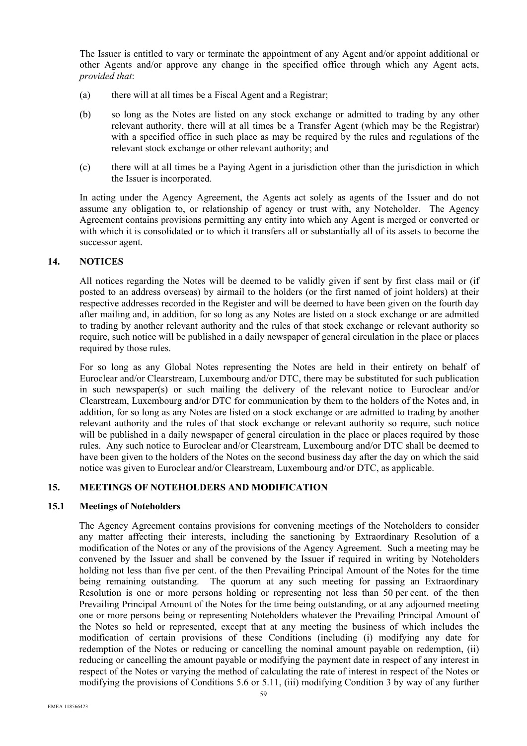The Issuer is entitled to vary or terminate the appointment of any Agent and/or appoint additional or other Agents and/or approve any change in the specified office through which any Agent acts, *provided that*:

- (a) there will at all times be a Fiscal Agent and a Registrar;
- (b) so long as the Notes are listed on any stock exchange or admitted to trading by any other relevant authority, there will at all times be a Transfer Agent (which may be the Registrar) with a specified office in such place as may be required by the rules and regulations of the relevant stock exchange or other relevant authority; and
- (c) there will at all times be a Paying Agent in a jurisdiction other than the jurisdiction in which the Issuer is incorporated.

In acting under the Agency Agreement, the Agents act solely as agents of the Issuer and do not assume any obligation to, or relationship of agency or trust with, any Noteholder. The Agency Agreement contains provisions permitting any entity into which any Agent is merged or converted or with which it is consolidated or to which it transfers all or substantially all of its assets to become the successor agent.

### **14. NOTICES**

All notices regarding the Notes will be deemed to be validly given if sent by first class mail or (if posted to an address overseas) by airmail to the holders (or the first named of joint holders) at their respective addresses recorded in the Register and will be deemed to have been given on the fourth day after mailing and, in addition, for so long as any Notes are listed on a stock exchange or are admitted to trading by another relevant authority and the rules of that stock exchange or relevant authority so require, such notice will be published in a daily newspaper of general circulation in the place or places required by those rules.

For so long as any Global Notes representing the Notes are held in their entirety on behalf of Euroclear and/or Clearstream, Luxembourg and/or DTC, there may be substituted for such publication in such newspaper(s) or such mailing the delivery of the relevant notice to Euroclear and/or Clearstream, Luxembourg and/or DTC for communication by them to the holders of the Notes and, in addition, for so long as any Notes are listed on a stock exchange or are admitted to trading by another relevant authority and the rules of that stock exchange or relevant authority so require, such notice will be published in a daily newspaper of general circulation in the place or places required by those rules. Any such notice to Euroclear and/or Clearstream, Luxembourg and/or DTC shall be deemed to have been given to the holders of the Notes on the second business day after the day on which the said notice was given to Euroclear and/or Clearstream, Luxembourg and/or DTC, as applicable.

### **15. MEETINGS OF NOTEHOLDERS AND MODIFICATION**

#### **15.1 Meetings of Noteholders**

The Agency Agreement contains provisions for convening meetings of the Noteholders to consider any matter affecting their interests, including the sanctioning by Extraordinary Resolution of a modification of the Notes or any of the provisions of the Agency Agreement. Such a meeting may be convened by the Issuer and shall be convened by the Issuer if required in writing by Noteholders holding not less than five per cent. of the then Prevailing Principal Amount of the Notes for the time being remaining outstanding. The quorum at any such meeting for passing an Extraordinary Resolution is one or more persons holding or representing not less than 50 per cent. of the then Prevailing Principal Amount of the Notes for the time being outstanding, or at any adjourned meeting one or more persons being or representing Noteholders whatever the Prevailing Principal Amount of the Notes so held or represented, except that at any meeting the business of which includes the modification of certain provisions of these Conditions (including (i) modifying any date for redemption of the Notes or reducing or cancelling the nominal amount payable on redemption, (ii) reducing or cancelling the amount payable or modifying the payment date in respect of any interest in respect of the Notes or varying the method of calculating the rate of interest in respect of the Notes or modifying the provisions of Conditions 5.6 or 5.11, (iii) modifying Condition 3 by way of any further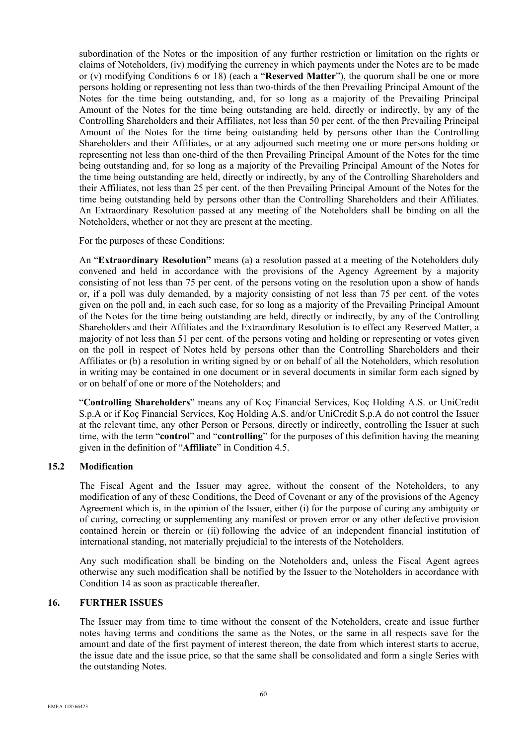subordination of the Notes or the imposition of any further restriction or limitation on the rights or claims of Noteholders, (iv) modifying the currency in which payments under the Notes are to be made or (v) modifying Conditions 6 or 18) (each a "**Reserved Matter**"), the quorum shall be one or more persons holding or representing not less than two-thirds of the then Prevailing Principal Amount of the Notes for the time being outstanding, and, for so long as a majority of the Prevailing Principal Amount of the Notes for the time being outstanding are held, directly or indirectly, by any of the Controlling Shareholders and their Affiliates, not less than 50 per cent. of the then Prevailing Principal Amount of the Notes for the time being outstanding held by persons other than the Controlling Shareholders and their Affiliates, or at any adjourned such meeting one or more persons holding or representing not less than one-third of the then Prevailing Principal Amount of the Notes for the time being outstanding and, for so long as a majority of the Prevailing Principal Amount of the Notes for the time being outstanding are held, directly or indirectly, by any of the Controlling Shareholders and their Affiliates, not less than 25 per cent. of the then Prevailing Principal Amount of the Notes for the time being outstanding held by persons other than the Controlling Shareholders and their Affiliates. An Extraordinary Resolution passed at any meeting of the Noteholders shall be binding on all the Noteholders, whether or not they are present at the meeting.

For the purposes of these Conditions:

An "**Extraordinary Resolution"** means (a) a resolution passed at a meeting of the Noteholders duly convened and held in accordance with the provisions of the Agency Agreement by a majority consisting of not less than 75 per cent. of the persons voting on the resolution upon a show of hands or, if a poll was duly demanded, by a majority consisting of not less than 75 per cent. of the votes given on the poll and, in each such case, for so long as a majority of the Prevailing Principal Amount of the Notes for the time being outstanding are held, directly or indirectly, by any of the Controlling Shareholders and their Affiliates and the Extraordinary Resolution is to effect any Reserved Matter, a majority of not less than 51 per cent. of the persons voting and holding or representing or votes given on the poll in respect of Notes held by persons other than the Controlling Shareholders and their Affiliates or (b) a resolution in writing signed by or on behalf of all the Noteholders, which resolution in writing may be contained in one document or in several documents in similar form each signed by or on behalf of one or more of the Noteholders; and

"**Controlling Shareholders**" means any of Koç Financial Services, Koç Holding A.S. or UniCredit S.p.A or if Koç Financial Services, Koç Holding A.S. and/or UniCredit S.p.A do not control the Issuer at the relevant time, any other Person or Persons, directly or indirectly, controlling the Issuer at such time, with the term "**control**" and "**controlling**" for the purposes of this definition having the meaning given in the definition of "**Affiliate**" in Condition 4.5.

### **15.2 Modification**

The Fiscal Agent and the Issuer may agree, without the consent of the Noteholders, to any modification of any of these Conditions, the Deed of Covenant or any of the provisions of the Agency Agreement which is, in the opinion of the Issuer, either (i) for the purpose of curing any ambiguity or of curing, correcting or supplementing any manifest or proven error or any other defective provision contained herein or therein or (ii) following the advice of an independent financial institution of international standing, not materially prejudicial to the interests of the Noteholders.

Any such modification shall be binding on the Noteholders and, unless the Fiscal Agent agrees otherwise any such modification shall be notified by the Issuer to the Noteholders in accordance with Condition 14 as soon as practicable thereafter.

## **16. FURTHER ISSUES**

The Issuer may from time to time without the consent of the Noteholders, create and issue further notes having terms and conditions the same as the Notes, or the same in all respects save for the amount and date of the first payment of interest thereon, the date from which interest starts to accrue, the issue date and the issue price, so that the same shall be consolidated and form a single Series with the outstanding Notes.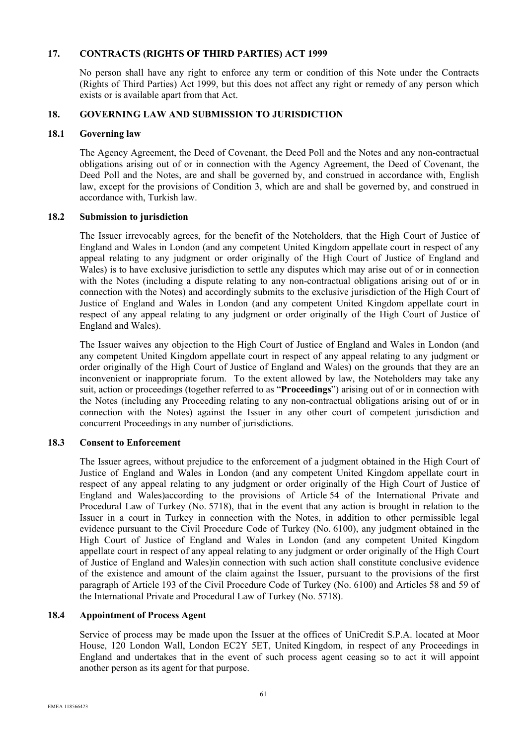# **17. CONTRACTS (RIGHTS OF THIRD PARTIES) ACT 1999**

No person shall have any right to enforce any term or condition of this Note under the Contracts (Rights of Third Parties) Act 1999, but this does not affect any right or remedy of any person which exists or is available apart from that Act.

## **18. GOVERNING LAW AND SUBMISSION TO JURISDICTION**

### **18.1 Governing law**

The Agency Agreement, the Deed of Covenant, the Deed Poll and the Notes and any non-contractual obligations arising out of or in connection with the Agency Agreement, the Deed of Covenant, the Deed Poll and the Notes, are and shall be governed by, and construed in accordance with, English law, except for the provisions of Condition 3, which are and shall be governed by, and construed in accordance with, Turkish law.

### **18.2 Submission to jurisdiction**

The Issuer irrevocably agrees, for the benefit of the Noteholders, that the High Court of Justice of England and Wales in London (and any competent United Kingdom appellate court in respect of any appeal relating to any judgment or order originally of the High Court of Justice of England and Wales) is to have exclusive jurisdiction to settle any disputes which may arise out of or in connection with the Notes (including a dispute relating to any non-contractual obligations arising out of or in connection with the Notes) and accordingly submits to the exclusive jurisdiction of the High Court of Justice of England and Wales in London (and any competent United Kingdom appellate court in respect of any appeal relating to any judgment or order originally of the High Court of Justice of England and Wales).

The Issuer waives any objection to the High Court of Justice of England and Wales in London (and any competent United Kingdom appellate court in respect of any appeal relating to any judgment or order originally of the High Court of Justice of England and Wales) on the grounds that they are an inconvenient or inappropriate forum. To the extent allowed by law, the Noteholders may take any suit, action or proceedings (together referred to as "**Proceedings**") arising out of or in connection with the Notes (including any Proceeding relating to any non-contractual obligations arising out of or in connection with the Notes) against the Issuer in any other court of competent jurisdiction and concurrent Proceedings in any number of jurisdictions.

### **18.3 Consent to Enforcement**

The Issuer agrees, without prejudice to the enforcement of a judgment obtained in the High Court of Justice of England and Wales in London (and any competent United Kingdom appellate court in respect of any appeal relating to any judgment or order originally of the High Court of Justice of England and Wales)according to the provisions of Article 54 of the International Private and Procedural Law of Turkey (No. 5718), that in the event that any action is brought in relation to the Issuer in a court in Turkey in connection with the Notes, in addition to other permissible legal evidence pursuant to the Civil Procedure Code of Turkey (No. 6100), any judgment obtained in the High Court of Justice of England and Wales in London (and any competent United Kingdom appellate court in respect of any appeal relating to any judgment or order originally of the High Court of Justice of England and Wales)in connection with such action shall constitute conclusive evidence of the existence and amount of the claim against the Issuer, pursuant to the provisions of the first paragraph of Article 193 of the Civil Procedure Code of Turkey (No. 6100) and Articles 58 and 59 of the International Private and Procedural Law of Turkey (No. 5718).

## **18.4 Appointment of Process Agent**

Service of process may be made upon the Issuer at the offices of UniCredit S.P.A. located at Moor House, 120 London Wall, London EC2Y 5ET, United Kingdom, in respect of any Proceedings in England and undertakes that in the event of such process agent ceasing so to act it will appoint another person as its agent for that purpose.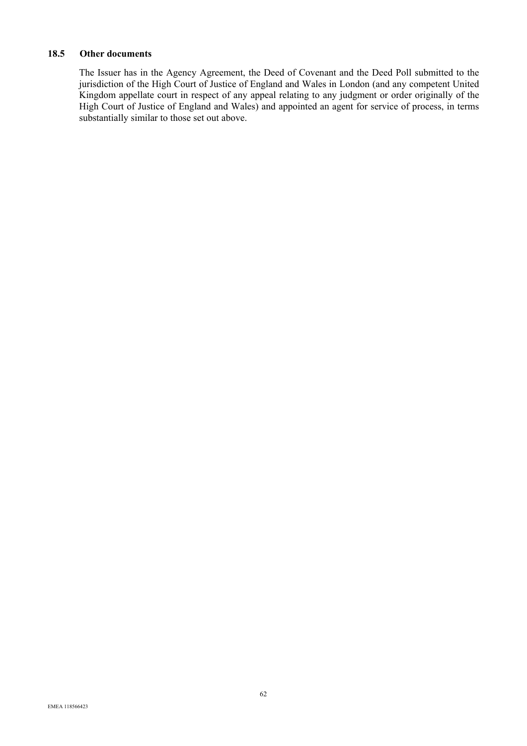# **18.5 Other documents**

The Issuer has in the Agency Agreement, the Deed of Covenant and the Deed Poll submitted to the jurisdiction of the High Court of Justice of England and Wales in London (and any competent United Kingdom appellate court in respect of any appeal relating to any judgment or order originally of the High Court of Justice of England and Wales) and appointed an agent for service of process, in terms substantially similar to those set out above.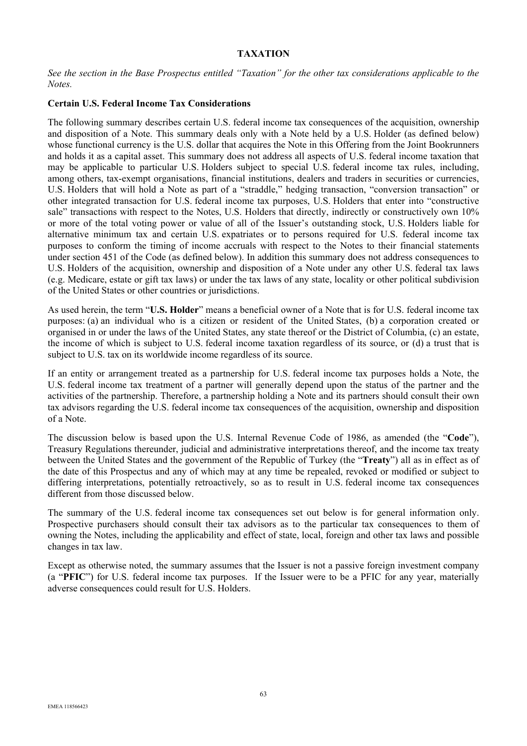## **TAXATION**

*See the section in the Base Prospectus entitled "Taxation" for the other tax considerations applicable to the Notes.* 

#### **Certain U.S. Federal Income Tax Considerations**

The following summary describes certain U.S. federal income tax consequences of the acquisition, ownership and disposition of a Note. This summary deals only with a Note held by a U.S. Holder (as defined below) whose functional currency is the U.S. dollar that acquires the Note in this Offering from the Joint Bookrunners and holds it as a capital asset. This summary does not address all aspects of U.S. federal income taxation that may be applicable to particular U.S. Holders subject to special U.S. federal income tax rules, including, among others, tax-exempt organisations, financial institutions, dealers and traders in securities or currencies, U.S. Holders that will hold a Note as part of a "straddle," hedging transaction, "conversion transaction" or other integrated transaction for U.S. federal income tax purposes, U.S. Holders that enter into "constructive sale" transactions with respect to the Notes, U.S. Holders that directly, indirectly or constructively own 10% or more of the total voting power or value of all of the Issuer's outstanding stock, U.S. Holders liable for alternative minimum tax and certain U.S. expatriates or to persons required for U.S. federal income tax purposes to conform the timing of income accruals with respect to the Notes to their financial statements under section 451 of the Code (as defined below). In addition this summary does not address consequences to U.S. Holders of the acquisition, ownership and disposition of a Note under any other U.S. federal tax laws (e.g. Medicare, estate or gift tax laws) or under the tax laws of any state, locality or other political subdivision of the United States or other countries or jurisdictions.

As used herein, the term "**U.S. Holder**" means a beneficial owner of a Note that is for U.S. federal income tax purposes: (a) an individual who is a citizen or resident of the United States, (b) a corporation created or organised in or under the laws of the United States, any state thereof or the District of Columbia, (c) an estate, the income of which is subject to U.S. federal income taxation regardless of its source, or (d) a trust that is subject to U.S. tax on its worldwide income regardless of its source.

If an entity or arrangement treated as a partnership for U.S. federal income tax purposes holds a Note, the U.S. federal income tax treatment of a partner will generally depend upon the status of the partner and the activities of the partnership. Therefore, a partnership holding a Note and its partners should consult their own tax advisors regarding the U.S. federal income tax consequences of the acquisition, ownership and disposition of a Note.

The discussion below is based upon the U.S. Internal Revenue Code of 1986, as amended (the "**Code**"), Treasury Regulations thereunder, judicial and administrative interpretations thereof, and the income tax treaty between the United States and the government of the Republic of Turkey (the "**Treaty**") all as in effect as of the date of this Prospectus and any of which may at any time be repealed, revoked or modified or subject to differing interpretations, potentially retroactively, so as to result in U.S. federal income tax consequences different from those discussed below.

The summary of the U.S. federal income tax consequences set out below is for general information only. Prospective purchasers should consult their tax advisors as to the particular tax consequences to them of owning the Notes, including the applicability and effect of state, local, foreign and other tax laws and possible changes in tax law.

Except as otherwise noted, the summary assumes that the Issuer is not a passive foreign investment company (a "**PFIC**") for U.S. federal income tax purposes. If the Issuer were to be a PFIC for any year, materially adverse consequences could result for U.S. Holders.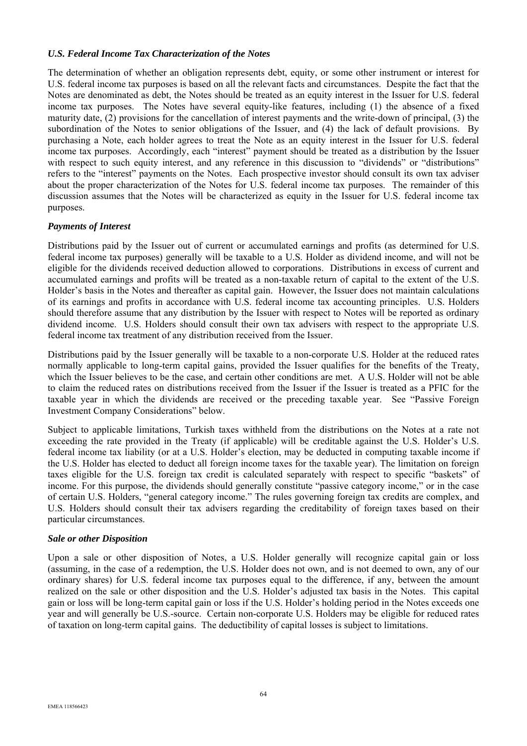## *U.S. Federal Income Tax Characterization of the Notes*

The determination of whether an obligation represents debt, equity, or some other instrument or interest for U.S. federal income tax purposes is based on all the relevant facts and circumstances. Despite the fact that the Notes are denominated as debt, the Notes should be treated as an equity interest in the Issuer for U.S. federal income tax purposes. The Notes have several equity-like features, including (1) the absence of a fixed maturity date, (2) provisions for the cancellation of interest payments and the write-down of principal, (3) the subordination of the Notes to senior obligations of the Issuer, and (4) the lack of default provisions. By purchasing a Note, each holder agrees to treat the Note as an equity interest in the Issuer for U.S. federal income tax purposes. Accordingly, each "interest" payment should be treated as a distribution by the Issuer with respect to such equity interest, and any reference in this discussion to "dividends" or "distributions" refers to the "interest" payments on the Notes. Each prospective investor should consult its own tax adviser about the proper characterization of the Notes for U.S. federal income tax purposes. The remainder of this discussion assumes that the Notes will be characterized as equity in the Issuer for U.S. federal income tax purposes.

## *Payments of Interest*

Distributions paid by the Issuer out of current or accumulated earnings and profits (as determined for U.S. federal income tax purposes) generally will be taxable to a U.S. Holder as dividend income, and will not be eligible for the dividends received deduction allowed to corporations. Distributions in excess of current and accumulated earnings and profits will be treated as a non-taxable return of capital to the extent of the U.S. Holder's basis in the Notes and thereafter as capital gain. However, the Issuer does not maintain calculations of its earnings and profits in accordance with U.S. federal income tax accounting principles. U.S. Holders should therefore assume that any distribution by the Issuer with respect to Notes will be reported as ordinary dividend income. U.S. Holders should consult their own tax advisers with respect to the appropriate U.S. federal income tax treatment of any distribution received from the Issuer.

Distributions paid by the Issuer generally will be taxable to a non-corporate U.S. Holder at the reduced rates normally applicable to long-term capital gains, provided the Issuer qualifies for the benefits of the Treaty, which the Issuer believes to be the case, and certain other conditions are met. A U.S. Holder will not be able to claim the reduced rates on distributions received from the Issuer if the Issuer is treated as a PFIC for the taxable year in which the dividends are received or the preceding taxable year. See "Passive Foreign Investment Company Considerations" below.

Subject to applicable limitations, Turkish taxes withheld from the distributions on the Notes at a rate not exceeding the rate provided in the Treaty (if applicable) will be creditable against the U.S. Holder's U.S. federal income tax liability (or at a U.S. Holder's election, may be deducted in computing taxable income if the U.S. Holder has elected to deduct all foreign income taxes for the taxable year). The limitation on foreign taxes eligible for the U.S. foreign tax credit is calculated separately with respect to specific "baskets" of income. For this purpose, the dividends should generally constitute "passive category income," or in the case of certain U.S. Holders, "general category income." The rules governing foreign tax credits are complex, and U.S. Holders should consult their tax advisers regarding the creditability of foreign taxes based on their particular circumstances.

## *Sale or other Disposition*

Upon a sale or other disposition of Notes, a U.S. Holder generally will recognize capital gain or loss (assuming, in the case of a redemption, the U.S. Holder does not own, and is not deemed to own, any of our ordinary shares) for U.S. federal income tax purposes equal to the difference, if any, between the amount realized on the sale or other disposition and the U.S. Holder's adjusted tax basis in the Notes. This capital gain or loss will be long-term capital gain or loss if the U.S. Holder's holding period in the Notes exceeds one year and will generally be U.S.-source. Certain non-corporate U.S. Holders may be eligible for reduced rates of taxation on long-term capital gains. The deductibility of capital losses is subject to limitations.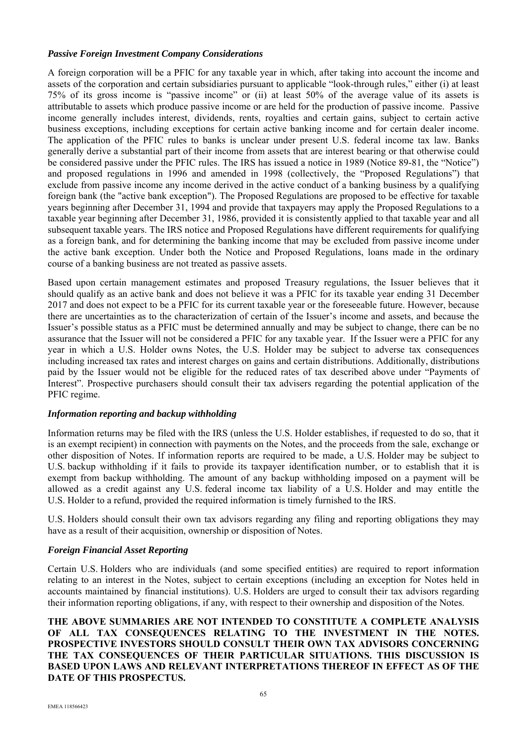## *Passive Foreign Investment Company Considerations*

A foreign corporation will be a PFIC for any taxable year in which, after taking into account the income and assets of the corporation and certain subsidiaries pursuant to applicable "look-through rules," either (i) at least 75% of its gross income is "passive income" or (ii) at least 50% of the average value of its assets is attributable to assets which produce passive income or are held for the production of passive income. Passive income generally includes interest, dividends, rents, royalties and certain gains, subject to certain active business exceptions, including exceptions for certain active banking income and for certain dealer income. The application of the PFIC rules to banks is unclear under present U.S. federal income tax law. Banks generally derive a substantial part of their income from assets that are interest bearing or that otherwise could be considered passive under the PFIC rules. The IRS has issued a notice in 1989 (Notice 89-81, the "Notice") and proposed regulations in 1996 and amended in 1998 (collectively, the "Proposed Regulations") that exclude from passive income any income derived in the active conduct of a banking business by a qualifying foreign bank (the "active bank exception"). The Proposed Regulations are proposed to be effective for taxable years beginning after December 31, 1994 and provide that taxpayers may apply the Proposed Regulations to a taxable year beginning after December 31, 1986, provided it is consistently applied to that taxable year and all subsequent taxable years. The IRS notice and Proposed Regulations have different requirements for qualifying as a foreign bank, and for determining the banking income that may be excluded from passive income under the active bank exception. Under both the Notice and Proposed Regulations, loans made in the ordinary course of a banking business are not treated as passive assets.

Based upon certain management estimates and proposed Treasury regulations, the Issuer believes that it should qualify as an active bank and does not believe it was a PFIC for its taxable year ending 31 December 2017 and does not expect to be a PFIC for its current taxable year or the foreseeable future. However, because there are uncertainties as to the characterization of certain of the Issuer's income and assets, and because the Issuer's possible status as a PFIC must be determined annually and may be subject to change, there can be no assurance that the Issuer will not be considered a PFIC for any taxable year. If the Issuer were a PFIC for any year in which a U.S. Holder owns Notes, the U.S. Holder may be subject to adverse tax consequences including increased tax rates and interest charges on gains and certain distributions. Additionally, distributions paid by the Issuer would not be eligible for the reduced rates of tax described above under "Payments of Interest". Prospective purchasers should consult their tax advisers regarding the potential application of the PFIC regime.

# *Information reporting and backup withholding*

Information returns may be filed with the IRS (unless the U.S. Holder establishes, if requested to do so, that it is an exempt recipient) in connection with payments on the Notes, and the proceeds from the sale, exchange or other disposition of Notes. If information reports are required to be made, a U.S. Holder may be subject to U.S. backup withholding if it fails to provide its taxpayer identification number, or to establish that it is exempt from backup withholding. The amount of any backup withholding imposed on a payment will be allowed as a credit against any U.S. federal income tax liability of a U.S. Holder and may entitle the U.S. Holder to a refund, provided the required information is timely furnished to the IRS.

U.S. Holders should consult their own tax advisors regarding any filing and reporting obligations they may have as a result of their acquisition, ownership or disposition of Notes.

# *Foreign Financial Asset Reporting*

Certain U.S. Holders who are individuals (and some specified entities) are required to report information relating to an interest in the Notes, subject to certain exceptions (including an exception for Notes held in accounts maintained by financial institutions). U.S. Holders are urged to consult their tax advisors regarding their information reporting obligations, if any, with respect to their ownership and disposition of the Notes.

**THE ABOVE SUMMARIES ARE NOT INTENDED TO CONSTITUTE A COMPLETE ANALYSIS OF ALL TAX CONSEQUENCES RELATING TO THE INVESTMENT IN THE NOTES. PROSPECTIVE INVESTORS SHOULD CONSULT THEIR OWN TAX ADVISORS CONCERNING THE TAX CONSEQUENCES OF THEIR PARTICULAR SITUATIONS. THIS DISCUSSION IS BASED UPON LAWS AND RELEVANT INTERPRETATIONS THEREOF IN EFFECT AS OF THE DATE OF THIS PROSPECTUS.**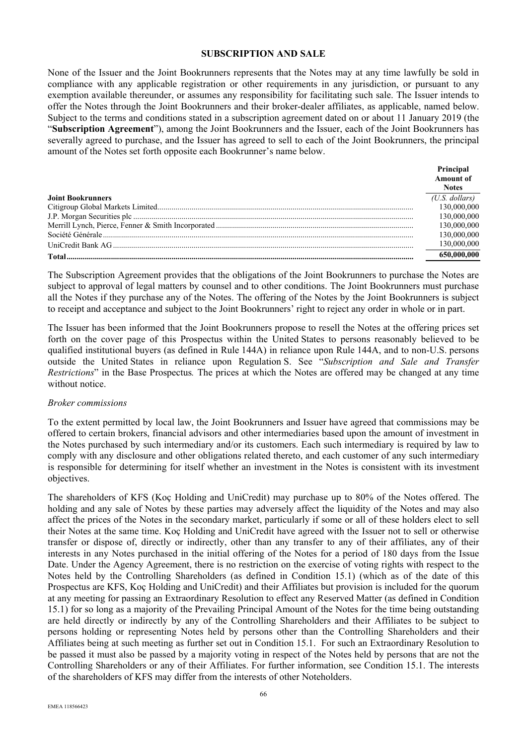#### **SUBSCRIPTION AND SALE**

None of the Issuer and the Joint Bookrunners represents that the Notes may at any time lawfully be sold in compliance with any applicable registration or other requirements in any jurisdiction, or pursuant to any exemption available thereunder, or assumes any responsibility for facilitating such sale. The Issuer intends to offer the Notes through the Joint Bookrunners and their broker-dealer affiliates, as applicable, named below. Subject to the terms and conditions stated in a subscription agreement dated on or about 11 January 2019 (the "**Subscription Agreement**"), among the Joint Bookrunners and the Issuer, each of the Joint Bookrunners has severally agreed to purchase, and the Issuer has agreed to sell to each of the Joint Bookrunners, the principal amount of the Notes set forth opposite each Bookrunner's name below.

|                          | Principal        |
|--------------------------|------------------|
|                          | <b>Amount of</b> |
|                          | <b>Notes</b>     |
| <b>Joint Bookrunners</b> | $(U.S.$ dollars) |
|                          | 130,000,000      |
|                          | 130,000,000      |
|                          | 130,000,000      |
|                          | 130,000,000      |
|                          | 130,000,000      |
|                          | 650,000,000      |

The Subscription Agreement provides that the obligations of the Joint Bookrunners to purchase the Notes are subject to approval of legal matters by counsel and to other conditions. The Joint Bookrunners must purchase all the Notes if they purchase any of the Notes. The offering of the Notes by the Joint Bookrunners is subject to receipt and acceptance and subject to the Joint Bookrunners' right to reject any order in whole or in part.

The Issuer has been informed that the Joint Bookrunners propose to resell the Notes at the offering prices set forth on the cover page of this Prospectus within the United States to persons reasonably believed to be qualified institutional buyers (as defined in Rule 144A) in reliance upon Rule 144A, and to non-U.S. persons outside the United States in reliance upon Regulation S. See "*Subscription and Sale and Transfer Restrictions*" in the Base Prospectus*.* The prices at which the Notes are offered may be changed at any time without notice.

#### *Broker commissions*

To the extent permitted by local law, the Joint Bookrunners and Issuer have agreed that commissions may be offered to certain brokers, financial advisors and other intermediaries based upon the amount of investment in the Notes purchased by such intermediary and/or its customers. Each such intermediary is required by law to comply with any disclosure and other obligations related thereto, and each customer of any such intermediary is responsible for determining for itself whether an investment in the Notes is consistent with its investment objectives.

The shareholders of KFS (Koç Holding and UniCredit) may purchase up to 80% of the Notes offered. The holding and any sale of Notes by these parties may adversely affect the liquidity of the Notes and may also affect the prices of the Notes in the secondary market, particularly if some or all of these holders elect to sell their Notes at the same time. Koç Holding and UniCredit have agreed with the Issuer not to sell or otherwise transfer or dispose of, directly or indirectly, other than any transfer to any of their affiliates, any of their interests in any Notes purchased in the initial offering of the Notes for a period of 180 days from the Issue Date. Under the Agency Agreement, there is no restriction on the exercise of voting rights with respect to the Notes held by the Controlling Shareholders (as defined in Condition 15.1) (which as of the date of this Prospectus are KFS, Koç Holding and UniCredit) and their Affiliates but provision is included for the quorum at any meeting for passing an Extraordinary Resolution to effect any Reserved Matter (as defined in Condition 15.1) for so long as a majority of the Prevailing Principal Amount of the Notes for the time being outstanding are held directly or indirectly by any of the Controlling Shareholders and their Affiliates to be subject to persons holding or representing Notes held by persons other than the Controlling Shareholders and their Affiliates being at such meeting as further set out in Condition 15.1. For such an Extraordinary Resolution to be passed it must also be passed by a majority voting in respect of the Notes held by persons that are not the Controlling Shareholders or any of their Affiliates. For further information, see Condition 15.1. The interests of the shareholders of KFS may differ from the interests of other Noteholders.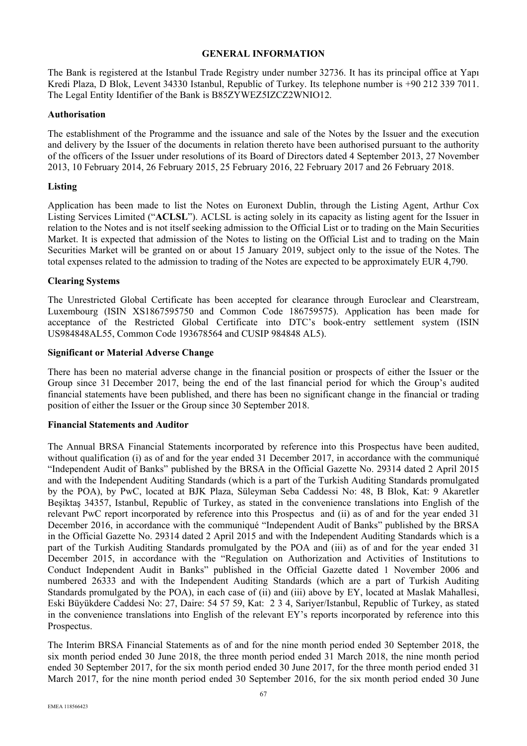#### **GENERAL INFORMATION**

The Bank is registered at the Istanbul Trade Registry under number 32736. It has its principal office at Yapı Kredi Plaza, D Blok, Levent 34330 Istanbul, Republic of Turkey. Its telephone number is +90 212 339 7011. The Legal Entity Identifier of the Bank is B85ZYWEZ5IZCZ2WNIO12.

## **Authorisation**

The establishment of the Programme and the issuance and sale of the Notes by the Issuer and the execution and delivery by the Issuer of the documents in relation thereto have been authorised pursuant to the authority of the officers of the Issuer under resolutions of its Board of Directors dated 4 September 2013, 27 November 2013, 10 February 2014, 26 February 2015, 25 February 2016, 22 February 2017 and 26 February 2018.

## **Listing**

Application has been made to list the Notes on Euronext Dublin, through the Listing Agent, Arthur Cox Listing Services Limited ("**ACLSL**"). ACLSL is acting solely in its capacity as listing agent for the Issuer in relation to the Notes and is not itself seeking admission to the Official List or to trading on the Main Securities Market. It is expected that admission of the Notes to listing on the Official List and to trading on the Main Securities Market will be granted on or about 15 January 2019, subject only to the issue of the Notes. The total expenses related to the admission to trading of the Notes are expected to be approximately EUR 4,790.

## **Clearing Systems**

The Unrestricted Global Certificate has been accepted for clearance through Euroclear and Clearstream, Luxembourg (ISIN XS1867595750 and Common Code 186759575). Application has been made for acceptance of the Restricted Global Certificate into DTC's book-entry settlement system (ISIN US984848AL55, Common Code 193678564 and CUSIP 984848 AL5).

## **Significant or Material Adverse Change**

There has been no material adverse change in the financial position or prospects of either the Issuer or the Group since 31 December 2017, being the end of the last financial period for which the Group's audited financial statements have been published, and there has been no significant change in the financial or trading position of either the Issuer or the Group since 30 September 2018.

## **Financial Statements and Auditor**

The Annual BRSA Financial Statements incorporated by reference into this Prospectus have been audited, without qualification (i) as of and for the year ended 31 December 2017, in accordance with the communiqué "Independent Audit of Banks" published by the BRSA in the Official Gazette No. 29314 dated 2 April 2015 and with the Independent Auditing Standards (which is a part of the Turkish Auditing Standards promulgated by the POA), by PwC, located at BJK Plaza, Süleyman Seba Caddessi No: 48, B Blok, Kat: 9 Akaretler Beşiktaş 34357, Istanbul, Republic of Turkey, as stated in the convenience translations into English of the relevant PwC report incorporated by reference into this Prospectus and (ii) as of and for the year ended 31 December 2016, in accordance with the communiqué "Independent Audit of Banks" published by the BRSA in the Official Gazette No. 29314 dated 2 April 2015 and with the Independent Auditing Standards which is a part of the Turkish Auditing Standards promulgated by the POA and (iii) as of and for the year ended 31 December 2015, in accordance with the "Regulation on Authorization and Activities of Institutions to Conduct Independent Audit in Banks" published in the Official Gazette dated 1 November 2006 and numbered 26333 and with the Independent Auditing Standards (which are a part of Turkish Auditing Standards promulgated by the POA), in each case of (ii) and (iii) above by EY, located at Maslak Mahallesi, Eski Büyükdere Caddesi No: 27, Daire: 54 57 59, Kat: 2 3 4, Sariyer/Istanbul, Republic of Turkey, as stated in the convenience translations into English of the relevant EY's reports incorporated by reference into this Prospectus.

The Interim BRSA Financial Statements as of and for the nine month period ended 30 September 2018, the six month period ended 30 June 2018, the three month period ended 31 March 2018, the nine month period ended 30 September 2017, for the six month period ended 30 June 2017, for the three month period ended 31 March 2017, for the nine month period ended 30 September 2016, for the six month period ended 30 June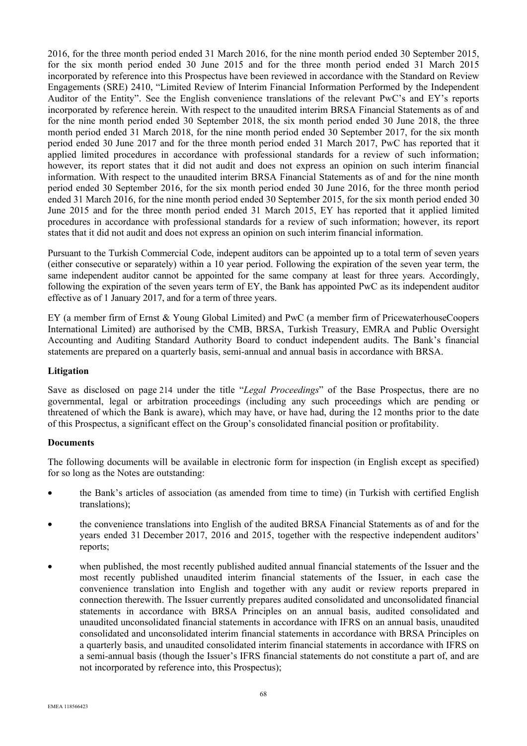2016, for the three month period ended 31 March 2016, for the nine month period ended 30 September 2015, for the six month period ended 30 June 2015 and for the three month period ended 31 March 2015 incorporated by reference into this Prospectus have been reviewed in accordance with the Standard on Review Engagements (SRE) 2410, "Limited Review of Interim Financial Information Performed by the Independent Auditor of the Entity". See the English convenience translations of the relevant PwC's and EY's reports incorporated by reference herein. With respect to the unaudited interim BRSA Financial Statements as of and for the nine month period ended 30 September 2018, the six month period ended 30 June 2018, the three month period ended 31 March 2018, for the nine month period ended 30 September 2017, for the six month period ended 30 June 2017 and for the three month period ended 31 March 2017, PwC has reported that it applied limited procedures in accordance with professional standards for a review of such information; however, its report states that it did not audit and does not express an opinion on such interim financial information. With respect to the unaudited interim BRSA Financial Statements as of and for the nine month period ended 30 September 2016, for the six month period ended 30 June 2016, for the three month period ended 31 March 2016, for the nine month period ended 30 September 2015, for the six month period ended 30 June 2015 and for the three month period ended 31 March 2015, EY has reported that it applied limited procedures in accordance with professional standards for a review of such information; however, its report states that it did not audit and does not express an opinion on such interim financial information.

Pursuant to the Turkish Commercial Code, indepent auditors can be appointed up to a total term of seven years (either consecutive or separately) within a 10 year period. Following the expiration of the seven year term, the same independent auditor cannot be appointed for the same company at least for three years. Accordingly, following the expiration of the seven years term of EY, the Bank has appointed PwC as its independent auditor effective as of 1 January 2017, and for a term of three years.

EY (a member firm of Ernst & Young Global Limited) and PwC (a member firm of PricewaterhouseCoopers International Limited) are authorised by the CMB, BRSA, Turkish Treasury, EMRA and Public Oversight Accounting and Auditing Standard Authority Board to conduct independent audits. The Bank's financial statements are prepared on a quarterly basis, semi-annual and annual basis in accordance with BRSA.

## **Litigation**

Save as disclosed on page 214 under the title "*Legal Proceedings*" of the Base Prospectus, there are no governmental, legal or arbitration proceedings (including any such proceedings which are pending or threatened of which the Bank is aware), which may have, or have had, during the 12 months prior to the date of this Prospectus, a significant effect on the Group's consolidated financial position or profitability.

## **Documents**

The following documents will be available in electronic form for inspection (in English except as specified) for so long as the Notes are outstanding:

- the Bank's articles of association (as amended from time to time) (in Turkish with certified English translations);
- the convenience translations into English of the audited BRSA Financial Statements as of and for the years ended 31 December 2017, 2016 and 2015, together with the respective independent auditors' reports;
- when published, the most recently published audited annual financial statements of the Issuer and the most recently published unaudited interim financial statements of the Issuer, in each case the convenience translation into English and together with any audit or review reports prepared in connection therewith. The Issuer currently prepares audited consolidated and unconsolidated financial statements in accordance with BRSA Principles on an annual basis, audited consolidated and unaudited unconsolidated financial statements in accordance with IFRS on an annual basis, unaudited consolidated and unconsolidated interim financial statements in accordance with BRSA Principles on a quarterly basis, and unaudited consolidated interim financial statements in accordance with IFRS on a semi-annual basis (though the Issuer's IFRS financial statements do not constitute a part of, and are not incorporated by reference into, this Prospectus);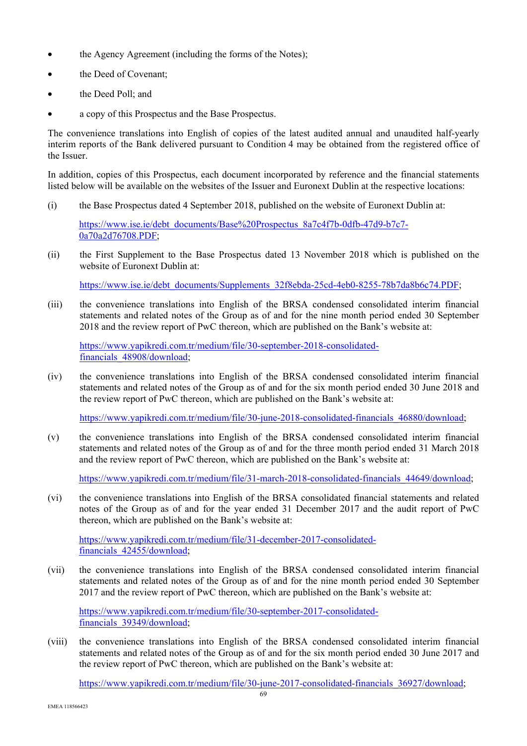- the Agency Agreement (including the forms of the Notes);
- the Deed of Covenant:
- the Deed Poll; and
- a copy of this Prospectus and the Base Prospectus.

The convenience translations into English of copies of the latest audited annual and unaudited half-yearly interim reports of the Bank delivered pursuant to Condition 4 may be obtained from the registered office of the Issuer.

In addition, copies of this Prospectus, each document incorporated by reference and the financial statements listed below will be available on the websites of the Issuer and Euronext Dublin at the respective locations:

(i) the Base Prospectus dated 4 September 2018, published on the website of Euronext Dublin at:

https://www.ise.ie/debt\_documents/Base%20Prospectus\_8a7c4f7b-0dfb-47d9-b7c7- 0a70a2d76708.PDF;

(ii) the First Supplement to the Base Prospectus dated 13 November 2018 which is published on the website of Euronext Dublin at:

https://www.ise.ie/debt\_documents/Supplements\_32f8ebda-25cd-4eb0-8255-78b7da8b6c74.PDF;

(iii) the convenience translations into English of the BRSA condensed consolidated interim financial statements and related notes of the Group as of and for the nine month period ended 30 September 2018 and the review report of PwC thereon, which are published on the Bank's website at:

https://www.yapikredi.com.tr/medium/file/30-september-2018-consolidatedfinancials\_48908/download;

(iv) the convenience translations into English of the BRSA condensed consolidated interim financial statements and related notes of the Group as of and for the six month period ended 30 June 2018 and the review report of PwC thereon, which are published on the Bank's website at:

https://www.yapikredi.com.tr/medium/file/30-june-2018-consolidated-financials\_46880/download;

(v) the convenience translations into English of the BRSA condensed consolidated interim financial statements and related notes of the Group as of and for the three month period ended 31 March 2018 and the review report of PwC thereon, which are published on the Bank's website at:

https://www.yapikredi.com.tr/medium/file/31-march-2018-consolidated-financials\_44649/download;

(vi) the convenience translations into English of the BRSA consolidated financial statements and related notes of the Group as of and for the year ended 31 December 2017 and the audit report of PwC thereon, which are published on the Bank's website at:

https://www.yapikredi.com.tr/medium/file/31-december-2017-consolidatedfinancials\_42455/download;

(vii) the convenience translations into English of the BRSA condensed consolidated interim financial statements and related notes of the Group as of and for the nine month period ended 30 September 2017 and the review report of PwC thereon, which are published on the Bank's website at:

https://www.yapikredi.com.tr/medium/file/30-september-2017-consolidatedfinancials\_39349/download;

(viii) the convenience translations into English of the BRSA condensed consolidated interim financial statements and related notes of the Group as of and for the six month period ended 30 June 2017 and the review report of PwC thereon, which are published on the Bank's website at:

https://www.yapikredi.com.tr/medium/file/30-june-2017-consolidated-financials\_36927/download;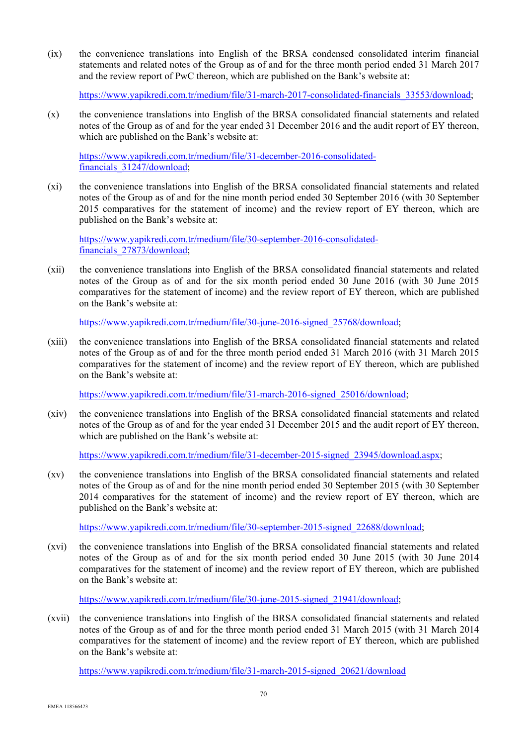(ix) the convenience translations into English of the BRSA condensed consolidated interim financial statements and related notes of the Group as of and for the three month period ended 31 March 2017 and the review report of PwC thereon, which are published on the Bank's website at:

https://www.yapikredi.com.tr/medium/file/31-march-2017-consolidated-financials\_33553/download;

(x) the convenience translations into English of the BRSA consolidated financial statements and related notes of the Group as of and for the year ended 31 December 2016 and the audit report of EY thereon, which are published on the Bank's website at:

https://www.yapikredi.com.tr/medium/file/31-december-2016-consolidatedfinancials\_31247/download;

(xi) the convenience translations into English of the BRSA consolidated financial statements and related notes of the Group as of and for the nine month period ended 30 September 2016 (with 30 September 2015 comparatives for the statement of income) and the review report of EY thereon, which are published on the Bank's website at:

https://www.yapikredi.com.tr/medium/file/30-september-2016-consolidatedfinancials\_27873/download;

(xii) the convenience translations into English of the BRSA consolidated financial statements and related notes of the Group as of and for the six month period ended 30 June 2016 (with 30 June 2015 comparatives for the statement of income) and the review report of EY thereon, which are published on the Bank's website at:

https://www.yapikredi.com.tr/medium/file/30-june-2016-signed\_25768/download;

(xiii) the convenience translations into English of the BRSA consolidated financial statements and related notes of the Group as of and for the three month period ended 31 March 2016 (with 31 March 2015 comparatives for the statement of income) and the review report of EY thereon, which are published on the Bank's website at:

https://www.yapikredi.com.tr/medium/file/31-march-2016-signed\_25016/download;

(xiv) the convenience translations into English of the BRSA consolidated financial statements and related notes of the Group as of and for the year ended 31 December 2015 and the audit report of EY thereon, which are published on the Bank's website at:

https://www.yapikredi.com.tr/medium/file/31-december-2015-signed\_23945/download.aspx;

(xv) the convenience translations into English of the BRSA consolidated financial statements and related notes of the Group as of and for the nine month period ended 30 September 2015 (with 30 September 2014 comparatives for the statement of income) and the review report of EY thereon, which are published on the Bank's website at:

https://www.yapikredi.com.tr/medium/file/30-september-2015-signed\_22688/download;

(xvi) the convenience translations into English of the BRSA consolidated financial statements and related notes of the Group as of and for the six month period ended 30 June 2015 (with 30 June 2014 comparatives for the statement of income) and the review report of EY thereon, which are published on the Bank's website at:

https://www.yapikredi.com.tr/medium/file/30-june-2015-signed\_21941/download;

(xvii) the convenience translations into English of the BRSA consolidated financial statements and related notes of the Group as of and for the three month period ended 31 March 2015 (with 31 March 2014 comparatives for the statement of income) and the review report of EY thereon, which are published on the Bank's website at:

https://www.yapikredi.com.tr/medium/file/31-march-2015-signed\_20621/download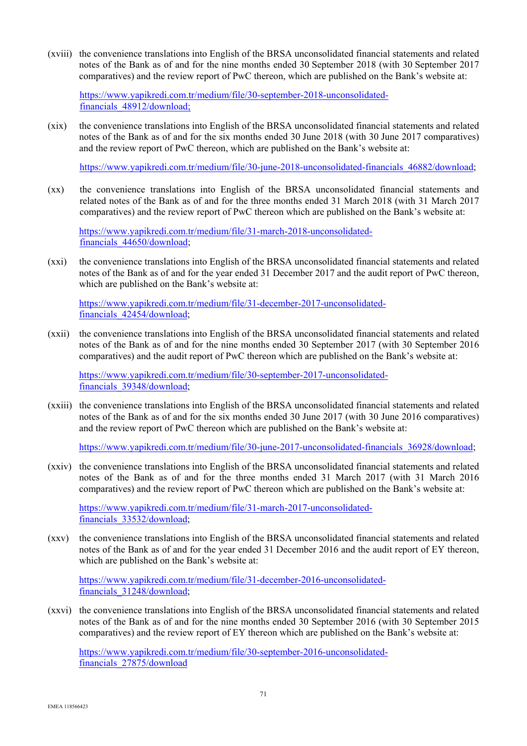(xviii) the convenience translations into English of the BRSA unconsolidated financial statements and related notes of the Bank as of and for the nine months ended 30 September 2018 (with 30 September 2017 comparatives) and the review report of PwC thereon, which are published on the Bank's website at:

https://www.yapikredi.com.tr/medium/file/30-september-2018-unconsolidatedfinancials\_48912/download;

(xix) the convenience translations into English of the BRSA unconsolidated financial statements and related notes of the Bank as of and for the six months ended 30 June 2018 (with 30 June 2017 comparatives) and the review report of PwC thereon, which are published on the Bank's website at:

https://www.yapikredi.com.tr/medium/file/30-june-2018-unconsolidated-financials 46882/download;

(xx) the convenience translations into English of the BRSA unconsolidated financial statements and related notes of the Bank as of and for the three months ended 31 March 2018 (with 31 March 2017 comparatives) and the review report of PwC thereon which are published on the Bank's website at:

https://www.yapikredi.com.tr/medium/file/31-march-2018-unconsolidatedfinancials\_44650/download;

(xxi) the convenience translations into English of the BRSA unconsolidated financial statements and related notes of the Bank as of and for the year ended 31 December 2017 and the audit report of PwC thereon, which are published on the Bank's website at:

https://www.yapikredi.com.tr/medium/file/31-december-2017-unconsolidatedfinancials\_42454/download;

(xxii) the convenience translations into English of the BRSA unconsolidated financial statements and related notes of the Bank as of and for the nine months ended 30 September 2017 (with 30 September 2016 comparatives) and the audit report of PwC thereon which are published on the Bank's website at:

https://www.yapikredi.com.tr/medium/file/30-september-2017-unconsolidatedfinancials\_39348/download;

(xxiii) the convenience translations into English of the BRSA unconsolidated financial statements and related notes of the Bank as of and for the six months ended 30 June 2017 (with 30 June 2016 comparatives) and the review report of PwC thereon which are published on the Bank's website at:

https://www.yapikredi.com.tr/medium/file/30-june-2017-unconsolidated-financials\_36928/download;

(xxiv) the convenience translations into English of the BRSA unconsolidated financial statements and related notes of the Bank as of and for the three months ended 31 March 2017 (with 31 March 2016 comparatives) and the review report of PwC thereon which are published on the Bank's website at:

https://www.yapikredi.com.tr/medium/file/31-march-2017-unconsolidatedfinancials\_33532/download;

(xxv) the convenience translations into English of the BRSA unconsolidated financial statements and related notes of the Bank as of and for the year ended 31 December 2016 and the audit report of EY thereon, which are published on the Bank's website at:

https://www.yapikredi.com.tr/medium/file/31-december-2016-unconsolidatedfinancials\_31248/download;

(xxvi) the convenience translations into English of the BRSA unconsolidated financial statements and related notes of the Bank as of and for the nine months ended 30 September 2016 (with 30 September 2015 comparatives) and the review report of EY thereon which are published on the Bank's website at:

https://www.yapikredi.com.tr/medium/file/30-september-2016-unconsolidatedfinancials\_27875/download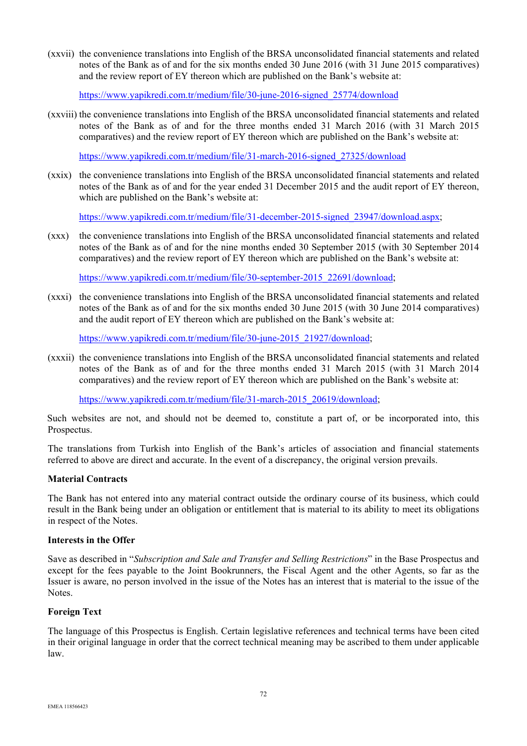(xxvii) the convenience translations into English of the BRSA unconsolidated financial statements and related notes of the Bank as of and for the six months ended 30 June 2016 (with 31 June 2015 comparatives) and the review report of EY thereon which are published on the Bank's website at:

https://www.yapikredi.com.tr/medium/file/30-june-2016-signed\_25774/download

(xxviii) the convenience translations into English of the BRSA unconsolidated financial statements and related notes of the Bank as of and for the three months ended 31 March 2016 (with 31 March 2015 comparatives) and the review report of EY thereon which are published on the Bank's website at:

https://www.yapikredi.com.tr/medium/file/31-march-2016-signed\_27325/download

(xxix) the convenience translations into English of the BRSA unconsolidated financial statements and related notes of the Bank as of and for the year ended 31 December 2015 and the audit report of EY thereon, which are published on the Bank's website at:

https://www.yapikredi.com.tr/medium/file/31-december-2015-signed\_23947/download.aspx;

(xxx) the convenience translations into English of the BRSA unconsolidated financial statements and related notes of the Bank as of and for the nine months ended 30 September 2015 (with 30 September 2014 comparatives) and the review report of EY thereon which are published on the Bank's website at:

https://www.yapikredi.com.tr/medium/file/30-september-2015\_22691/download;

(xxxi) the convenience translations into English of the BRSA unconsolidated financial statements and related notes of the Bank as of and for the six months ended 30 June 2015 (with 30 June 2014 comparatives) and the audit report of EY thereon which are published on the Bank's website at:

https://www.yapikredi.com.tr/medium/file/30-june-2015\_21927/download;

(xxxii) the convenience translations into English of the BRSA unconsolidated financial statements and related notes of the Bank as of and for the three months ended 31 March 2015 (with 31 March 2014 comparatives) and the review report of EY thereon which are published on the Bank's website at:

https://www.yapikredi.com.tr/medium/file/31-march-2015\_20619/download;

Such websites are not, and should not be deemed to, constitute a part of, or be incorporated into, this Prospectus.

The translations from Turkish into English of the Bank's articles of association and financial statements referred to above are direct and accurate. In the event of a discrepancy, the original version prevails.

## **Material Contracts**

The Bank has not entered into any material contract outside the ordinary course of its business, which could result in the Bank being under an obligation or entitlement that is material to its ability to meet its obligations in respect of the Notes.

#### **Interests in the Offer**

Save as described in "*Subscription and Sale and Transfer and Selling Restrictions*" in the Base Prospectus and except for the fees payable to the Joint Bookrunners, the Fiscal Agent and the other Agents, so far as the Issuer is aware, no person involved in the issue of the Notes has an interest that is material to the issue of the Notes.

## **Foreign Text**

The language of this Prospectus is English. Certain legislative references and technical terms have been cited in their original language in order that the correct technical meaning may be ascribed to them under applicable law.